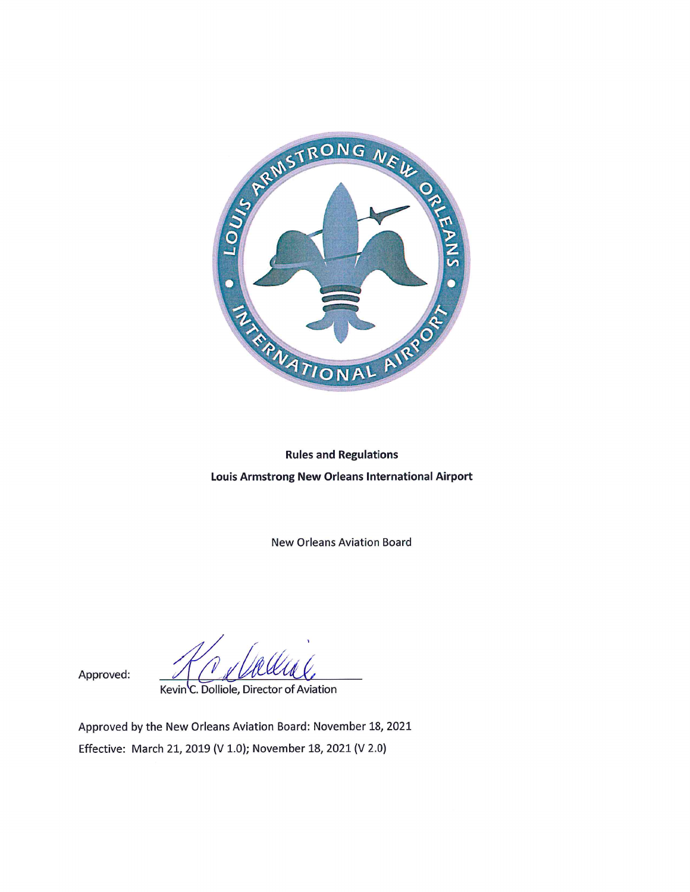

# **Rules and Regulations** Louis Armstrong New Orleans International Airport

**New Orleans Aviation Board** 

Kevin C. Dolliole, Director of Aviation

Approved:

Approved by the New Orleans Aviation Board: November 18, 2021 Effective: March 21, 2019 (V 1.0); November 18, 2021 (V 2.0)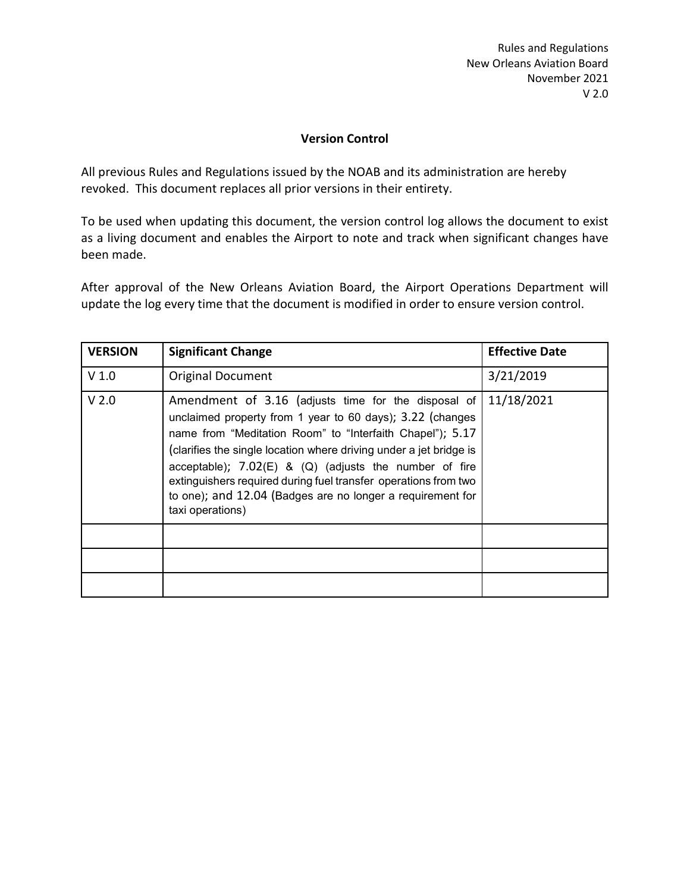# **Version Control**

All previous Rules and Regulations issued by the NOAB and its administration are hereby revoked. This document replaces all prior versions in their entirety.

To be used when updating this document, the version control log allows the document to exist as a living document and enables the Airport to note and track when significant changes have been made.

After approval of the New Orleans Aviation Board, the Airport Operations Department will update the log every time that the document is modified in order to ensure version control.

| <b>VERSION</b>   | <b>Significant Change</b>                                                                                                                                                                                                                                                                                                                                                                                                                                            | <b>Effective Date</b> |
|------------------|----------------------------------------------------------------------------------------------------------------------------------------------------------------------------------------------------------------------------------------------------------------------------------------------------------------------------------------------------------------------------------------------------------------------------------------------------------------------|-----------------------|
| V <sub>1.0</sub> | <b>Original Document</b>                                                                                                                                                                                                                                                                                                                                                                                                                                             | 3/21/2019             |
| V <sub>2.0</sub> | Amendment of 3.16 (adjusts time for the disposal of<br>unclaimed property from 1 year to 60 days); 3.22 (changes<br>name from "Meditation Room" to "Interfaith Chapel"); 5.17<br>(clarifies the single location where driving under a jet bridge is<br>acceptable); $7.02(E)$ & (Q) (adjusts the number of fire<br>extinguishers required during fuel transfer operations from two<br>to one); and 12.04 (Badges are no longer a requirement for<br>taxi operations) | 11/18/2021            |
|                  |                                                                                                                                                                                                                                                                                                                                                                                                                                                                      |                       |
|                  |                                                                                                                                                                                                                                                                                                                                                                                                                                                                      |                       |
|                  |                                                                                                                                                                                                                                                                                                                                                                                                                                                                      |                       |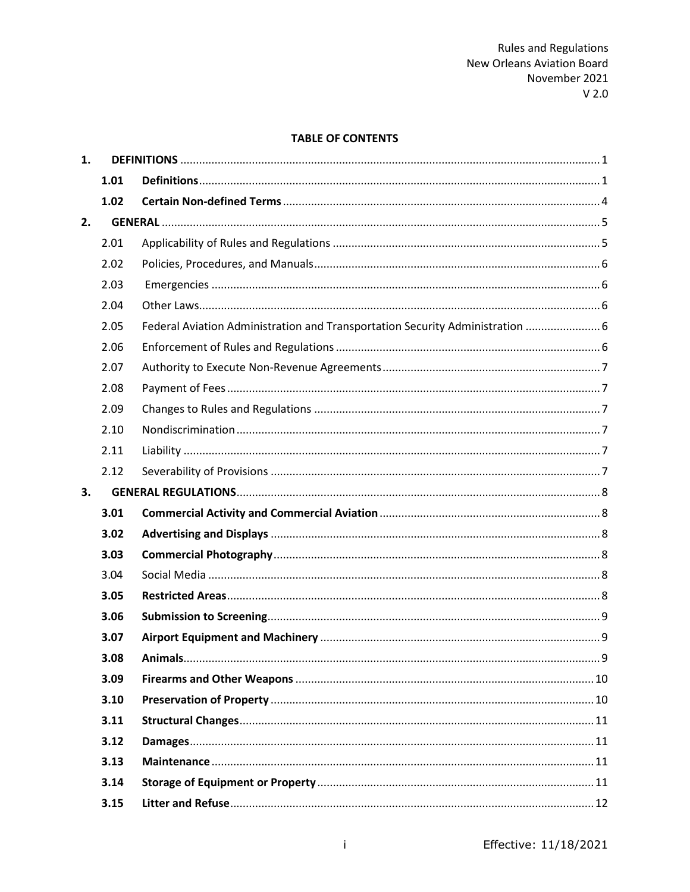# **TABLE OF CONTENTS**

| 1. |      |                                                                               |  |
|----|------|-------------------------------------------------------------------------------|--|
|    | 1.01 |                                                                               |  |
|    | 1.02 |                                                                               |  |
| 2. |      |                                                                               |  |
|    | 2.01 |                                                                               |  |
|    | 2.02 |                                                                               |  |
|    | 2.03 |                                                                               |  |
|    | 2.04 |                                                                               |  |
|    | 2.05 | Federal Aviation Administration and Transportation Security Administration  6 |  |
|    | 2.06 |                                                                               |  |
|    | 2.07 |                                                                               |  |
|    | 2.08 |                                                                               |  |
|    | 2.09 |                                                                               |  |
|    | 2.10 |                                                                               |  |
|    | 2.11 |                                                                               |  |
|    | 2.12 |                                                                               |  |
| 3. |      |                                                                               |  |
|    | 3.01 |                                                                               |  |
|    | 3.02 |                                                                               |  |
|    | 3.03 |                                                                               |  |
|    | 3.04 |                                                                               |  |
|    | 3.05 |                                                                               |  |
|    | 3.06 |                                                                               |  |
|    | 3.07 |                                                                               |  |
|    | 3.08 |                                                                               |  |
|    | 3.09 |                                                                               |  |
|    | 3.10 |                                                                               |  |
|    | 3.11 |                                                                               |  |
|    | 3.12 |                                                                               |  |
|    | 3.13 |                                                                               |  |
|    | 3.14 |                                                                               |  |
|    | 3.15 |                                                                               |  |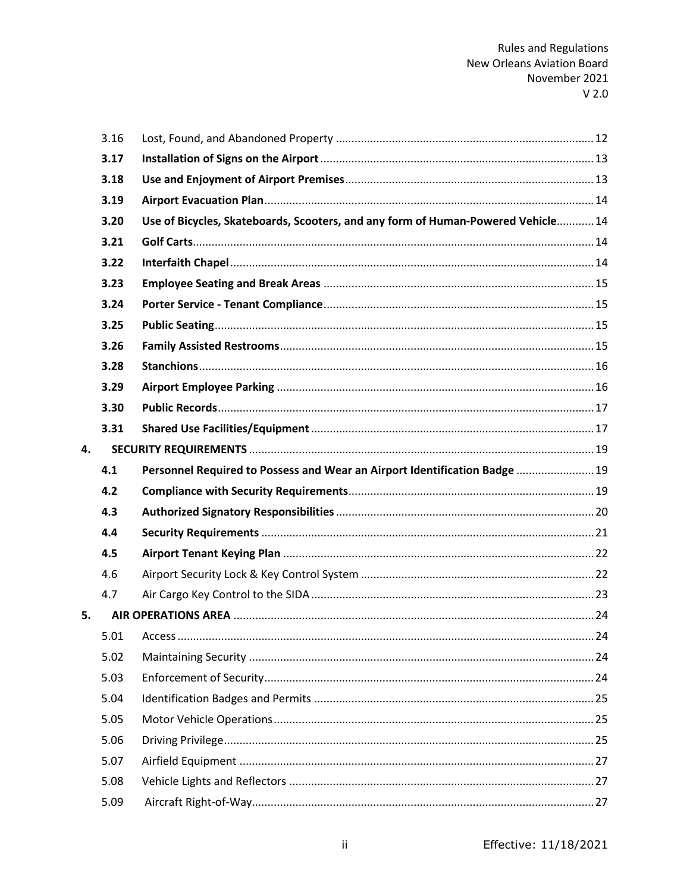|    | 3.16 |                                                                                  |  |
|----|------|----------------------------------------------------------------------------------|--|
|    | 3.17 |                                                                                  |  |
|    | 3.18 |                                                                                  |  |
|    | 3.19 |                                                                                  |  |
|    | 3.20 | Use of Bicycles, Skateboards, Scooters, and any form of Human-Powered Vehicle 14 |  |
|    | 3.21 |                                                                                  |  |
|    | 3.22 |                                                                                  |  |
|    | 3.23 |                                                                                  |  |
|    | 3.24 |                                                                                  |  |
|    | 3.25 |                                                                                  |  |
|    | 3.26 |                                                                                  |  |
|    | 3.28 |                                                                                  |  |
|    | 3.29 |                                                                                  |  |
|    | 3.30 |                                                                                  |  |
|    | 3.31 |                                                                                  |  |
| 4. |      |                                                                                  |  |
|    | 4.1  | Personnel Required to Possess and Wear an Airport Identification Badge  19       |  |
|    | 4.2  |                                                                                  |  |
|    | 4.3  |                                                                                  |  |
|    | 4.4  |                                                                                  |  |
|    | 4.5  |                                                                                  |  |
|    | 4.6  |                                                                                  |  |
|    | 4.7  |                                                                                  |  |
| 5. |      |                                                                                  |  |
|    | 5.01 |                                                                                  |  |
|    | 5.02 |                                                                                  |  |
|    | 5.03 |                                                                                  |  |
|    | 5.04 |                                                                                  |  |
|    | 5.05 |                                                                                  |  |
|    | 5.06 |                                                                                  |  |
|    | 5.07 |                                                                                  |  |
|    |      |                                                                                  |  |
|    | 5.08 |                                                                                  |  |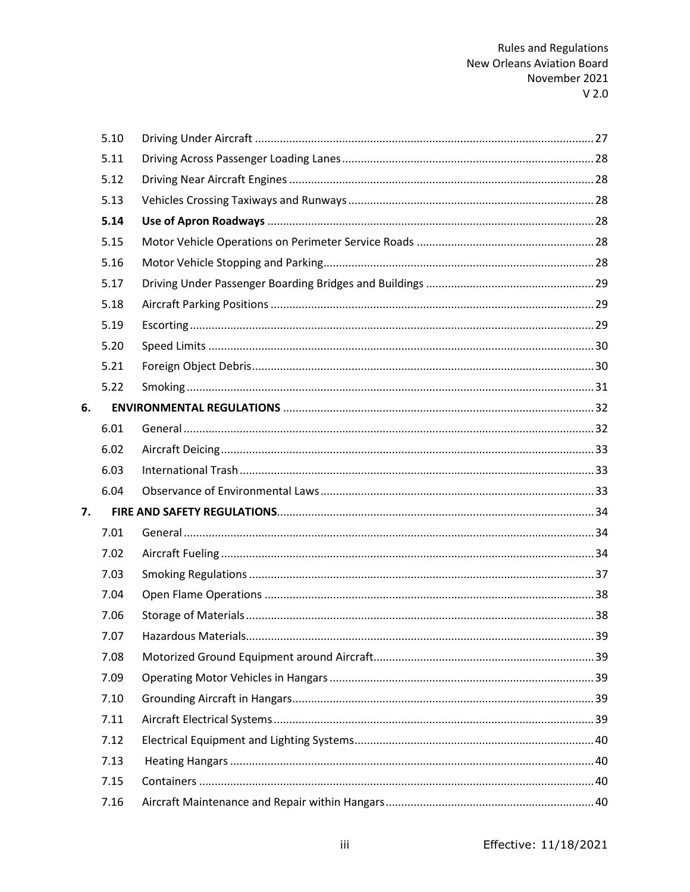|    | 5.10 |  |
|----|------|--|
|    | 5.11 |  |
|    | 5.12 |  |
|    | 5.13 |  |
|    | 5.14 |  |
|    | 5.15 |  |
|    | 5.16 |  |
|    | 5.17 |  |
|    | 5.18 |  |
|    | 5.19 |  |
|    | 5.20 |  |
|    | 5.21 |  |
|    | 5.22 |  |
| 6. |      |  |
|    | 6.01 |  |
|    | 6.02 |  |
|    | 6.03 |  |
|    | 6.04 |  |
| 7. |      |  |
|    | 7.01 |  |
|    | 7.02 |  |
|    | 7.03 |  |
|    | 7.04 |  |
|    | 7.06 |  |
|    | 7.07 |  |
|    | 7.08 |  |
|    | 7.09 |  |
|    | 7.10 |  |
|    | 7.11 |  |
|    | 7.12 |  |
|    | 7.13 |  |
|    | 7.15 |  |
|    | 7.16 |  |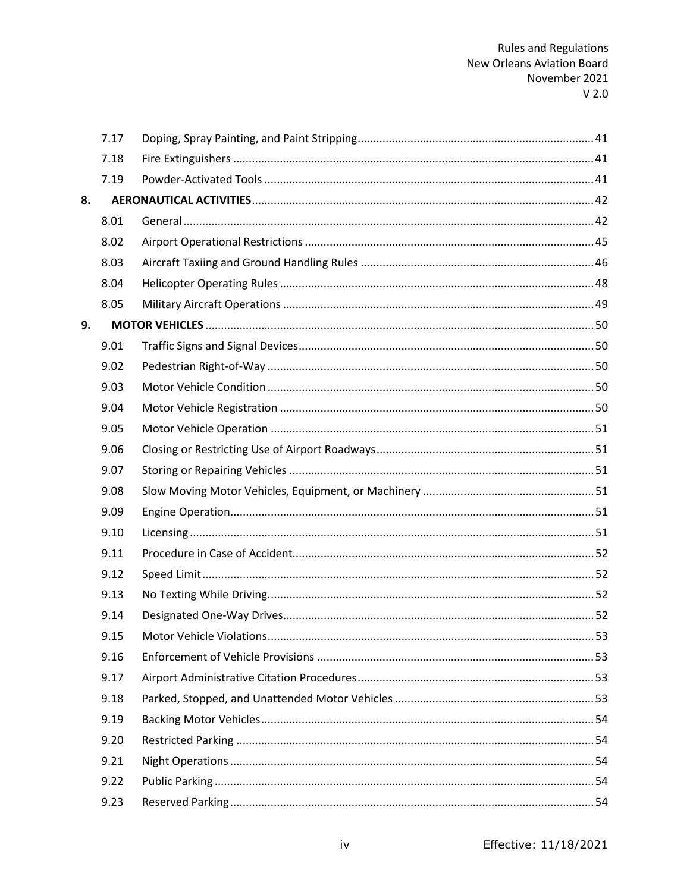|    | 7.17 |  |
|----|------|--|
|    | 7.18 |  |
|    | 7.19 |  |
| 8. |      |  |
|    | 8.01 |  |
|    | 8.02 |  |
|    | 8.03 |  |
|    | 8.04 |  |
|    | 8.05 |  |
| 9. |      |  |
|    | 9.01 |  |
|    | 9.02 |  |
|    | 9.03 |  |
|    | 9.04 |  |
|    | 9.05 |  |
|    | 9.06 |  |
|    | 9.07 |  |
|    | 9.08 |  |
|    | 9.09 |  |
|    | 9.10 |  |
|    | 9.11 |  |
|    | 9.12 |  |
|    | 9.13 |  |
|    | 9.14 |  |
|    | 9.15 |  |
|    | 9.16 |  |
|    | 9.17 |  |
|    | 9.18 |  |
|    | 9.19 |  |
|    | 9.20 |  |
|    | 9.21 |  |
|    | 9.22 |  |
|    | 9.23 |  |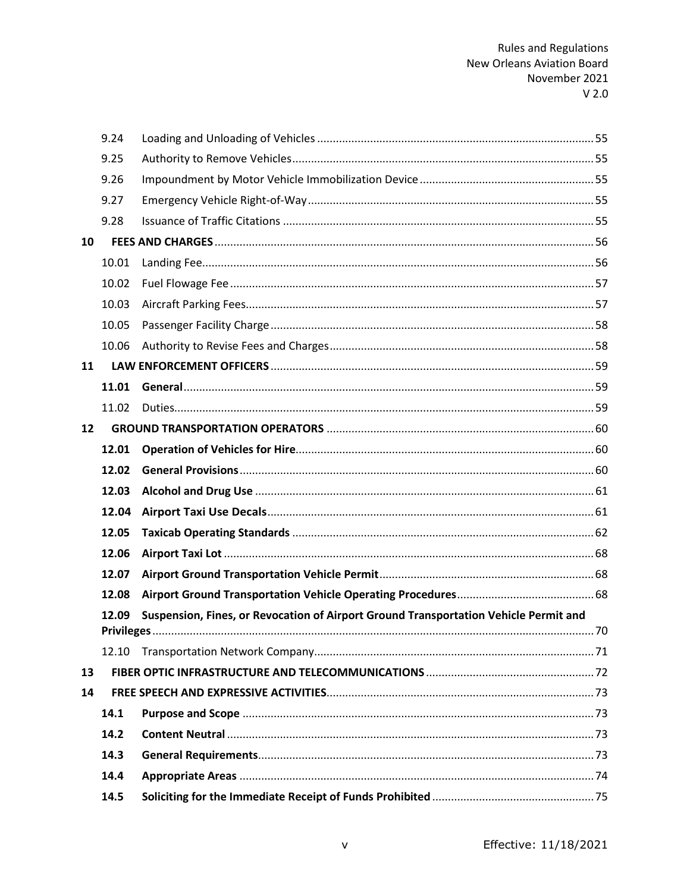|    | 9.24  |                                                                                      |  |
|----|-------|--------------------------------------------------------------------------------------|--|
|    | 9.25  |                                                                                      |  |
|    | 9.26  |                                                                                      |  |
|    | 9.27  |                                                                                      |  |
|    | 9.28  |                                                                                      |  |
| 10 |       |                                                                                      |  |
|    | 10.01 |                                                                                      |  |
|    | 10.02 |                                                                                      |  |
|    | 10.03 |                                                                                      |  |
|    | 10.05 |                                                                                      |  |
|    | 10.06 |                                                                                      |  |
| 11 |       |                                                                                      |  |
|    | 11.01 |                                                                                      |  |
|    | 11.02 |                                                                                      |  |
| 12 |       |                                                                                      |  |
|    | 12.01 |                                                                                      |  |
|    | 12.02 |                                                                                      |  |
|    | 12.03 |                                                                                      |  |
|    | 12.04 |                                                                                      |  |
|    | 12.05 |                                                                                      |  |
|    | 12.06 |                                                                                      |  |
|    | 12.07 |                                                                                      |  |
|    | 12.08 |                                                                                      |  |
|    | 12.09 | Suspension, Fines, or Revocation of Airport Ground Transportation Vehicle Permit and |  |
|    |       |                                                                                      |  |
|    | 12.10 |                                                                                      |  |
| 13 |       |                                                                                      |  |
| 14 |       |                                                                                      |  |
|    | 14.1  |                                                                                      |  |
|    | 14.2  |                                                                                      |  |
|    | 14.3  |                                                                                      |  |
|    | 14.4  |                                                                                      |  |
|    | 14.5  |                                                                                      |  |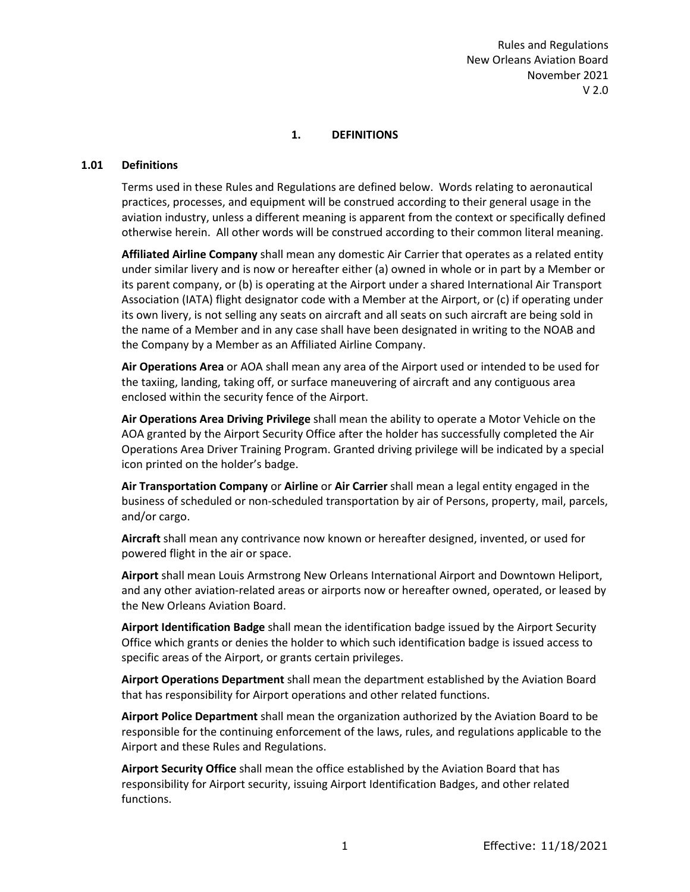# **1. DEFINITIONS**

#### <span id="page-8-1"></span><span id="page-8-0"></span>**1.01 Definitions**

Terms used in these Rules and Regulations are defined below. Words relating to aeronautical practices, processes, and equipment will be construed according to their general usage in the aviation industry, unless a different meaning is apparent from the context or specifically defined otherwise herein. All other words will be construed according to their common literal meaning.

**Affiliated Airline Company** shall mean any domestic Air Carrier that operates as a related entity under similar livery and is now or hereafter either (a) owned in whole or in part by a Member or its parent company, or (b) is operating at the Airport under a shared International Air Transport Association (IATA) flight designator code with a Member at the Airport, or (c) if operating under its own livery, is not selling any seats on aircraft and all seats on such aircraft are being sold in the name of a Member and in any case shall have been designated in writing to the NOAB and the Company by a Member as an Affiliated Airline Company.

**Air Operations Area** or AOA shall mean any area of the Airport used or intended to be used for the taxiing, landing, taking off, or surface maneuvering of aircraft and any contiguous area enclosed within the security fence of the Airport.

**Air Operations Area Driving Privilege** shall mean the ability to operate a Motor Vehicle on the AOA granted by the Airport Security Office after the holder has successfully completed the Air Operations Area Driver Training Program. Granted driving privilege will be indicated by a special icon printed on the holder's badge.

**Air Transportation Company** or **Airline** or **Air Carrier** shall mean a legal entity engaged in the business of scheduled or non-scheduled transportation by air of Persons, property, mail, parcels, and/or cargo.

**Aircraft** shall mean any contrivance now known or hereafter designed, invented, or used for powered flight in the air or space.

**Airport** shall mean Louis Armstrong New Orleans International Airport and Downtown Heliport, and any other aviation-related areas or airports now or hereafter owned, operated, or leased by the New Orleans Aviation Board.

**Airport Identification Badge** shall mean the identification badge issued by the Airport Security Office which grants or denies the holder to which such identification badge is issued access to specific areas of the Airport, or grants certain privileges.

**Airport Operations Department** shall mean the department established by the Aviation Board that has responsibility for Airport operations and other related functions.

**Airport Police Department** shall mean the organization authorized by the Aviation Board to be responsible for the continuing enforcement of the laws, rules, and regulations applicable to the Airport and these Rules and Regulations.

**Airport Security Office** shall mean the office established by the Aviation Board that has responsibility for Airport security, issuing Airport Identification Badges, and other related functions.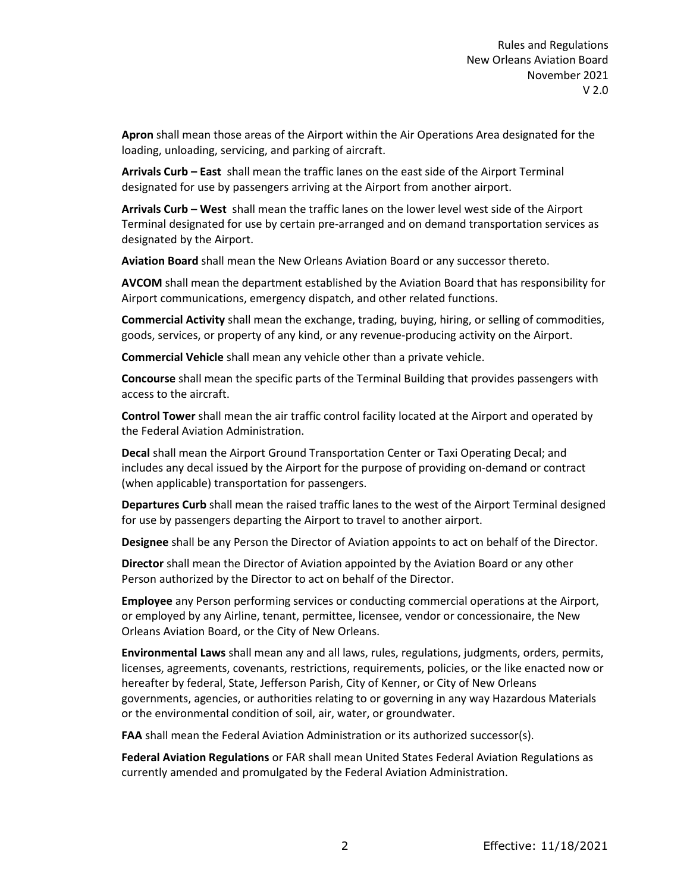**Apron** shall mean those areas of the Airport within the Air Operations Area designated for the loading, unloading, servicing, and parking of aircraft.

**Arrivals Curb – East** shall mean the traffic lanes on the east side of the Airport Terminal designated for use by passengers arriving at the Airport from another airport.

**Arrivals Curb – West** shall mean the traffic lanes on the lower level west side of the Airport Terminal designated for use by certain pre-arranged and on demand transportation services as designated by the Airport.

**Aviation Board** shall mean the New Orleans Aviation Board or any successor thereto.

**AVCOM** shall mean the department established by the Aviation Board that has responsibility for Airport communications, emergency dispatch, and other related functions.

**Commercial Activity** shall mean the exchange, trading, buying, hiring, or selling of commodities, goods, services, or property of any kind, or any revenue-producing activity on the Airport.

**Commercial Vehicle** shall mean any vehicle other than a private vehicle.

**Concourse** shall mean the specific parts of the Terminal Building that provides passengers with access to the aircraft.

**Control Tower** shall mean the air traffic control facility located at the Airport and operated by the Federal Aviation Administration.

**Decal** shall mean the Airport Ground Transportation Center or Taxi Operating Decal; and includes any decal issued by the Airport for the purpose of providing on-demand or contract (when applicable) transportation for passengers.

**Departures Curb** shall mean the raised traffic lanes to the west of the Airport Terminal designed for use by passengers departing the Airport to travel to another airport.

**Designee** shall be any Person the Director of Aviation appoints to act on behalf of the Director.

**Director** shall mean the Director of Aviation appointed by the Aviation Board or any other Person authorized by the Director to act on behalf of the Director.

**Employee** any Person performing services or conducting commercial operations at the Airport, or employed by any Airline, tenant, permittee, licensee, vendor or concessionaire, the New Orleans Aviation Board, or the City of New Orleans.

**Environmental Laws** shall mean any and all laws, rules, regulations, judgments, orders, permits, licenses, agreements, covenants, restrictions, requirements, policies, or the like enacted now or hereafter by federal, State, Jefferson Parish, City of Kenner, or City of New Orleans governments, agencies, or authorities relating to or governing in any way Hazardous Materials or the environmental condition of soil, air, water, or groundwater.

**FAA** shall mean the Federal Aviation Administration or its authorized successor(s).

**Federal Aviation Regulations** or FAR shall mean United States Federal Aviation Regulations as currently amended and promulgated by the Federal Aviation Administration.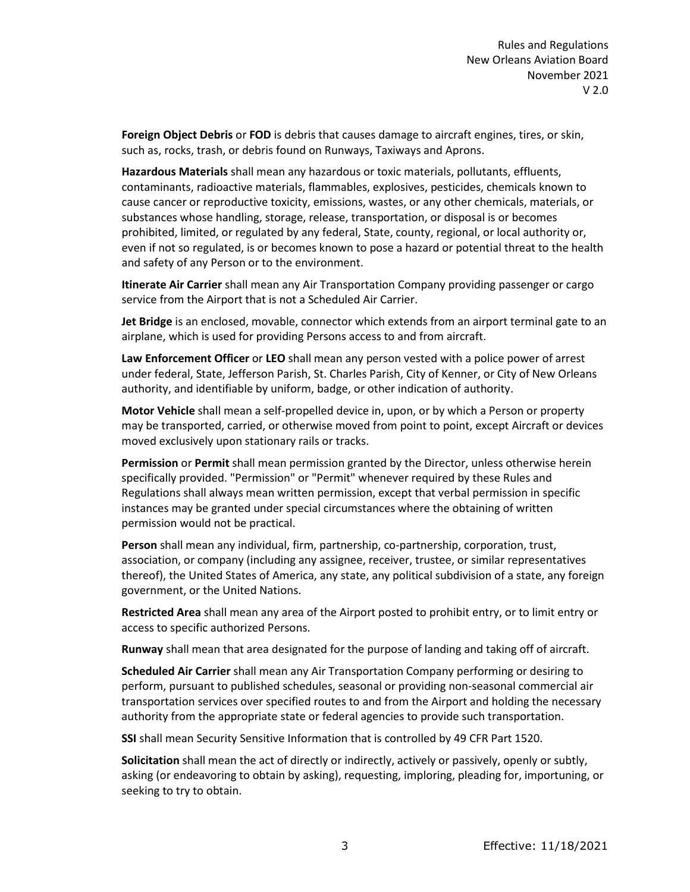**Foreign Object Debris** or **FOD** is debris that causes damage to aircraft engines, tires, or skin, such as, rocks, trash, or debris found on Runways, Taxiways and Aprons.

**Hazardous Materials** shall mean any hazardous or toxic materials, pollutants, effluents, contaminants, radioactive materials, flammables, explosives, pesticides, chemicals known to cause cancer or reproductive toxicity, emissions, wastes, or any other chemicals, materials, or substances whose handling, storage, release, transportation, or disposal is or becomes prohibited, limited, or regulated by any federal, State, county, regional, or local authority or, even if not so regulated, is or becomes known to pose a hazard or potential threat to the health and safety of any Person or to the environment.

**Itinerate Air Carrier** shall mean any Air Transportation Company providing passenger or cargo service from the Airport that is not a Scheduled Air Carrier.

**Jet Bridge** is an enclosed, movable, connector which extends from an airport terminal gate to an airplane, which is used for providing Persons access to and from aircraft.

**Law Enforcement Officer** or **LEO** shall mean any person vested with a police power of arrest under federal, State, Jefferson Parish, St. Charles Parish, City of Kenner, or City of New Orleans authority, and identifiable by uniform, badge, or other indication of authority.

**Motor Vehicle** shall mean a self-propelled device in, upon, or by which a Person or property may be transported, carried, or otherwise moved from point to point, except Aircraft or devices moved exclusively upon stationary rails or tracks.

**Permission** or **Permit** shall mean permission granted by the Director, unless otherwise herein specifically provided. "Permission" or "Permit" whenever required by these Rules and Regulations shall always mean written permission, except that verbal permission in specific instances may be granted under special circumstances where the obtaining of written permission would not be practical.

**Person** shall mean any individual, firm, partnership, co-partnership, corporation, trust, association, or company (including any assignee, receiver, trustee, or similar representatives thereof), the United States of America, any state, any political subdivision of a state, any foreign government, or the United Nations.

**Restricted Area** shall mean any area of the Airport posted to prohibit entry, or to limit entry or access to specific authorized Persons.

**Runway** shall mean that area designated for the purpose of landing and taking off of aircraft.

**Scheduled Air Carrier** shall mean any Air Transportation Company performing or desiring to perform, pursuant to published schedules, seasonal or providing non-seasonal commercial air transportation services over specified routes to and from the Airport and holding the necessary authority from the appropriate state or federal agencies to provide such transportation.

**SSI** shall mean Security Sensitive Information that is controlled by 49 CFR Part 1520.

**Solicitation** shall mean the act of directly or indirectly, actively or passively, openly or subtly, asking (or endeavoring to obtain by asking), requesting, imploring, pleading for, importuning, or seeking to try to obtain.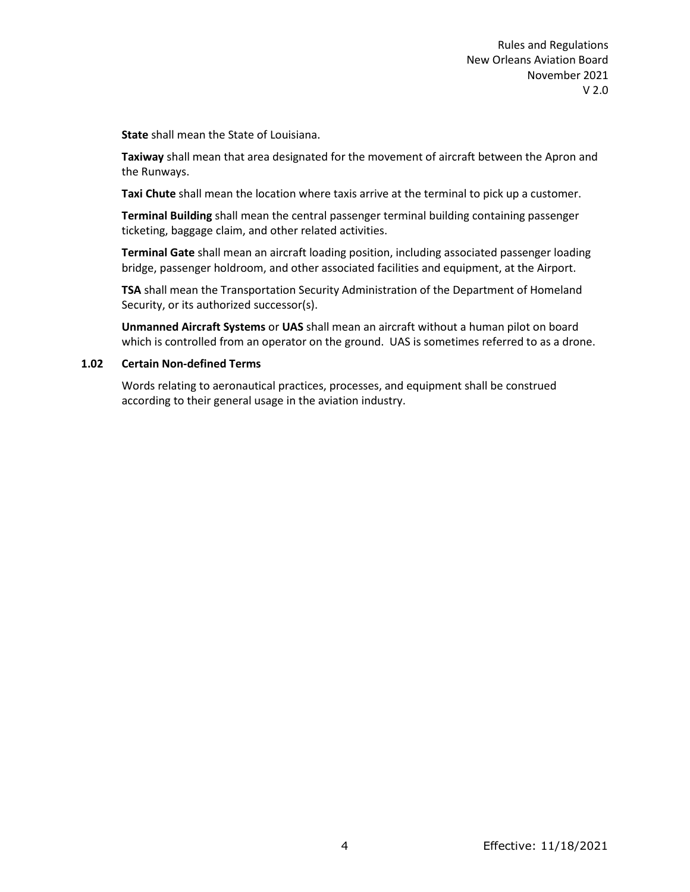**State** shall mean the State of Louisiana.

**Taxiway** shall mean that area designated for the movement of aircraft between the Apron and the Runways.

**Taxi Chute** shall mean the location where taxis arrive at the terminal to pick up a customer.

**Terminal Building** shall mean the central passenger terminal building containing passenger ticketing, baggage claim, and other related activities.

**Terminal Gate** shall mean an aircraft loading position, including associated passenger loading bridge, passenger holdroom, and other associated facilities and equipment, at the Airport.

**TSA** shall mean the Transportation Security Administration of the Department of Homeland Security, or its authorized successor(s).

**Unmanned Aircraft Systems** or **UAS** shall mean an aircraft without a human pilot on board which is controlled from an operator on the ground. UAS is sometimes referred to as a drone.

#### <span id="page-11-0"></span>**1.02 Certain Non-defined Terms**

Words relating to aeronautical practices, processes, and equipment shall be construed according to their general usage in the aviation industry.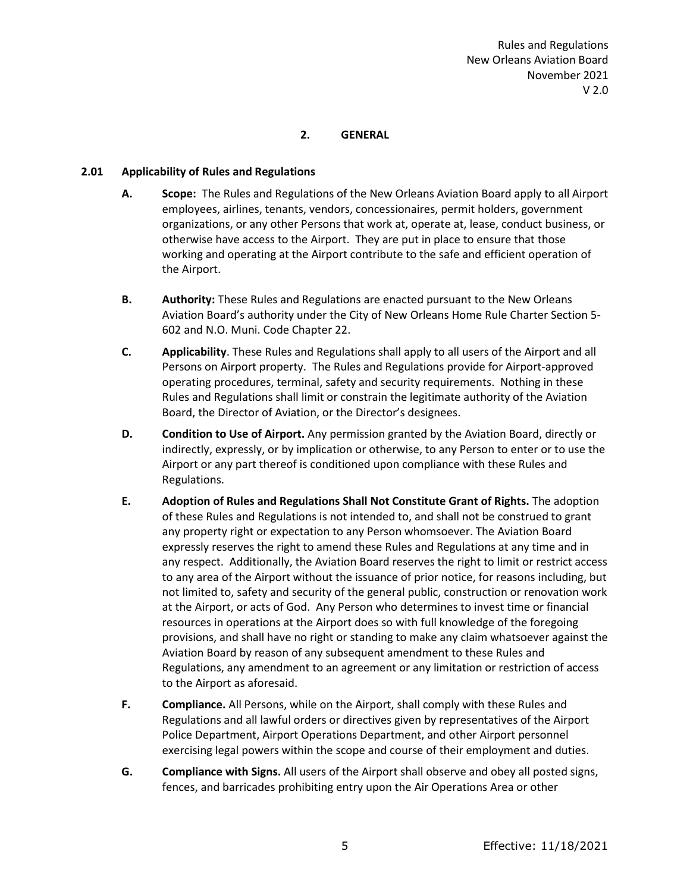# **2. GENERAL**

# <span id="page-12-1"></span><span id="page-12-0"></span>**2.01 Applicability of Rules and Regulations**

- **A. Scope:** The Rules and Regulations of the New Orleans Aviation Board apply to all Airport employees, airlines, tenants, vendors, concessionaires, permit holders, government organizations, or any other Persons that work at, operate at, lease, conduct business, or otherwise have access to the Airport. They are put in place to ensure that those working and operating at the Airport contribute to the safe and efficient operation of the Airport.
- **B. Authority:** These Rules and Regulations are enacted pursuant to the New Orleans Aviation Board's authority under the City of New Orleans Home Rule Charter Section 5- 602 and N.O. Muni. Code Chapter 22.
- **C. Applicability**. These Rules and Regulations shall apply to all users of the Airport and all Persons on Airport property. The Rules and Regulations provide for Airport-approved operating procedures, terminal, safety and security requirements. Nothing in these Rules and Regulations shall limit or constrain the legitimate authority of the Aviation Board, the Director of Aviation, or the Director's designees.
- **D. Condition to Use of Airport.** Any permission granted by the Aviation Board, directly or indirectly, expressly, or by implication or otherwise, to any Person to enter or to use the Airport or any part thereof is conditioned upon compliance with these Rules and Regulations.
- **E. Adoption of Rules and Regulations Shall Not Constitute Grant of Rights.** The adoption of these Rules and Regulations is not intended to, and shall not be construed to grant any property right or expectation to any Person whomsoever. The Aviation Board expressly reserves the right to amend these Rules and Regulations at any time and in any respect. Additionally, the Aviation Board reserves the right to limit or restrict access to any area of the Airport without the issuance of prior notice, for reasons including, but not limited to, safety and security of the general public, construction or renovation work at the Airport, or acts of God. Any Person who determines to invest time or financial resources in operations at the Airport does so with full knowledge of the foregoing provisions, and shall have no right or standing to make any claim whatsoever against the Aviation Board by reason of any subsequent amendment to these Rules and Regulations, any amendment to an agreement or any limitation or restriction of access to the Airport as aforesaid.
- **F. Compliance.** All Persons, while on the Airport, shall comply with these Rules and Regulations and all lawful orders or directives given by representatives of the Airport Police Department, Airport Operations Department, and other Airport personnel exercising legal powers within the scope and course of their employment and duties.
- **G. Compliance with Signs.** All users of the Airport shall observe and obey all posted signs, fences, and barricades prohibiting entry upon the Air Operations Area or other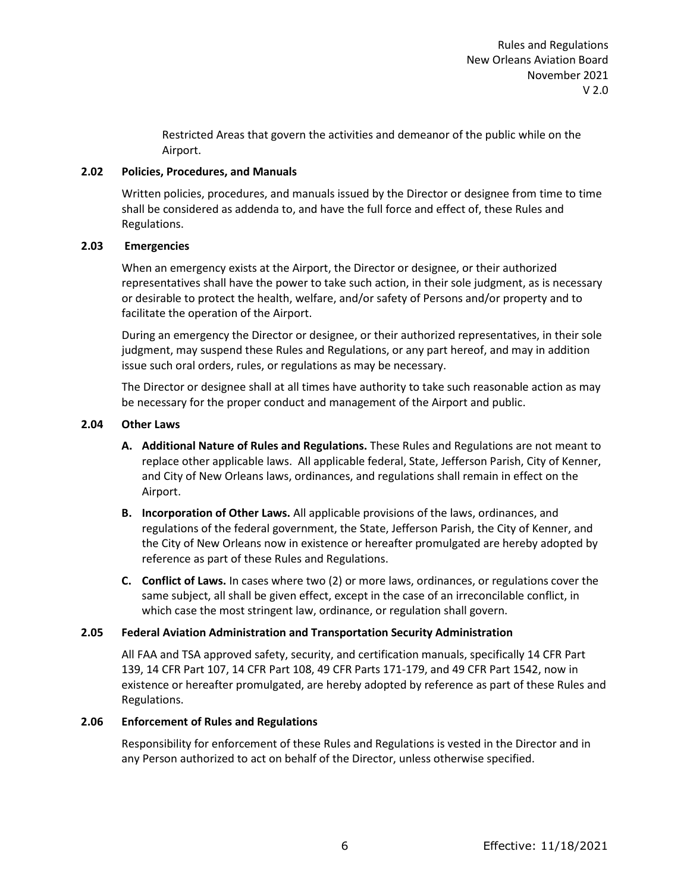Restricted Areas that govern the activities and demeanor of the public while on the Airport.

#### <span id="page-13-0"></span>**2.02 Policies, Procedures, and Manuals**

Written policies, procedures, and manuals issued by the Director or designee from time to time shall be considered as addenda to, and have the full force and effect of, these Rules and Regulations.

#### <span id="page-13-1"></span>**2.03 Emergencies**

When an emergency exists at the Airport, the Director or designee, or their authorized representatives shall have the power to take such action, in their sole judgment, as is necessary or desirable to protect the health, welfare, and/or safety of Persons and/or property and to facilitate the operation of the Airport.

During an emergency the Director or designee, or their authorized representatives, in their sole judgment, may suspend these Rules and Regulations, or any part hereof, and may in addition issue such oral orders, rules, or regulations as may be necessary.

The Director or designee shall at all times have authority to take such reasonable action as may be necessary for the proper conduct and management of the Airport and public.

#### <span id="page-13-2"></span>**2.04 Other Laws**

- **A. Additional Nature of Rules and Regulations.** These Rules and Regulations are not meant to replace other applicable laws. All applicable federal, State, Jefferson Parish, City of Kenner, and City of New Orleans laws, ordinances, and regulations shall remain in effect on the Airport.
- **B. Incorporation of Other Laws.** All applicable provisions of the laws, ordinances, and regulations of the federal government, the State, Jefferson Parish, the City of Kenner, and the City of New Orleans now in existence or hereafter promulgated are hereby adopted by reference as part of these Rules and Regulations.
- **C. Conflict of Laws.** In cases where two (2) or more laws, ordinances, or regulations cover the same subject, all shall be given effect, except in the case of an irreconcilable conflict, in which case the most stringent law, ordinance, or regulation shall govern.

# <span id="page-13-3"></span>**2.05 Federal Aviation Administration and Transportation Security Administration**

All FAA and TSA approved safety, security, and certification manuals, specifically 14 CFR Part 139, 14 CFR Part 107, 14 CFR Part 108, 49 CFR Parts 171-179, and 49 CFR Part 1542, now in existence or hereafter promulgated, are hereby adopted by reference as part of these Rules and Regulations.

#### <span id="page-13-4"></span>**2.06 Enforcement of Rules and Regulations**

Responsibility for enforcement of these Rules and Regulations is vested in the Director and in any Person authorized to act on behalf of the Director, unless otherwise specified.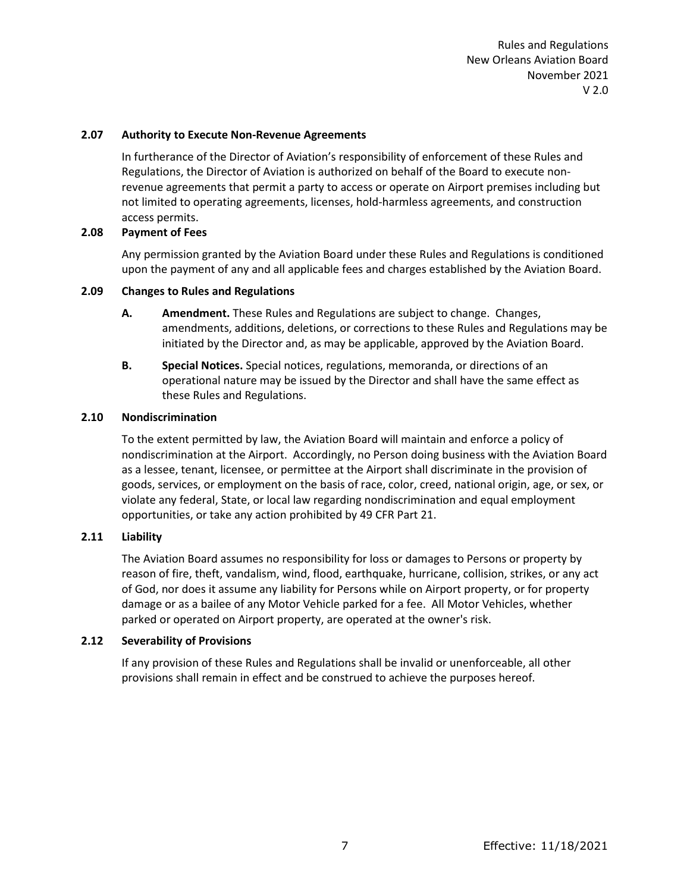#### <span id="page-14-0"></span>**2.07 Authority to Execute Non-Revenue Agreements**

In furtherance of the Director of Aviation's responsibility of enforcement of these Rules and Regulations, the Director of Aviation is authorized on behalf of the Board to execute nonrevenue agreements that permit a party to access or operate on Airport premises including but not limited to operating agreements, licenses, hold-harmless agreements, and construction access permits.

#### <span id="page-14-1"></span>**2.08 Payment of Fees**

Any permission granted by the Aviation Board under these Rules and Regulations is conditioned upon the payment of any and all applicable fees and charges established by the Aviation Board.

#### <span id="page-14-2"></span>**2.09 Changes to Rules and Regulations**

- **A. Amendment.** These Rules and Regulations are subject to change. Changes, amendments, additions, deletions, or corrections to these Rules and Regulations may be initiated by the Director and, as may be applicable, approved by the Aviation Board.
- **B. Special Notices.** Special notices, regulations, memoranda, or directions of an operational nature may be issued by the Director and shall have the same effect as these Rules and Regulations.

#### <span id="page-14-3"></span>**2.10 Nondiscrimination**

To the extent permitted by law, the Aviation Board will maintain and enforce a policy of nondiscrimination at the Airport. Accordingly, no Person doing business with the Aviation Board as a lessee, tenant, licensee, or permittee at the Airport shall discriminate in the provision of goods, services, or employment on the basis of race, color, creed, national origin, age, or sex, or violate any federal, State, or local law regarding nondiscrimination and equal employment opportunities, or take any action prohibited by 49 CFR Part 21.

# <span id="page-14-4"></span>**2.11 Liability**

The Aviation Board assumes no responsibility for loss or damages to Persons or property by reason of fire, theft, vandalism, wind, flood, earthquake, hurricane, collision, strikes, or any act of God, nor does it assume any liability for Persons while on Airport property, or for property damage or as a bailee of any Motor Vehicle parked for a fee. All Motor Vehicles, whether parked or operated on Airport property, are operated at the owner's risk.

# <span id="page-14-5"></span>**2.12 Severability of Provisions**

If any provision of these Rules and Regulations shall be invalid or unenforceable, all other provisions shall remain in effect and be construed to achieve the purposes hereof.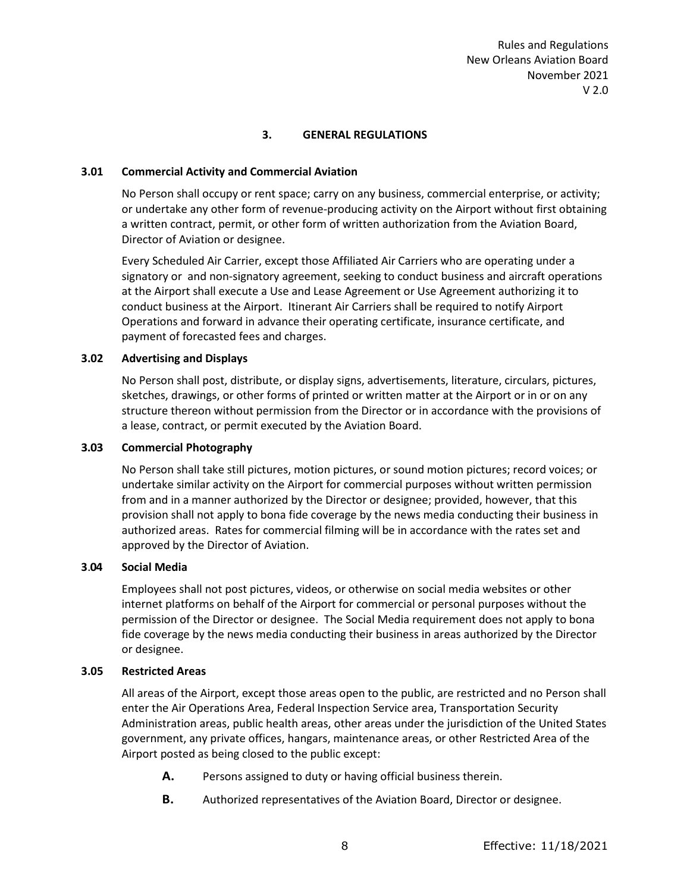# **3. GENERAL REGULATIONS**

#### <span id="page-15-1"></span><span id="page-15-0"></span>**3.01 Commercial Activity and Commercial Aviation**

No Person shall occupy or rent space; carry on any business, commercial enterprise, or activity; or undertake any other form of revenue-producing activity on the Airport without first obtaining a written contract, permit, or other form of written authorization from the Aviation Board, Director of Aviation or designee.

Every Scheduled Air Carrier, except those Affiliated Air Carriers who are operating under a signatory or and non-signatory agreement, seeking to conduct business and aircraft operations at the Airport shall execute a Use and Lease Agreement or Use Agreement authorizing it to conduct business at the Airport. Itinerant Air Carriers shall be required to notify Airport Operations and forward in advance their operating certificate, insurance certificate, and payment of forecasted fees and charges.

#### <span id="page-15-2"></span>**3.02 Advertising and Displays**

No Person shall post, distribute, or display signs, advertisements, literature, circulars, pictures, sketches, drawings, or other forms of printed or written matter at the Airport or in or on any structure thereon without permission from the Director or in accordance with the provisions of a lease, contract, or permit executed by the Aviation Board.

#### <span id="page-15-3"></span>**3.03 Commercial Photography**

No Person shall take still pictures, motion pictures, or sound motion pictures; record voices; or undertake similar activity on the Airport for commercial purposes without written permission from and in a manner authorized by the Director or designee; provided, however, that this provision shall not apply to bona fide coverage by the news media conducting their business in authorized areas. Rates for commercial filming will be in accordance with the rates set and approved by the Director of Aviation.

#### <span id="page-15-4"></span>**3**.**04 Social Media**

Employees shall not post pictures, videos, or otherwise on social media websites or other internet platforms on behalf of the Airport for commercial or personal purposes without the permission of the Director or designee. The Social Media requirement does not apply to bona fide coverage by the news media conducting their business in areas authorized by the Director or designee.

#### <span id="page-15-5"></span>**3.05 Restricted Areas**

All areas of the Airport, except those areas open to the public, are restricted and no Person shall enter the Air Operations Area, Federal Inspection Service area, Transportation Security Administration areas, public health areas, other areas under the jurisdiction of the United States government, any private offices, hangars, maintenance areas, or other Restricted Area of the Airport posted as being closed to the public except:

- **A.** Persons assigned to duty or having official business therein.
- **B.** Authorized representatives of the Aviation Board, Director or designee.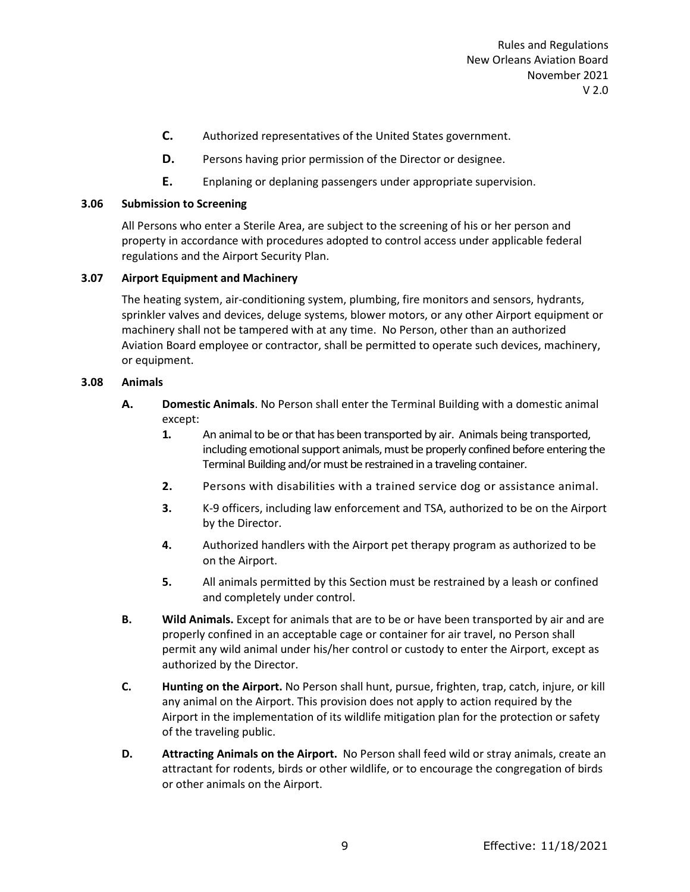- **C.** Authorized representatives of the United States government.
- **D.** Persons having prior permission of the Director or designee.
- **E.** Enplaning or deplaning passengers under appropriate supervision.

#### <span id="page-16-0"></span>**3.06 Submission to Screening**

All Persons who enter a Sterile Area, are subject to the screening of his or her person and property in accordance with procedures adopted to control access under applicable federal regulations and the Airport Security Plan.

#### <span id="page-16-1"></span>**3.07 Airport Equipment and Machinery**

The heating system, air-conditioning system, plumbing, fire monitors and sensors, hydrants, sprinkler valves and devices, deluge systems, blower motors, or any other Airport equipment or machinery shall not be tampered with at any time. No Person, other than an authorized Aviation Board employee or contractor, shall be permitted to operate such devices, machinery, or equipment.

#### <span id="page-16-2"></span>**3.08 Animals**

- **A. Domestic Animals**. No Person shall enter the Terminal Building with a domestic animal except:
	- **1.** An animal to be or that has been transported by air. Animals being transported, including emotional support animals, must be properly confined before entering the Terminal Building and/or must be restrained in a traveling container.
	- **2.** Persons with disabilities with a trained service dog or assistance animal.
	- **3.** K-9 officers, including law enforcement and TSA, authorized to be on the Airport by the Director.
	- **4.** Authorized handlers with the Airport pet therapy program as authorized to be on the Airport.
	- **5.** All animals permitted by this Section must be restrained by a leash or confined and completely under control.
- **B. Wild Animals.** Except for animals that are to be or have been transported by air and are properly confined in an acceptable cage or container for air travel, no Person shall permit any wild animal under his/her control or custody to enter the Airport, except as authorized by the Director.
- **C. Hunting on the Airport.** No Person shall hunt, pursue, frighten, trap, catch, injure, or kill any animal on the Airport. This provision does not apply to action required by the Airport in the implementation of its wildlife mitigation plan for the protection or safety of the traveling public.
- **D. Attracting Animals on the Airport.** No Person shall feed wild or stray animals, create an attractant for rodents, birds or other wildlife, or to encourage the congregation of birds or other animals on the Airport.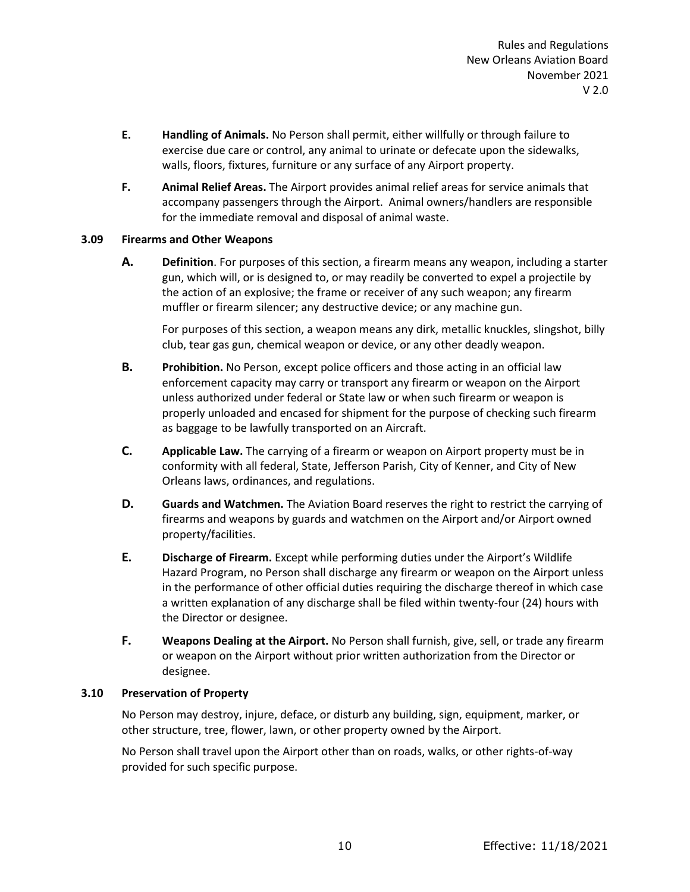- **E. Handling of Animals.** No Person shall permit, either willfully or through failure to exercise due care or control, any animal to urinate or defecate upon the sidewalks, walls, floors, fixtures, furniture or any surface of any Airport property.
- **F. Animal Relief Areas.** The Airport provides animal relief areas for service animals that accompany passengers through the Airport. Animal owners/handlers are responsible for the immediate removal and disposal of animal waste.

#### <span id="page-17-0"></span>**3.09 Firearms and Other Weapons**

**A. Definition**. For purposes of this section, a firearm means any weapon, including a starter gun, which will, or is designed to, or may readily be converted to expel a projectile by the action of an explosive; the frame or receiver of any such weapon; any firearm muffler or firearm silencer; any destructive device; or any machine gun.

For purposes of this section, a weapon means any dirk, metallic knuckles, slingshot, billy club, tear gas gun, chemical weapon or device, or any other deadly weapon.

- **B. Prohibition.** No Person, except police officers and those acting in an official law enforcement capacity may carry or transport any firearm or weapon on the Airport unless authorized under federal or State law or when such firearm or weapon is properly unloaded and encased for shipment for the purpose of checking such firearm as baggage to be lawfully transported on an Aircraft.
- **C. Applicable Law.** The carrying of a firearm or weapon on Airport property must be in conformity with all federal, State, Jefferson Parish, City of Kenner, and City of New Orleans laws, ordinances, and regulations.
- **D. Guards and Watchmen.** The Aviation Board reserves the right to restrict the carrying of firearms and weapons by guards and watchmen on the Airport and/or Airport owned property/facilities.
- **E. Discharge of Firearm.** Except while performing duties under the Airport's Wildlife Hazard Program, no Person shall discharge any firearm or weapon on the Airport unless in the performance of other official duties requiring the discharge thereof in which case a written explanation of any discharge shall be filed within twenty-four (24) hours with the Director or designee.
- **F. Weapons Dealing at the Airport.** No Person shall furnish, give, sell, or trade any firearm or weapon on the Airport without prior written authorization from the Director or designee.

#### <span id="page-17-1"></span>**3.10 Preservation of Property**

No Person may destroy, injure, deface, or disturb any building, sign, equipment, marker, or other structure, tree, flower, lawn, or other property owned by the Airport.

No Person shall travel upon the Airport other than on roads, walks, or other rights-of-way provided for such specific purpose.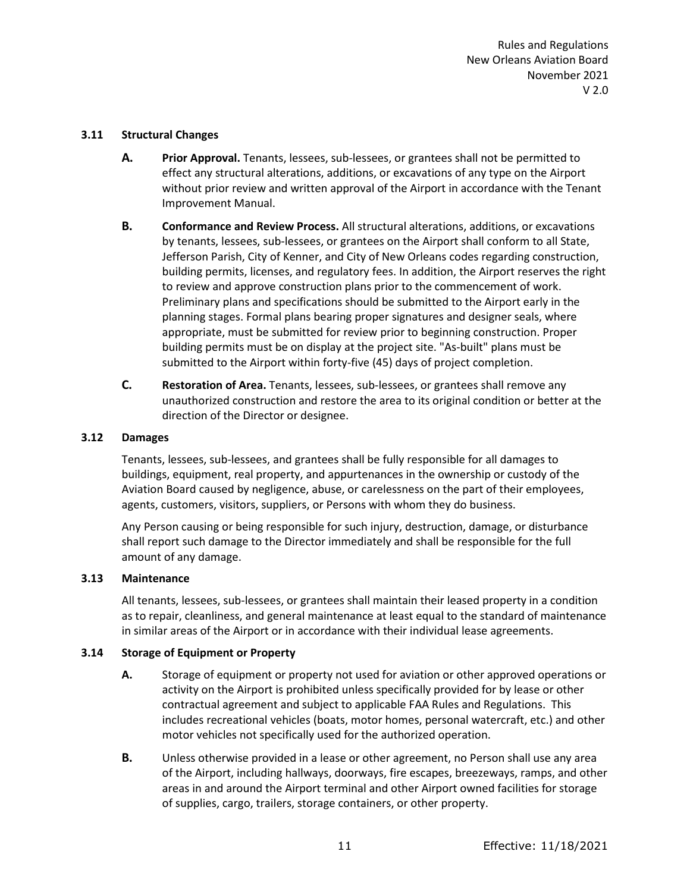#### <span id="page-18-0"></span>**3.11 Structural Changes**

- **A. Prior Approval.** Tenants, lessees, sub-lessees, or grantees shall not be permitted to effect any structural alterations, additions, or excavations of any type on the Airport without prior review and written approval of the Airport in accordance with the Tenant Improvement Manual.
- **B. Conformance and Review Process.** All structural alterations, additions, or excavations by tenants, lessees, sub-lessees, or grantees on the Airport shall conform to all State, Jefferson Parish, City of Kenner, and City of New Orleans codes regarding construction, building permits, licenses, and regulatory fees. In addition, the Airport reserves the right to review and approve construction plans prior to the commencement of work. Preliminary plans and specifications should be submitted to the Airport early in the planning stages. Formal plans bearing proper signatures and designer seals, where appropriate, must be submitted for review prior to beginning construction. Proper building permits must be on display at the project site. "As-built" plans must be submitted to the Airport within forty-five (45) days of project completion.
- **C. Restoration of Area.** Tenants, lessees, sub-lessees, or grantees shall remove any unauthorized construction and restore the area to its original condition or better at the direction of the Director or designee.

#### <span id="page-18-1"></span>**3.12 Damages**

Tenants, lessees, sub-lessees, and grantees shall be fully responsible for all damages to buildings, equipment, real property, and appurtenances in the ownership or custody of the Aviation Board caused by negligence, abuse, or carelessness on the part of their employees, agents, customers, visitors, suppliers, or Persons with whom they do business.

Any Person causing or being responsible for such injury, destruction, damage, or disturbance shall report such damage to the Director immediately and shall be responsible for the full amount of any damage.

#### <span id="page-18-2"></span>**3.13 Maintenance**

All tenants, lessees, sub-lessees, or grantees shall maintain their leased property in a condition as to repair, cleanliness, and general maintenance at least equal to the standard of maintenance in similar areas of the Airport or in accordance with their individual lease agreements.

# <span id="page-18-3"></span>**3.14 Storage of Equipment or Property**

- **A.** Storage of equipment or property not used for aviation or other approved operations or activity on the Airport is prohibited unless specifically provided for by lease or other contractual agreement and subject to applicable FAA Rules and Regulations. This includes recreational vehicles (boats, motor homes, personal watercraft, etc.) and other motor vehicles not specifically used for the authorized operation.
- **B.** Unless otherwise provided in a lease or other agreement, no Person shall use any area of the Airport, including hallways, doorways, fire escapes, breezeways, ramps, and other areas in and around the Airport terminal and other Airport owned facilities for storage of supplies, cargo, trailers, storage containers, or other property.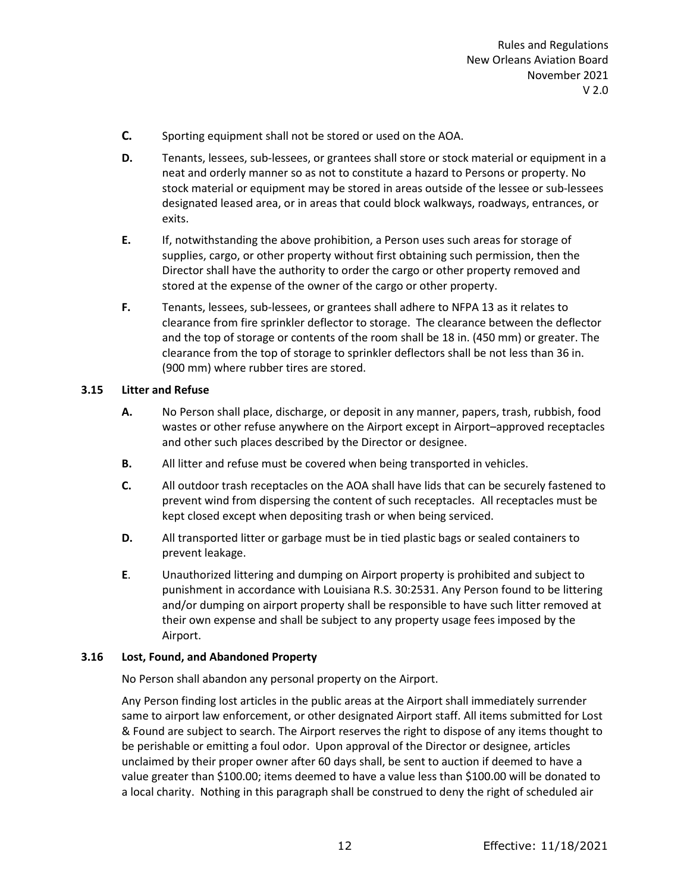- **C.** Sporting equipment shall not be stored or used on the AOA.
- **D.** Tenants, lessees, sub-lessees, or grantees shall store or stock material or equipment in a neat and orderly manner so as not to constitute a hazard to Persons or property. No stock material or equipment may be stored in areas outside of the lessee or sub-lessees designated leased area, or in areas that could block walkways, roadways, entrances, or exits.
- **E.** If, notwithstanding the above prohibition, a Person uses such areas for storage of supplies, cargo, or other property without first obtaining such permission, then the Director shall have the authority to order the cargo or other property removed and stored at the expense of the owner of the cargo or other property.
- **F.** Tenants, lessees, sub-lessees, or grantees shall adhere to NFPA 13 as it relates to clearance from fire sprinkler deflector to storage. The clearance between the deflector and the top of storage or contents of the room shall be 18 in. (450 mm) or greater. The clearance from the top of storage to sprinkler deflectors shall be not less than 36 in. (900 mm) where rubber tires are stored.

# <span id="page-19-0"></span>**3.15 Litter and Refuse**

- **A.** No Person shall place, discharge, or deposit in any manner, papers, trash, rubbish, food wastes or other refuse anywhere on the Airport except in Airport–approved receptacles and other such places described by the Director or designee.
- **B.** All litter and refuse must be covered when being transported in vehicles.
- **C.** All outdoor trash receptacles on the AOA shall have lids that can be securely fastened to prevent wind from dispersing the content of such receptacles. All receptacles must be kept closed except when depositing trash or when being serviced.
- **D.** All transported litter or garbage must be in tied plastic bags or sealed containers to prevent leakage.
- **E**. Unauthorized littering and dumping on Airport property is prohibited and subject to punishment in accordance with Louisiana R.S. 30:2531. Any Person found to be littering and/or dumping on airport property shall be responsible to have such litter removed at their own expense and shall be subject to any property usage fees imposed by the Airport.

# <span id="page-19-1"></span>**3.16 Lost, Found, and Abandoned Property**

No Person shall abandon any personal property on the Airport.

Any Person finding lost articles in the public areas at the Airport shall immediately surrender same to airport law enforcement, or other designated Airport staff. All items submitted for Lost & Found are subject to search. The Airport reserves the right to dispose of any items thought to be perishable or emitting a foul odor. Upon approval of the Director or designee, articles unclaimed by their proper owner after 60 days shall, be sent to auction if deemed to have a value greater than \$100.00; items deemed to have a value less than \$100.00 will be donated to a local charity. Nothing in this paragraph shall be construed to deny the right of scheduled air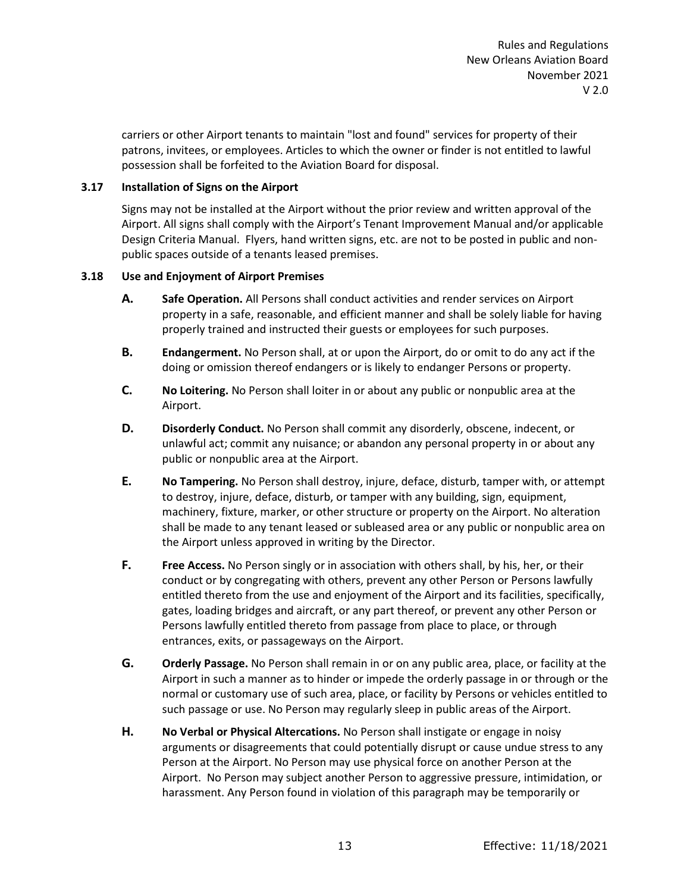carriers or other Airport tenants to maintain "lost and found" services for property of their patrons, invitees, or employees. Articles to which the owner or finder is not entitled to lawful possession shall be forfeited to the Aviation Board for disposal.

# <span id="page-20-0"></span>**3.17 Installation of Signs on the Airport**

Signs may not be installed at the Airport without the prior review and written approval of the Airport. All signs shall comply with the Airport's Tenant Improvement Manual and/or applicable Design Criteria Manual. Flyers, hand written signs, etc. are not to be posted in public and nonpublic spaces outside of a tenants leased premises.

#### <span id="page-20-1"></span>**3.18 Use and Enjoyment of Airport Premises**

- **A. Safe Operation.** All Persons shall conduct activities and render services on Airport property in a safe, reasonable, and efficient manner and shall be solely liable for having properly trained and instructed their guests or employees for such purposes.
- **B. Endangerment.** No Person shall, at or upon the Airport, do or omit to do any act if the doing or omission thereof endangers or is likely to endanger Persons or property.
- **C. No Loitering.** No Person shall loiter in or about any public or nonpublic area at the Airport.
- **D. Disorderly Conduct.** No Person shall commit any disorderly, obscene, indecent, or unlawful act; commit any nuisance; or abandon any personal property in or about any public or nonpublic area at the Airport.
- **E. No Tampering.** No Person shall destroy, injure, deface, disturb, tamper with, or attempt to destroy, injure, deface, disturb, or tamper with any building, sign, equipment, machinery, fixture, marker, or other structure or property on the Airport. No alteration shall be made to any tenant leased or subleased area or any public or nonpublic area on the Airport unless approved in writing by the Director.
- **F. Free Access.** No Person singly or in association with others shall, by his, her, or their conduct or by congregating with others, prevent any other Person or Persons lawfully entitled thereto from the use and enjoyment of the Airport and its facilities, specifically, gates, loading bridges and aircraft, or any part thereof, or prevent any other Person or Persons lawfully entitled thereto from passage from place to place, or through entrances, exits, or passageways on the Airport.
- **G. Orderly Passage.** No Person shall remain in or on any public area, place, or facility at the Airport in such a manner as to hinder or impede the orderly passage in or through or the normal or customary use of such area, place, or facility by Persons or vehicles entitled to such passage or use. No Person may regularly sleep in public areas of the Airport.
- **H. No Verbal or Physical Altercations.** No Person shall instigate or engage in noisy arguments or disagreements that could potentially disrupt or cause undue stress to any Person at the Airport. No Person may use physical force on another Person at the Airport. No Person may subject another Person to aggressive pressure, intimidation, or harassment. Any Person found in violation of this paragraph may be temporarily or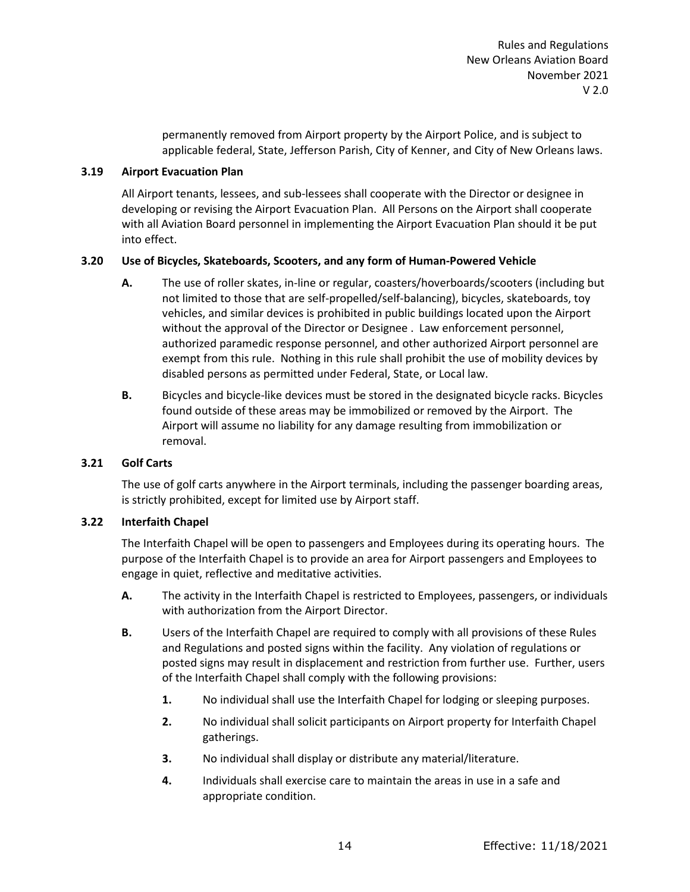permanently removed from Airport property by the Airport Police, and is subject to applicable federal, State, Jefferson Parish, City of Kenner, and City of New Orleans laws.

#### <span id="page-21-0"></span>**3.19 Airport Evacuation Plan**

All Airport tenants, lessees, and sub-lessees shall cooperate with the Director or designee in developing or revising the Airport Evacuation Plan. All Persons on the Airport shall cooperate with all Aviation Board personnel in implementing the Airport Evacuation Plan should it be put into effect.

# <span id="page-21-1"></span>**3.20 Use of Bicycles, Skateboards, Scooters, and any form of Human-Powered Vehicle**

- **A.** The use of roller skates, in-line or regular, coasters/hoverboards/scooters (including but not limited to those that are self-propelled/self-balancing), bicycles, skateboards, toy vehicles, and similar devices is prohibited in public buildings located upon the Airport without the approval of the Director or Designee . Law enforcement personnel, authorized paramedic response personnel, and other authorized Airport personnel are exempt from this rule. Nothing in this rule shall prohibit the use of mobility devices by disabled persons as permitted under Federal, State, or Local law.
- **B.** Bicycles and bicycle-like devices must be stored in the designated bicycle racks. Bicycles found outside of these areas may be immobilized or removed by the Airport. The Airport will assume no liability for any damage resulting from immobilization or removal.

#### <span id="page-21-2"></span>**3.21 Golf Carts**

The use of golf carts anywhere in the Airport terminals, including the passenger boarding areas, is strictly prohibited, except for limited use by Airport staff.

# <span id="page-21-3"></span>**3.22 Interfaith Chapel**

The Interfaith Chapel will be open to passengers and Employees during its operating hours. The purpose of the Interfaith Chapel is to provide an area for Airport passengers and Employees to engage in quiet, reflective and meditative activities.

- **A.** The activity in the Interfaith Chapel is restricted to Employees, passengers, or individuals with authorization from the Airport Director.
- **B.** Users of the Interfaith Chapel are required to comply with all provisions of these Rules and Regulations and posted signs within the facility. Any violation of regulations or posted signs may result in displacement and restriction from further use. Further, users of the Interfaith Chapel shall comply with the following provisions:
	- **1.** No individual shall use the Interfaith Chapel for lodging or sleeping purposes.
	- **2.** No individual shall solicit participants on Airport property for Interfaith Chapel gatherings.
	- **3.** No individual shall display or distribute any material/literature.
	- **4.** Individuals shall exercise care to maintain the areas in use in a safe and appropriate condition.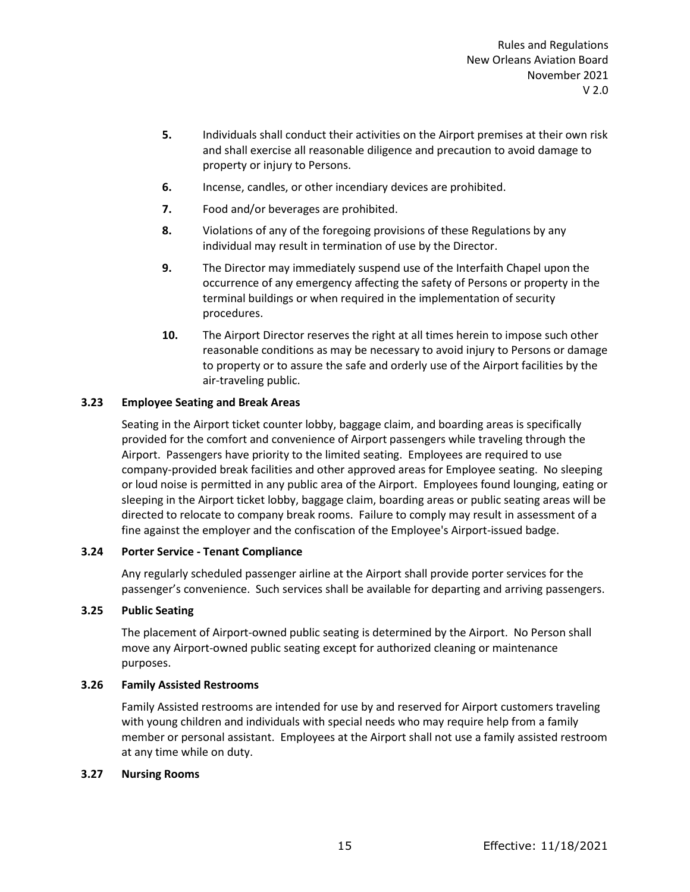- **5.** Individuals shall conduct their activities on the Airport premises at their own risk and shall exercise all reasonable diligence and precaution to avoid damage to property or injury to Persons.
- **6.** Incense, candles, or other incendiary devices are prohibited.
- **7.** Food and/or beverages are prohibited.
- **8.** Violations of any of the foregoing provisions of these Regulations by any individual may result in termination of use by the Director.
- **9.** The Director may immediately suspend use of the Interfaith Chapel upon the occurrence of any emergency affecting the safety of Persons or property in the terminal buildings or when required in the implementation of security procedures.
- **10.** The Airport Director reserves the right at all times herein to impose such other reasonable conditions as may be necessary to avoid injury to Persons or damage to property or to assure the safe and orderly use of the Airport facilities by the air-traveling public.

# <span id="page-22-0"></span>**3.23 Employee Seating and Break Areas**

Seating in the Airport ticket counter lobby, baggage claim, and boarding areas is specifically provided for the comfort and convenience of Airport passengers while traveling through the Airport. Passengers have priority to the limited seating. Employees are required to use company-provided break facilities and other approved areas for Employee seating. No sleeping or loud noise is permitted in any public area of the Airport. Employees found lounging, eating or sleeping in the Airport ticket lobby, baggage claim, boarding areas or public seating areas will be directed to relocate to company break rooms. Failure to comply may result in assessment of a fine against the employer and the confiscation of the Employee's Airport-issued badge.

# <span id="page-22-1"></span>**3.24 Porter Service - Tenant Compliance**

Any regularly scheduled passenger airline at the Airport shall provide porter services for the passenger's convenience. Such services shall be available for departing and arriving passengers.

# <span id="page-22-2"></span>**3.25 Public Seating**

The placement of Airport-owned public seating is determined by the Airport. No Person shall move any Airport-owned public seating except for authorized cleaning or maintenance purposes.

# <span id="page-22-3"></span>**3.26 Family Assisted Restrooms**

Family Assisted restrooms are intended for use by and reserved for Airport customers traveling with young children and individuals with special needs who may require help from a family member or personal assistant. Employees at the Airport shall not use a family assisted restroom at any time while on duty.

# **3.27 Nursing Rooms**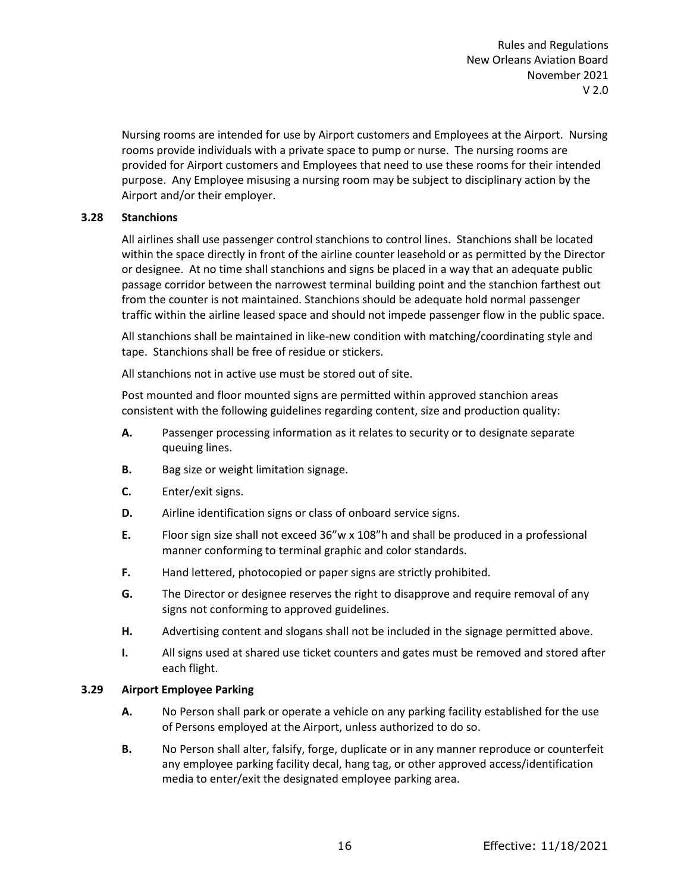Nursing rooms are intended for use by Airport customers and Employees at the Airport. Nursing rooms provide individuals with a private space to pump or nurse. The nursing rooms are provided for Airport customers and Employees that need to use these rooms for their intended purpose. Any Employee misusing a nursing room may be subject to disciplinary action by the Airport and/or their employer.

# <span id="page-23-0"></span>**3.28 Stanchions**

All airlines shall use passenger control stanchions to control lines. Stanchions shall be located within the space directly in front of the airline counter leasehold or as permitted by the Director or designee. At no time shall stanchions and signs be placed in a way that an adequate public passage corridor between the narrowest terminal building point and the stanchion farthest out from the counter is not maintained. Stanchions should be adequate hold normal passenger traffic within the airline leased space and should not impede passenger flow in the public space.

All stanchions shall be maintained in like-new condition with matching/coordinating style and tape. Stanchions shall be free of residue or stickers.

All stanchions not in active use must be stored out of site.

Post mounted and floor mounted signs are permitted within approved stanchion areas consistent with the following guidelines regarding content, size and production quality:

- **A.** Passenger processing information as it relates to security or to designate separate queuing lines.
- **B.** Bag size or weight limitation signage.
- **C.** Enter/exit signs.
- **D.** Airline identification signs or class of onboard service signs.
- **E.** Floor sign size shall not exceed 36"w x 108"h and shall be produced in a professional manner conforming to terminal graphic and color standards.
- **F.** Hand lettered, photocopied or paper signs are strictly prohibited.
- **G.** The Director or designee reserves the right to disapprove and require removal of any signs not conforming to approved guidelines.
- **H.** Advertising content and slogans shall not be included in the signage permitted above.
- **I.** All signs used at shared use ticket counters and gates must be removed and stored after each flight.

#### <span id="page-23-1"></span>**3.29 Airport Employee Parking**

- **A.** No Person shall park or operate a vehicle on any parking facility established for the use of Persons employed at the Airport, unless authorized to do so.
- **B.** No Person shall alter, falsify, forge, duplicate or in any manner reproduce or counterfeit any employee parking facility decal, hang tag, or other approved access/identification media to enter/exit the designated employee parking area.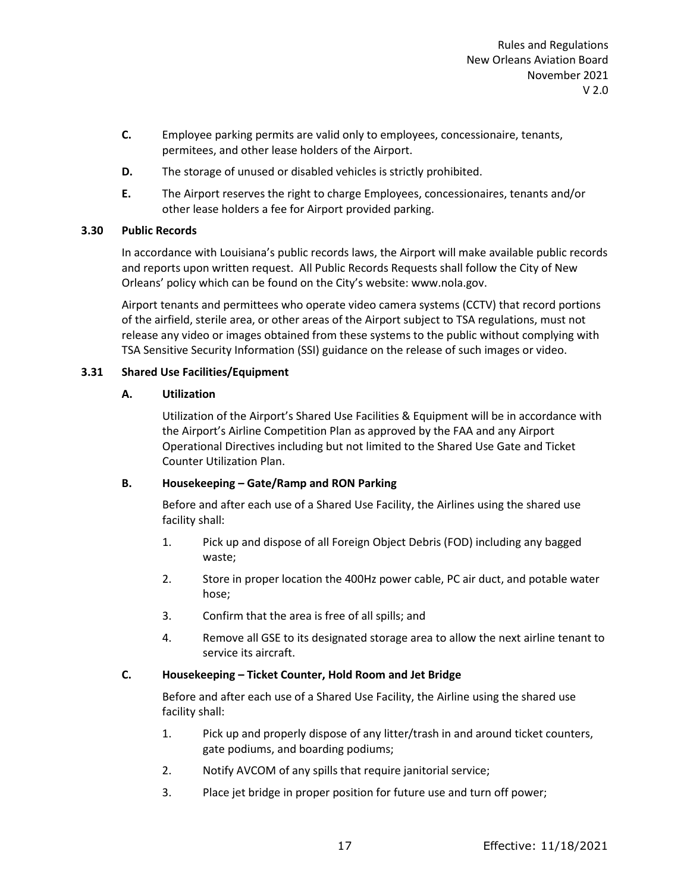- **C.** Employee parking permits are valid only to employees, concessionaire, tenants, permitees, and other lease holders of the Airport.
- **D.** The storage of unused or disabled vehicles is strictly prohibited.
- **E.** The Airport reserves the right to charge Employees, concessionaires, tenants and/or other lease holders a fee for Airport provided parking.

# <span id="page-24-0"></span>**3.30 Public Records**

In accordance with Louisiana's public records laws, the Airport will make available public records and reports upon written request. All Public Records Requests shall follow the City of New Orleans' policy which can be found on the City's website: www.nola.gov.

Airport tenants and permittees who operate video camera systems (CCTV) that record portions of the airfield, sterile area, or other areas of the Airport subject to TSA regulations, must not release any video or images obtained from these systems to the public without complying with TSA Sensitive Security Information (SSI) guidance on the release of such images or video.

#### <span id="page-24-1"></span>**3.31 Shared Use Facilities/Equipment**

#### **A. Utilization**

Utilization of the Airport's Shared Use Facilities & Equipment will be in accordance with the Airport's Airline Competition Plan as approved by the FAA and any Airport Operational Directives including but not limited to the Shared Use Gate and Ticket Counter Utilization Plan.

# **B. Housekeeping – Gate/Ramp and RON Parking**

Before and after each use of a Shared Use Facility, the Airlines using the shared use facility shall:

- 1. Pick up and dispose of all Foreign Object Debris (FOD) including any bagged waste;
- 2. Store in proper location the 400Hz power cable, PC air duct, and potable water hose;
- 3. Confirm that the area is free of all spills; and
- 4. Remove all GSE to its designated storage area to allow the next airline tenant to service its aircraft.

# **C. Housekeeping – Ticket Counter, Hold Room and Jet Bridge**

Before and after each use of a Shared Use Facility, the Airline using the shared use facility shall:

- 1. Pick up and properly dispose of any litter/trash in and around ticket counters, gate podiums, and boarding podiums;
- 2. Notify AVCOM of any spills that require janitorial service;
- 3. Place jet bridge in proper position for future use and turn off power;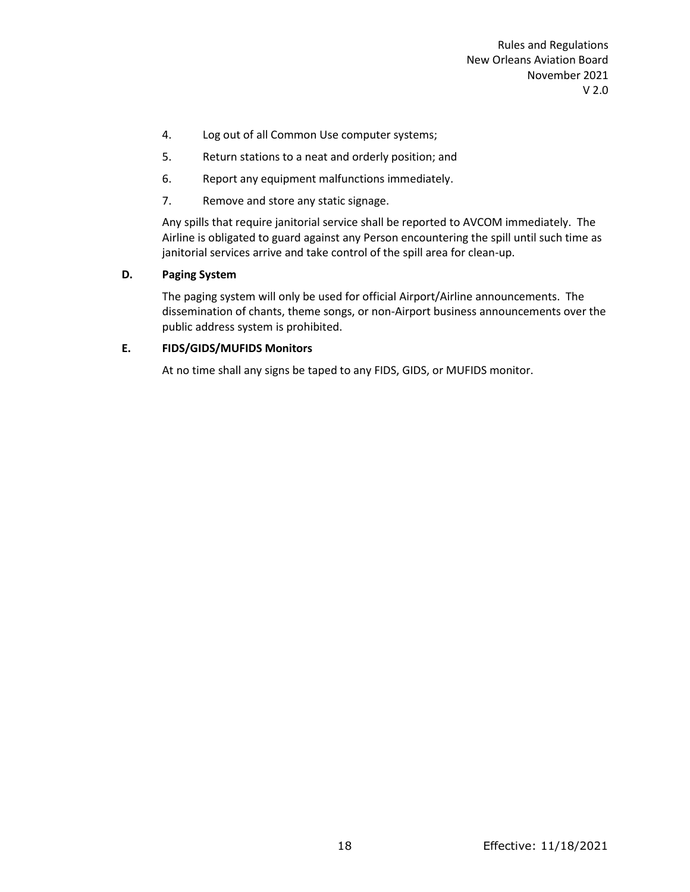- 4. Log out of all Common Use computer systems;
- 5. Return stations to a neat and orderly position; and
- 6. Report any equipment malfunctions immediately.
- 7. Remove and store any static signage.

Any spills that require janitorial service shall be reported to AVCOM immediately. The Airline is obligated to guard against any Person encountering the spill until such time as janitorial services arrive and take control of the spill area for clean-up.

# **D. Paging System**

The paging system will only be used for official Airport/Airline announcements. The dissemination of chants, theme songs, or non-Airport business announcements over the public address system is prohibited.

# **E. FIDS/GIDS/MUFIDS Monitors**

At no time shall any signs be taped to any FIDS, GIDS, or MUFIDS monitor.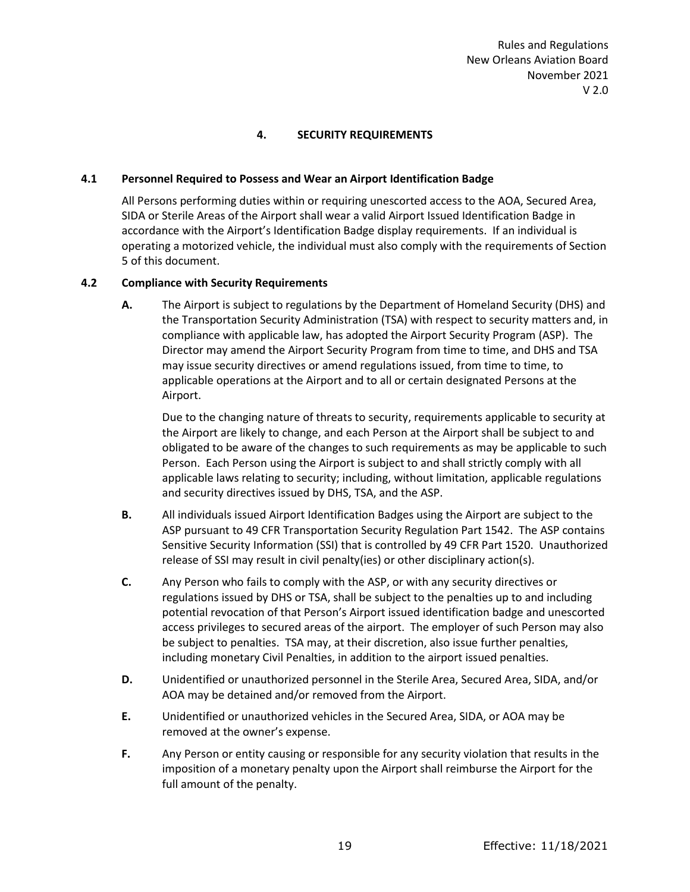# **4. SECURITY REQUIREMENTS**

#### <span id="page-26-1"></span><span id="page-26-0"></span>**4.1 Personnel Required to Possess and Wear an Airport Identification Badge**

All Persons performing duties within or requiring unescorted access to the AOA, Secured Area, SIDA or Sterile Areas of the Airport shall wear a valid Airport Issued Identification Badge in accordance with the Airport's Identification Badge display requirements. If an individual is operating a motorized vehicle, the individual must also comply with the requirements of Section 5 of this document.

#### <span id="page-26-2"></span>**4.2 Compliance with Security Requirements**

**A.** The Airport is subject to regulations by the Department of Homeland Security (DHS) and the Transportation Security Administration (TSA) with respect to security matters and, in compliance with applicable law, has adopted the Airport Security Program (ASP). The Director may amend the Airport Security Program from time to time, and DHS and TSA may issue security directives or amend regulations issued, from time to time, to applicable operations at the Airport and to all or certain designated Persons at the Airport.

Due to the changing nature of threats to security, requirements applicable to security at the Airport are likely to change, and each Person at the Airport shall be subject to and obligated to be aware of the changes to such requirements as may be applicable to such Person. Each Person using the Airport is subject to and shall strictly comply with all applicable laws relating to security; including, without limitation, applicable regulations and security directives issued by DHS, TSA, and the ASP.

- **B.** All individuals issued Airport Identification Badges using the Airport are subject to the ASP pursuant to 49 CFR Transportation Security Regulation Part 1542. The ASP contains Sensitive Security Information (SSI) that is controlled by 49 CFR Part 1520. Unauthorized release of SSI may result in civil penalty(ies) or other disciplinary action(s).
- **C.** Any Person who fails to comply with the ASP, or with any security directives or regulations issued by DHS or TSA, shall be subject to the penalties up to and including potential revocation of that Person's Airport issued identification badge and unescorted access privileges to secured areas of the airport. The employer of such Person may also be subject to penalties. TSA may, at their discretion, also issue further penalties, including monetary Civil Penalties, in addition to the airport issued penalties.
- **D.** Unidentified or unauthorized personnel in the Sterile Area, Secured Area, SIDA, and/or AOA may be detained and/or removed from the Airport.
- **E.** Unidentified or unauthorized vehicles in the Secured Area, SIDA, or AOA may be removed at the owner's expense.
- **F.** Any Person or entity causing or responsible for any security violation that results in the imposition of a monetary penalty upon the Airport shall reimburse the Airport for the full amount of the penalty.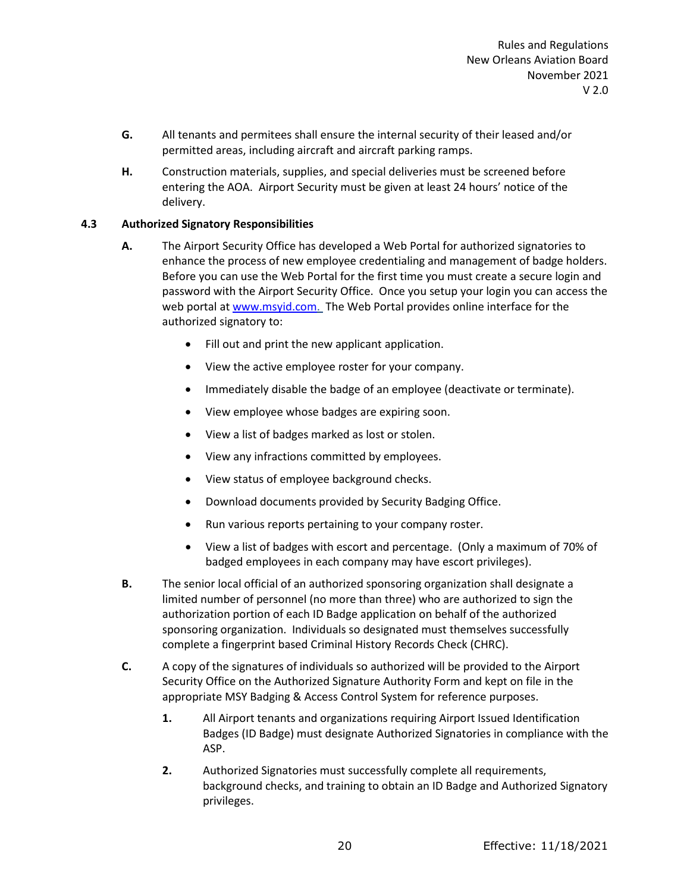- **G.** All tenants and permitees shall ensure the internal security of their leased and/or permitted areas, including aircraft and aircraft parking ramps.
- **H.** Construction materials, supplies, and special deliveries must be screened before entering the AOA. Airport Security must be given at least 24 hours' notice of the delivery.

# <span id="page-27-0"></span>**4.3 Authorized Signatory Responsibilities**

- **A.** The Airport Security Office has developed a Web Portal for authorized signatories to enhance the process of new employee credentialing and management of badge holders. Before you can use the Web Portal for the first time you must create a secure login and password with the Airport Security Office. Once you setup your login you can access the web portal a[t www.msyid.com.](http://www.msyid.com/) The Web Portal provides online interface for the authorized signatory to:
	- Fill out and print the new applicant application.
	- View the active employee roster for your company.
	- Immediately disable the badge of an employee (deactivate or terminate).
	- View employee whose badges are expiring soon.
	- View a list of badges marked as lost or stolen.
	- View any infractions committed by employees.
	- View status of employee background checks.
	- Download documents provided by Security Badging Office.
	- Run various reports pertaining to your company roster.
	- View a list of badges with escort and percentage. (Only a maximum of 70% of badged employees in each company may have escort privileges).
- **B.** The senior local official of an authorized sponsoring organization shall designate a limited number of personnel (no more than three) who are authorized to sign the authorization portion of each ID Badge application on behalf of the authorized sponsoring organization. Individuals so designated must themselves successfully complete a fingerprint based Criminal History Records Check (CHRC).
- **C.** A copy of the signatures of individuals so authorized will be provided to the Airport Security Office on the Authorized Signature Authority Form and kept on file in the appropriate MSY Badging & Access Control System for reference purposes.
	- **1.** All Airport tenants and organizations requiring Airport Issued Identification Badges (ID Badge) must designate Authorized Signatories in compliance with the ASP.
	- **2.** Authorized Signatories must successfully complete all requirements, background checks, and training to obtain an ID Badge and Authorized Signatory privileges.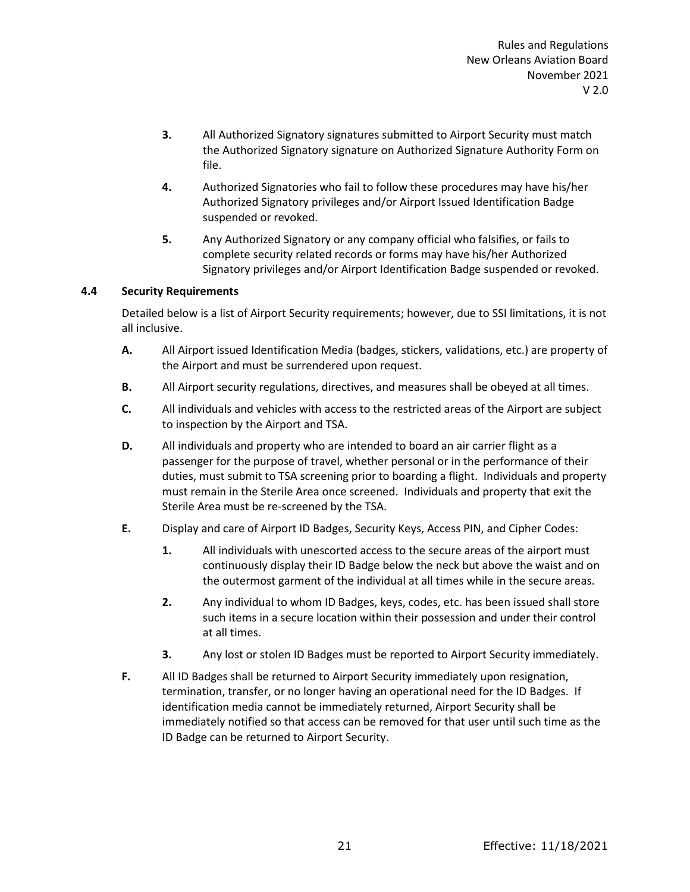- **3.** All Authorized Signatory signatures submitted to Airport Security must match the Authorized Signatory signature on Authorized Signature Authority Form on file.
- **4.** Authorized Signatories who fail to follow these procedures may have his/her Authorized Signatory privileges and/or Airport Issued Identification Badge suspended or revoked.
- **5.** Any Authorized Signatory or any company official who falsifies, or fails to complete security related records or forms may have his/her Authorized Signatory privileges and/or Airport Identification Badge suspended or revoked.

# <span id="page-28-0"></span>**4.4 Security Requirements**

Detailed below is a list of Airport Security requirements; however, due to SSI limitations, it is not all inclusive.

- **A.** All Airport issued Identification Media (badges, stickers, validations, etc.) are property of the Airport and must be surrendered upon request.
- **B.** All Airport security regulations, directives, and measures shall be obeyed at all times.
- **C.** All individuals and vehicles with access to the restricted areas of the Airport are subject to inspection by the Airport and TSA.
- **D.** All individuals and property who are intended to board an air carrier flight as a passenger for the purpose of travel, whether personal or in the performance of their duties, must submit to TSA screening prior to boarding a flight. Individuals and property must remain in the Sterile Area once screened. Individuals and property that exit the Sterile Area must be re-screened by the TSA.
- **E.** Display and care of Airport ID Badges, Security Keys, Access PIN, and Cipher Codes:
	- **1.** All individuals with unescorted access to the secure areas of the airport must continuously display their ID Badge below the neck but above the waist and on the outermost garment of the individual at all times while in the secure areas.
	- **2.** Any individual to whom ID Badges, keys, codes, etc. has been issued shall store such items in a secure location within their possession and under their control at all times.
	- **3.** Any lost or stolen ID Badges must be reported to Airport Security immediately.
- **F.** All ID Badges shall be returned to Airport Security immediately upon resignation, termination, transfer, or no longer having an operational need for the ID Badges. If identification media cannot be immediately returned, Airport Security shall be immediately notified so that access can be removed for that user until such time as the ID Badge can be returned to Airport Security.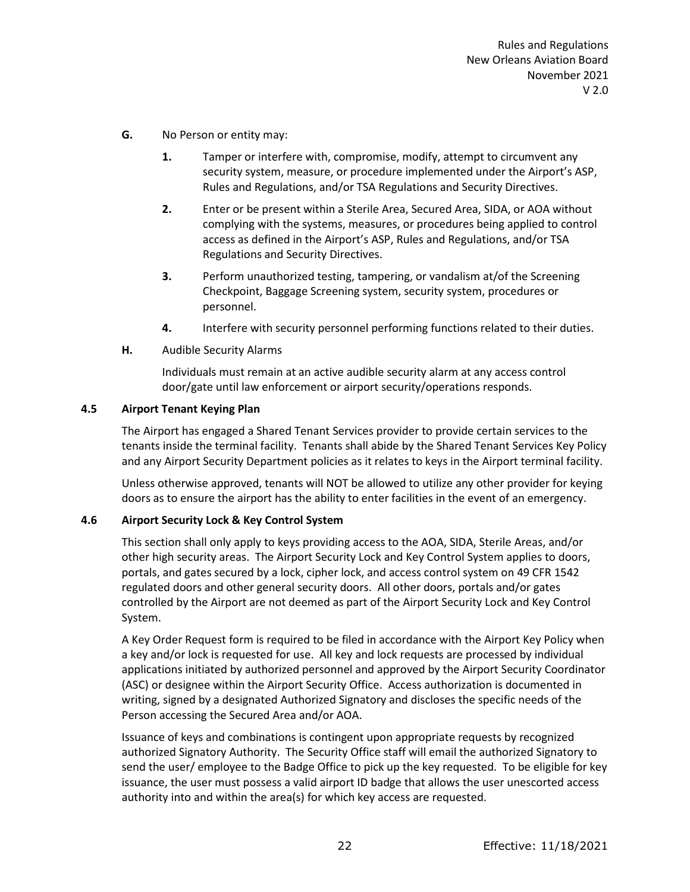- **G.** No Person or entity may:
	- **1.** Tamper or interfere with, compromise, modify, attempt to circumvent any security system, measure, or procedure implemented under the Airport's ASP, Rules and Regulations, and/or TSA Regulations and Security Directives.
	- **2.** Enter or be present within a Sterile Area, Secured Area, SIDA, or AOA without complying with the systems, measures, or procedures being applied to control access as defined in the Airport's ASP, Rules and Regulations, and/or TSA Regulations and Security Directives.
	- **3.** Perform unauthorized testing, tampering, or vandalism at/of the Screening Checkpoint, Baggage Screening system, security system, procedures or personnel.
	- **4.** Interfere with security personnel performing functions related to their duties.
- **H.** Audible Security Alarms

Individuals must remain at an active audible security alarm at any access control door/gate until law enforcement or airport security/operations responds.

# <span id="page-29-0"></span>**4.5 Airport Tenant Keying Plan**

The Airport has engaged a Shared Tenant Services provider to provide certain services to the tenants inside the terminal facility. Tenants shall abide by the Shared Tenant Services Key Policy and any Airport Security Department policies as it relates to keys in the Airport terminal facility.

Unless otherwise approved, tenants will NOT be allowed to utilize any other provider for keying doors as to ensure the airport has the ability to enter facilities in the event of an emergency.

# <span id="page-29-1"></span>**4.6 Airport Security Lock & Key Control System**

This section shall only apply to keys providing access to the AOA, SIDA, Sterile Areas, and/or other high security areas. The Airport Security Lock and Key Control System applies to doors, portals, and gates secured by a lock, cipher lock, and access control system on 49 CFR 1542 regulated doors and other general security doors. All other doors, portals and/or gates controlled by the Airport are not deemed as part of the Airport Security Lock and Key Control System.

A Key Order Request form is required to be filed in accordance with the Airport Key Policy when a key and/or lock is requested for use. All key and lock requests are processed by individual applications initiated by authorized personnel and approved by the Airport Security Coordinator (ASC) or designee within the Airport Security Office. Access authorization is documented in writing, signed by a designated Authorized Signatory and discloses the specific needs of the Person accessing the Secured Area and/or AOA.

Issuance of keys and combinations is contingent upon appropriate requests by recognized authorized Signatory Authority. The Security Office staff will email the authorized Signatory to send the user/ employee to the Badge Office to pick up the key requested. To be eligible for key issuance, the user must possess a valid airport ID badge that allows the user unescorted access authority into and within the area(s) for which key access are requested.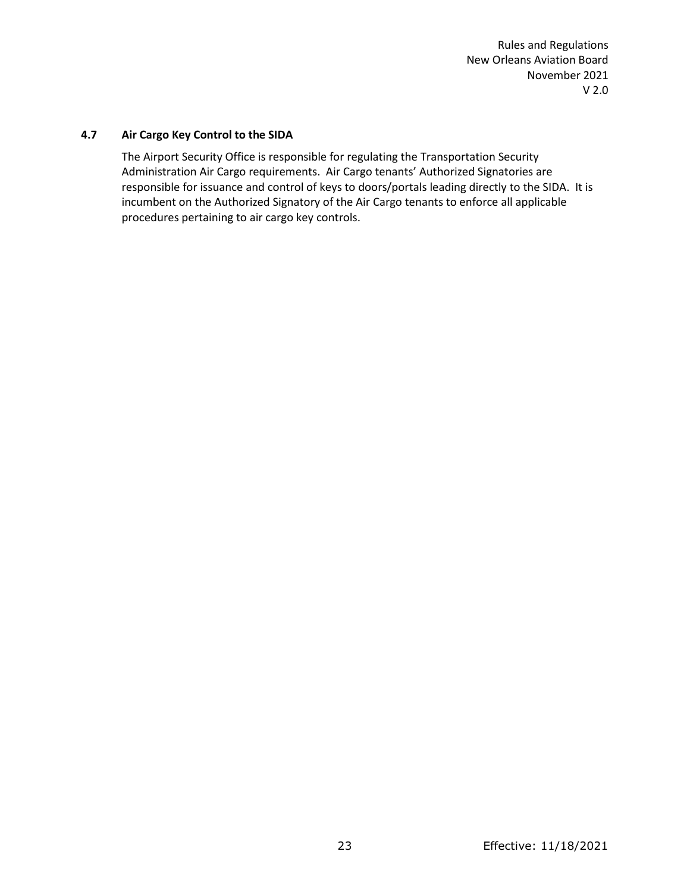# <span id="page-30-0"></span>**4.7 Air Cargo Key Control to the SIDA**

The Airport Security Office is responsible for regulating the Transportation Security Administration Air Cargo requirements. Air Cargo tenants' Authorized Signatories are responsible for issuance and control of keys to doors/portals leading directly to the SIDA. It is incumbent on the Authorized Signatory of the Air Cargo tenants to enforce all applicable procedures pertaining to air cargo key controls.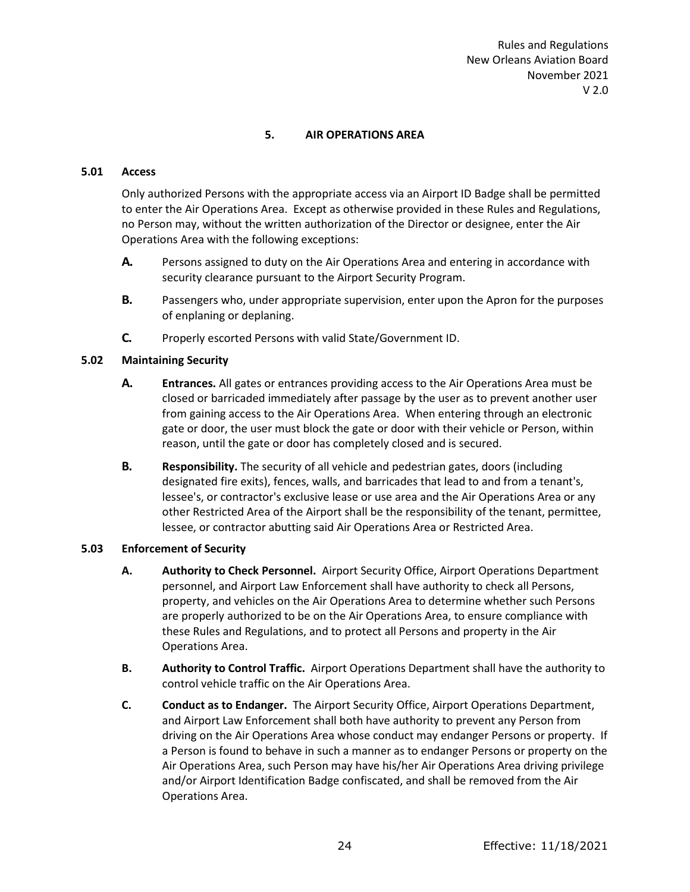# **5. AIR OPERATIONS AREA**

#### <span id="page-31-1"></span><span id="page-31-0"></span>**5.01 Access**

Only authorized Persons with the appropriate access via an Airport ID Badge shall be permitted to enter the Air Operations Area. Except as otherwise provided in these Rules and Regulations, no Person may, without the written authorization of the Director or designee, enter the Air Operations Area with the following exceptions:

- **A.** Persons assigned to duty on the Air Operations Area and entering in accordance with security clearance pursuant to the Airport Security Program.
- **B.** Passengers who, under appropriate supervision, enter upon the Apron for the purposes of enplaning or deplaning.
- **C.** Properly escorted Persons with valid State/Government ID.

# <span id="page-31-2"></span>**5.02 Maintaining Security**

- **A. Entrances.** All gates or entrances providing access to the Air Operations Area must be closed or barricaded immediately after passage by the user as to prevent another user from gaining access to the Air Operations Area. When entering through an electronic gate or door, the user must block the gate or door with their vehicle or Person, within reason, until the gate or door has completely closed and is secured.
- **B. Responsibility.** The security of all vehicle and pedestrian gates, doors (including designated fire exits), fences, walls, and barricades that lead to and from a tenant's, lessee's, or contractor's exclusive lease or use area and the Air Operations Area or any other Restricted Area of the Airport shall be the responsibility of the tenant, permittee, lessee, or contractor abutting said Air Operations Area or Restricted Area.

# <span id="page-31-3"></span>**5.03 Enforcement of Security**

- **A. Authority to Check Personnel.** Airport Security Office, Airport Operations Department personnel, and Airport Law Enforcement shall have authority to check all Persons, property, and vehicles on the Air Operations Area to determine whether such Persons are properly authorized to be on the Air Operations Area, to ensure compliance with these Rules and Regulations, and to protect all Persons and property in the Air Operations Area.
- **B. Authority to Control Traffic.** Airport Operations Department shall have the authority to control vehicle traffic on the Air Operations Area.
- **C. Conduct as to Endanger.** The Airport Security Office, Airport Operations Department, and Airport Law Enforcement shall both have authority to prevent any Person from driving on the Air Operations Area whose conduct may endanger Persons or property. If a Person is found to behave in such a manner as to endanger Persons or property on the Air Operations Area, such Person may have his/her Air Operations Area driving privilege and/or Airport Identification Badge confiscated, and shall be removed from the Air Operations Area.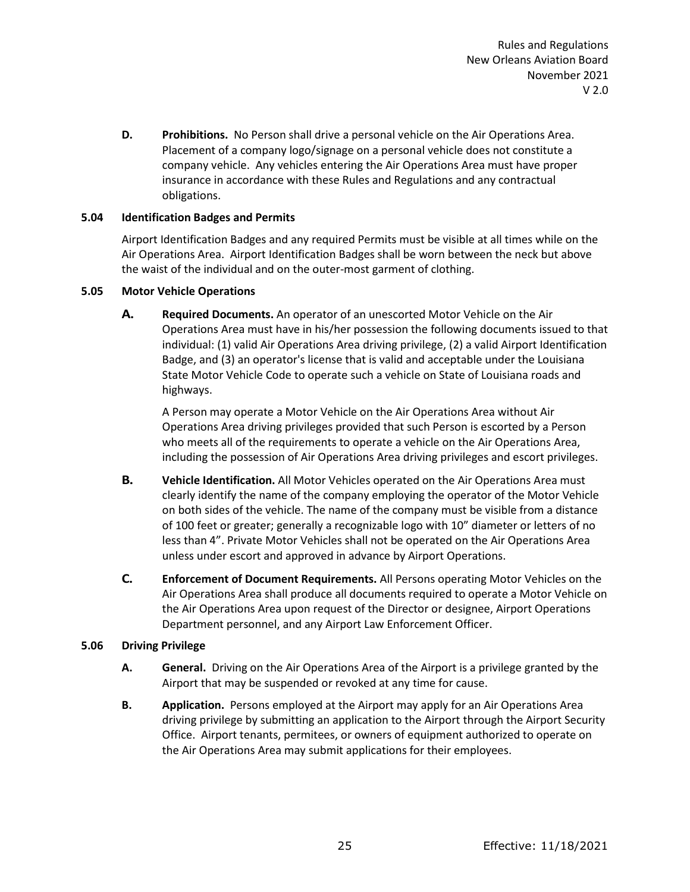**D. Prohibitions.** No Person shall drive a personal vehicle on the Air Operations Area. Placement of a company logo/signage on a personal vehicle does not constitute a company vehicle. Any vehicles entering the Air Operations Area must have proper insurance in accordance with these Rules and Regulations and any contractual obligations.

# <span id="page-32-0"></span>**5.04 Identification Badges and Permits**

Airport Identification Badges and any required Permits must be visible at all times while on the Air Operations Area. Airport Identification Badges shall be worn between the neck but above the waist of the individual and on the outer-most garment of clothing.

# <span id="page-32-1"></span>**5.05 Motor Vehicle Operations**

**A. Required Documents.** An operator of an unescorted Motor Vehicle on the Air Operations Area must have in his/her possession the following documents issued to that individual: (1) valid Air Operations Area driving privilege, (2) a valid Airport Identification Badge, and (3) an operator's license that is valid and acceptable under the Louisiana State Motor Vehicle Code to operate such a vehicle on State of Louisiana roads and highways.

A Person may operate a Motor Vehicle on the Air Operations Area without Air Operations Area driving privileges provided that such Person is escorted by a Person who meets all of the requirements to operate a vehicle on the Air Operations Area, including the possession of Air Operations Area driving privileges and escort privileges.

- **B. Vehicle Identification.** All Motor Vehicles operated on the Air Operations Area must clearly identify the name of the company employing the operator of the Motor Vehicle on both sides of the vehicle. The name of the company must be visible from a distance of 100 feet or greater; generally a recognizable logo with 10" diameter or letters of no less than 4". Private Motor Vehicles shall not be operated on the Air Operations Area unless under escort and approved in advance by Airport Operations.
- **C. Enforcement of Document Requirements.** All Persons operating Motor Vehicles on the Air Operations Area shall produce all documents required to operate a Motor Vehicle on the Air Operations Area upon request of the Director or designee, Airport Operations Department personnel, and any Airport Law Enforcement Officer.

# <span id="page-32-2"></span>**5.06 Driving Privilege**

- **A. General.** Driving on the Air Operations Area of the Airport is a privilege granted by the Airport that may be suspended or revoked at any time for cause.
- **B. Application.** Persons employed at the Airport may apply for an Air Operations Area driving privilege by submitting an application to the Airport through the Airport Security Office. Airport tenants, permitees, or owners of equipment authorized to operate on the Air Operations Area may submit applications for their employees.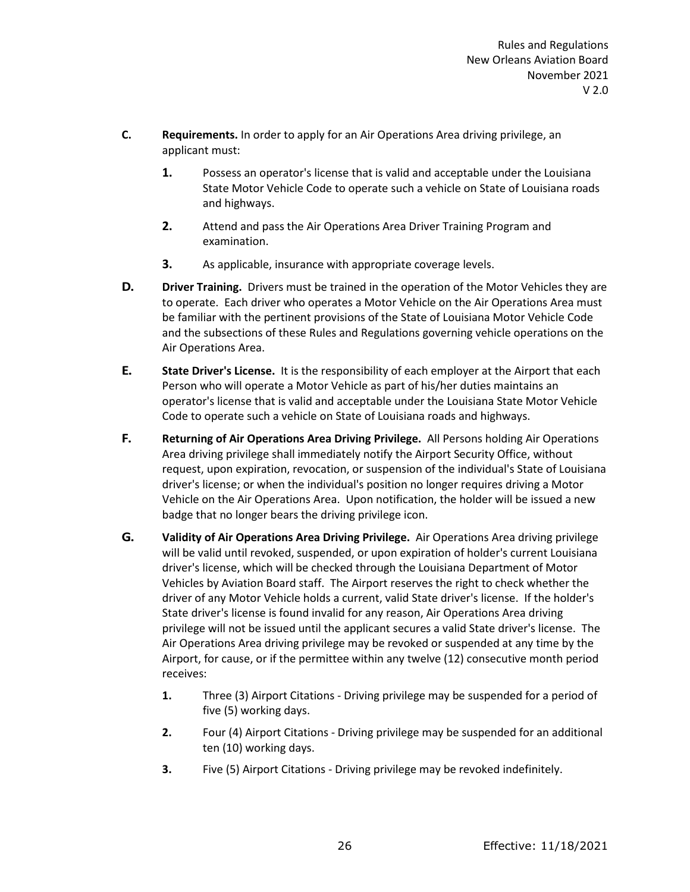- **C. Requirements.** In order to apply for an Air Operations Area driving privilege, an applicant must:
	- **1.** Possess an operator's license that is valid and acceptable under the Louisiana State Motor Vehicle Code to operate such a vehicle on State of Louisiana roads and highways.
	- **2.** Attend and pass the Air Operations Area Driver Training Program and examination.
	- **3.** As applicable, insurance with appropriate coverage levels.
- **D. Driver Training.** Drivers must be trained in the operation of the Motor Vehicles they are to operate. Each driver who operates a Motor Vehicle on the Air Operations Area must be familiar with the pertinent provisions of the State of Louisiana Motor Vehicle Code and the subsections of these Rules and Regulations governing vehicle operations on the Air Operations Area.
- **E. State Driver's License.** It is the responsibility of each employer at the Airport that each Person who will operate a Motor Vehicle as part of his/her duties maintains an operator's license that is valid and acceptable under the Louisiana State Motor Vehicle Code to operate such a vehicle on State of Louisiana roads and highways.
- **F. Returning of Air Operations Area Driving Privilege.** All Persons holding Air Operations Area driving privilege shall immediately notify the Airport Security Office, without request, upon expiration, revocation, or suspension of the individual's State of Louisiana driver's license; or when the individual's position no longer requires driving a Motor Vehicle on the Air Operations Area. Upon notification, the holder will be issued a new badge that no longer bears the driving privilege icon.
- **G. Validity of Air Operations Area Driving Privilege.** Air Operations Area driving privilege will be valid until revoked, suspended, or upon expiration of holder's current Louisiana driver's license, which will be checked through the Louisiana Department of Motor Vehicles by Aviation Board staff. The Airport reserves the right to check whether the driver of any Motor Vehicle holds a current, valid State driver's license. If the holder's State driver's license is found invalid for any reason, Air Operations Area driving privilege will not be issued until the applicant secures a valid State driver's license. The Air Operations Area driving privilege may be revoked or suspended at any time by the Airport, for cause, or if the permittee within any twelve (12) consecutive month period receives:
	- **1.** Three (3) Airport Citations Driving privilege may be suspended for a period of five (5) working days.
	- **2.** Four (4) Airport Citations Driving privilege may be suspended for an additional ten (10) working days.
	- **3.** Five (5) Airport Citations Driving privilege may be revoked indefinitely.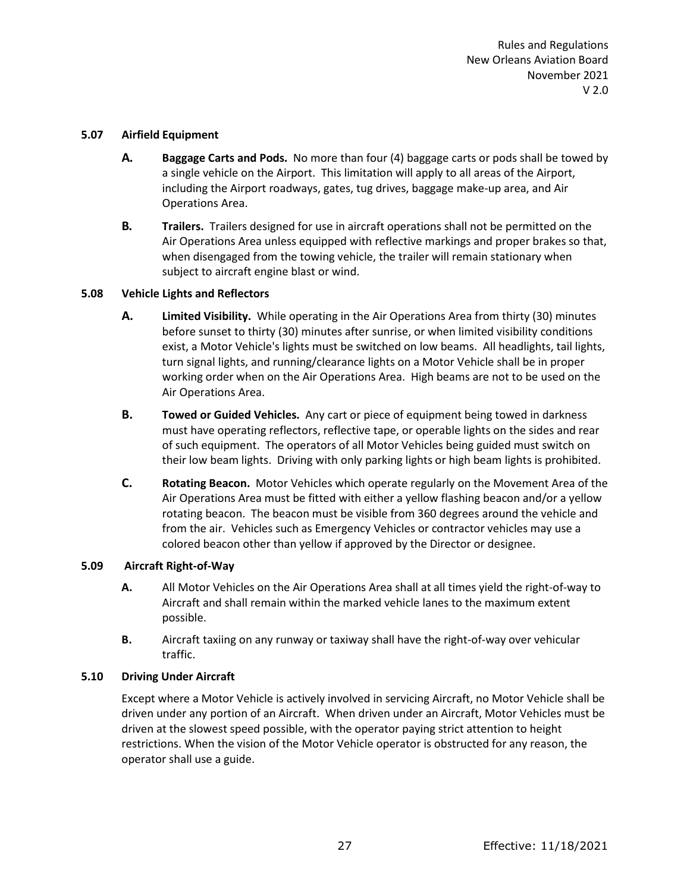#### <span id="page-34-0"></span>**5.07 Airfield Equipment**

- **A. Baggage Carts and Pods.** No more than four (4) baggage carts or pods shall be towed by a single vehicle on the Airport. This limitation will apply to all areas of the Airport, including the Airport roadways, gates, tug drives, baggage make-up area, and Air Operations Area.
- **B. Trailers.** Trailers designed for use in aircraft operations shall not be permitted on the Air Operations Area unless equipped with reflective markings and proper brakes so that, when disengaged from the towing vehicle, the trailer will remain stationary when subject to aircraft engine blast or wind.

# <span id="page-34-1"></span>**5.08 Vehicle Lights and Reflectors**

- **A. Limited Visibility.** While operating in the Air Operations Area from thirty (30) minutes before sunset to thirty (30) minutes after sunrise, or when limited visibility conditions exist, a Motor Vehicle's lights must be switched on low beams. All headlights, tail lights, turn signal lights, and running/clearance lights on a Motor Vehicle shall be in proper working order when on the Air Operations Area. High beams are not to be used on the Air Operations Area.
- **B. Towed or Guided Vehicles.** Any cart or piece of equipment being towed in darkness must have operating reflectors, reflective tape, or operable lights on the sides and rear of such equipment. The operators of all Motor Vehicles being guided must switch on their low beam lights. Driving with only parking lights or high beam lights is prohibited.
- **C. Rotating Beacon.** Motor Vehicles which operate regularly on the Movement Area of the Air Operations Area must be fitted with either a yellow flashing beacon and/or a yellow rotating beacon. The beacon must be visible from 360 degrees around the vehicle and from the air. Vehicles such as Emergency Vehicles or contractor vehicles may use a colored beacon other than yellow if approved by the Director or designee.

# <span id="page-34-2"></span>**5.09 Aircraft Right-of-Way**

- **A.** All Motor Vehicles on the Air Operations Area shall at all times yield the right-of-way to Aircraft and shall remain within the marked vehicle lanes to the maximum extent possible.
- **B.** Aircraft taxiing on any runway or taxiway shall have the right-of-way over vehicular traffic.

# <span id="page-34-3"></span>**5.10 Driving Under Aircraft**

Except where a Motor Vehicle is actively involved in servicing Aircraft, no Motor Vehicle shall be driven under any portion of an Aircraft. When driven under an Aircraft, Motor Vehicles must be driven at the slowest speed possible, with the operator paying strict attention to height restrictions. When the vision of the Motor Vehicle operator is obstructed for any reason, the operator shall use a guide.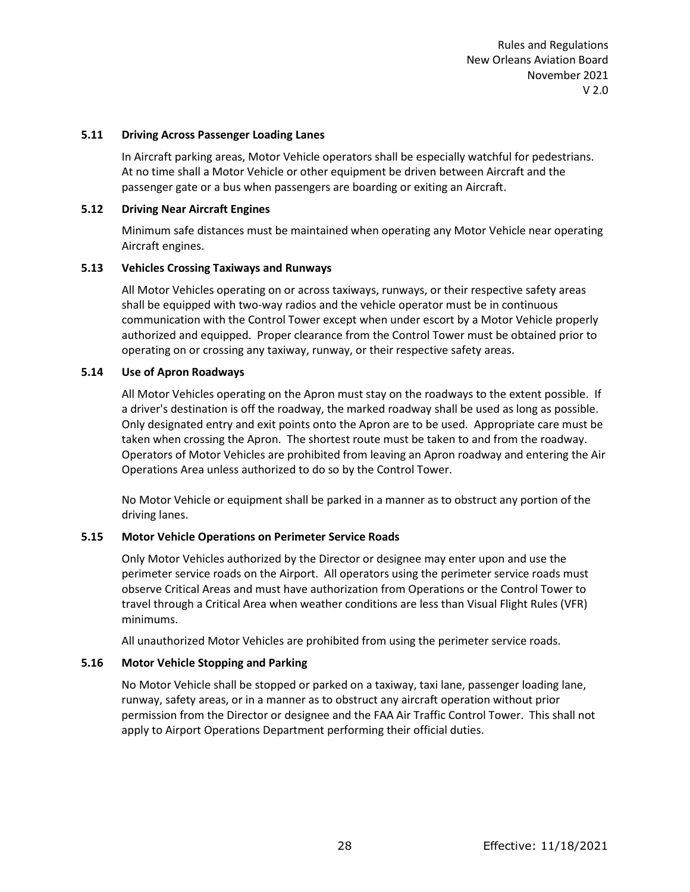#### <span id="page-35-0"></span>**5.11 Driving Across Passenger Loading Lanes**

In Aircraft parking areas, Motor Vehicle operators shall be especially watchful for pedestrians. At no time shall a Motor Vehicle or other equipment be driven between Aircraft and the passenger gate or a bus when passengers are boarding or exiting an Aircraft.

#### <span id="page-35-1"></span>**5.12 Driving Near Aircraft Engines**

Minimum safe distances must be maintained when operating any Motor Vehicle near operating Aircraft engines.

#### <span id="page-35-2"></span>**5.13 Vehicles Crossing Taxiways and Runways**

All Motor Vehicles operating on or across taxiways, runways, or their respective safety areas shall be equipped with two-way radios and the vehicle operator must be in continuous communication with the Control Tower except when under escort by a Motor Vehicle properly authorized and equipped. Proper clearance from the Control Tower must be obtained prior to operating on or crossing any taxiway, runway, or their respective safety areas.

#### <span id="page-35-3"></span>**5.14 Use of Apron Roadways**

All Motor Vehicles operating on the Apron must stay on the roadways to the extent possible. If a driver's destination is off the roadway, the marked roadway shall be used as long as possible. Only designated entry and exit points onto the Apron are to be used. Appropriate care must be taken when crossing the Apron. The shortest route must be taken to and from the roadway. Operators of Motor Vehicles are prohibited from leaving an Apron roadway and entering the Air Operations Area unless authorized to do so by the Control Tower.

No Motor Vehicle or equipment shall be parked in a manner as to obstruct any portion of the driving lanes.

# <span id="page-35-4"></span>**5.15 Motor Vehicle Operations on Perimeter Service Roads**

Only Motor Vehicles authorized by the Director or designee may enter upon and use the perimeter service roads on the Airport. All operators using the perimeter service roads must observe Critical Areas and must have authorization from Operations or the Control Tower to travel through a Critical Area when weather conditions are less than Visual Flight Rules (VFR) minimums.

All unauthorized Motor Vehicles are prohibited from using the perimeter service roads.

# <span id="page-35-5"></span>**5.16 Motor Vehicle Stopping and Parking**

No Motor Vehicle shall be stopped or parked on a taxiway, taxi lane, passenger loading lane, runway, safety areas, or in a manner as to obstruct any aircraft operation without prior permission from the Director or designee and the FAA Air Traffic Control Tower. This shall not apply to Airport Operations Department performing their official duties.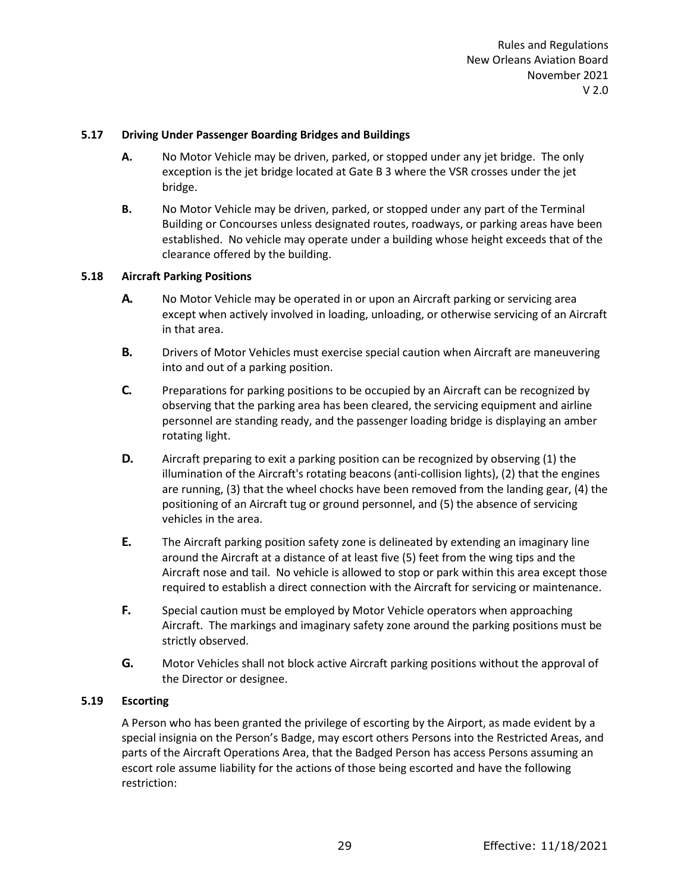### **5.17 Driving Under Passenger Boarding Bridges and Buildings**

- **A.** No Motor Vehicle may be driven, parked, or stopped under any jet bridge. The only exception is the jet bridge located at Gate B 3 where the VSR crosses under the jet bridge.
- **B.** No Motor Vehicle may be driven, parked, or stopped under any part of the Terminal Building or Concourses unless designated routes, roadways, or parking areas have been established. No vehicle may operate under a building whose height exceeds that of the clearance offered by the building.

### **5.18 Aircraft Parking Positions**

- **A.** No Motor Vehicle may be operated in or upon an Aircraft parking or servicing area except when actively involved in loading, unloading, or otherwise servicing of an Aircraft in that area.
- **B.** Drivers of Motor Vehicles must exercise special caution when Aircraft are maneuvering into and out of a parking position.
- **C.** Preparations for parking positions to be occupied by an Aircraft can be recognized by observing that the parking area has been cleared, the servicing equipment and airline personnel are standing ready, and the passenger loading bridge is displaying an amber rotating light.
- **D.** Aircraft preparing to exit a parking position can be recognized by observing (1) the illumination of the Aircraft's rotating beacons (anti-collision lights), (2) that the engines are running, (3) that the wheel chocks have been removed from the landing gear, (4) the positioning of an Aircraft tug or ground personnel, and (5) the absence of servicing vehicles in the area.
- **E.** The Aircraft parking position safety zone is delineated by extending an imaginary line around the Aircraft at a distance of at least five (5) feet from the wing tips and the Aircraft nose and tail. No vehicle is allowed to stop or park within this area except those required to establish a direct connection with the Aircraft for servicing or maintenance.
- **F.** Special caution must be employed by Motor Vehicle operators when approaching Aircraft. The markings and imaginary safety zone around the parking positions must be strictly observed.
- **G.** Motor Vehicles shall not block active Aircraft parking positions without the approval of the Director or designee.

## **5.19 Escorting**

A Person who has been granted the privilege of escorting by the Airport, as made evident by a special insignia on the Person's Badge, may escort others Persons into the Restricted Areas, and parts of the Aircraft Operations Area, that the Badged Person has access Persons assuming an escort role assume liability for the actions of those being escorted and have the following restriction: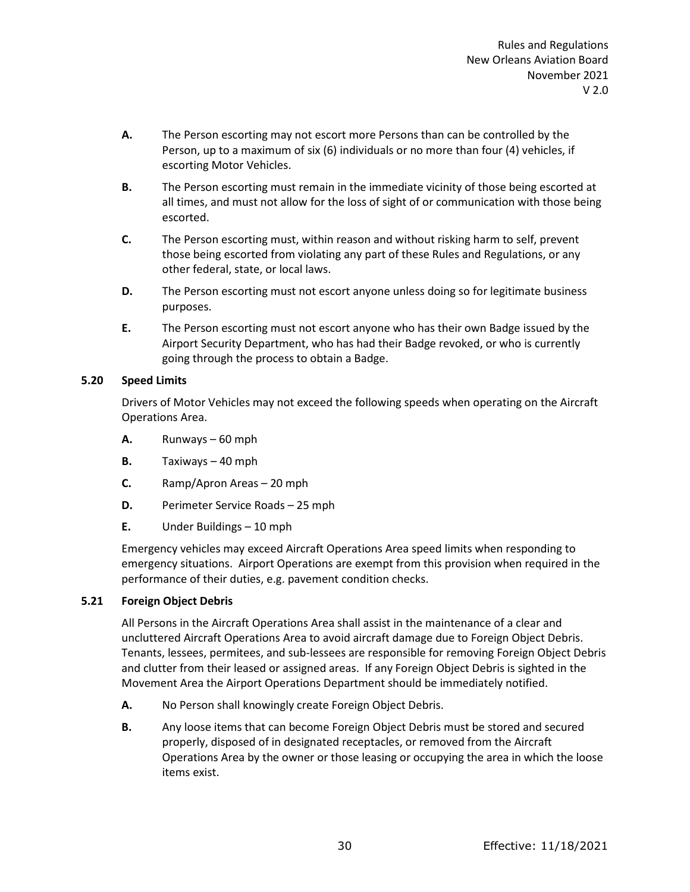- **A.** The Person escorting may not escort more Persons than can be controlled by the Person, up to a maximum of six (6) individuals or no more than four (4) vehicles, if escorting Motor Vehicles.
- **B.** The Person escorting must remain in the immediate vicinity of those being escorted at all times, and must not allow for the loss of sight of or communication with those being escorted.
- **C.** The Person escorting must, within reason and without risking harm to self, prevent those being escorted from violating any part of these Rules and Regulations, or any other federal, state, or local laws.
- **D.** The Person escorting must not escort anyone unless doing so for legitimate business purposes.
- **E.** The Person escorting must not escort anyone who has their own Badge issued by the Airport Security Department, who has had their Badge revoked, or who is currently going through the process to obtain a Badge.

## **5.20 Speed Limits**

Drivers of Motor Vehicles may not exceed the following speeds when operating on the Aircraft Operations Area.

- **A.** Runways 60 mph
- **B.** Taxiways 40 mph
- **C.** Ramp/Apron Areas 20 mph
- **D.** Perimeter Service Roads 25 mph
- **E.** Under Buildings 10 mph

Emergency vehicles may exceed Aircraft Operations Area speed limits when responding to emergency situations. Airport Operations are exempt from this provision when required in the performance of their duties, e.g. pavement condition checks.

## **5.21 Foreign Object Debris**

All Persons in the Aircraft Operations Area shall assist in the maintenance of a clear and uncluttered Aircraft Operations Area to avoid aircraft damage due to Foreign Object Debris. Tenants, lessees, permitees, and sub-lessees are responsible for removing Foreign Object Debris and clutter from their leased or assigned areas. If any Foreign Object Debris is sighted in the Movement Area the Airport Operations Department should be immediately notified.

- **A.** No Person shall knowingly create Foreign Object Debris.
- **B.** Any loose items that can become Foreign Object Debris must be stored and secured properly, disposed of in designated receptacles, or removed from the Aircraft Operations Area by the owner or those leasing or occupying the area in which the loose items exist.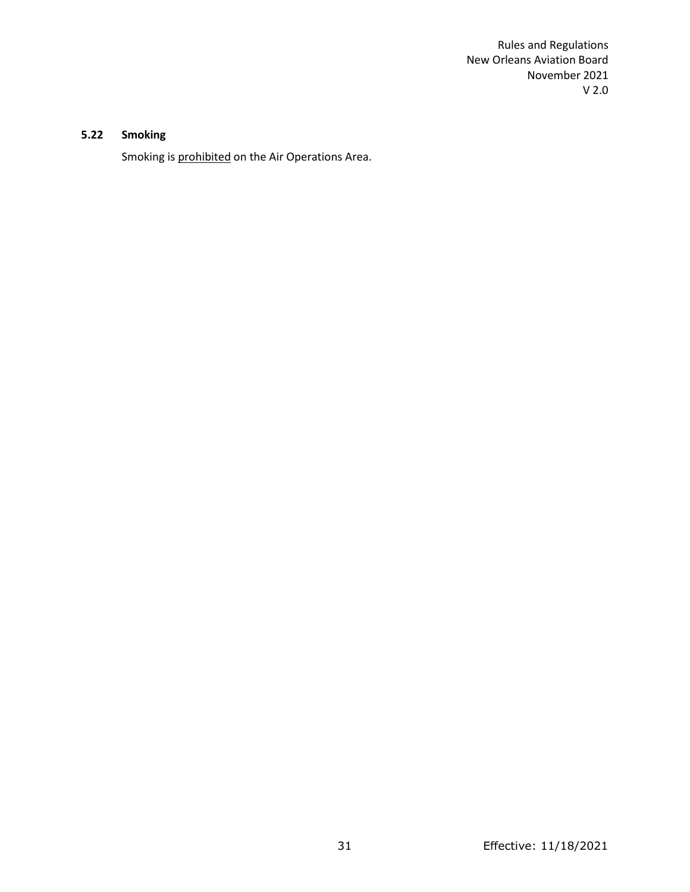# **5.22 Smoking**

Smoking is prohibited on the Air Operations Area.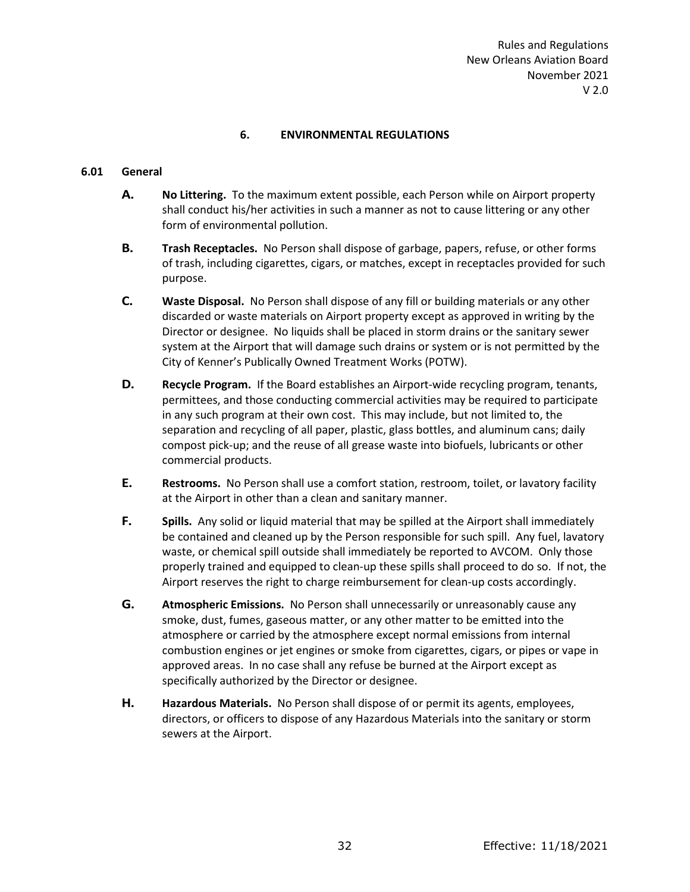## **6. ENVIRONMENTAL REGULATIONS**

## **6.01 General**

- **A. No Littering.** To the maximum extent possible, each Person while on Airport property shall conduct his/her activities in such a manner as not to cause littering or any other form of environmental pollution.
- **B. Trash Receptacles.** No Person shall dispose of garbage, papers, refuse, or other forms of trash, including cigarettes, cigars, or matches, except in receptacles provided for such purpose.
- **C. Waste Disposal.** No Person shall dispose of any fill or building materials or any other discarded or waste materials on Airport property except as approved in writing by the Director or designee. No liquids shall be placed in storm drains or the sanitary sewer system at the Airport that will damage such drains or system or is not permitted by the City of Kenner's Publically Owned Treatment Works (POTW).
- **D. Recycle Program.** If the Board establishes an Airport-wide recycling program, tenants, permittees, and those conducting commercial activities may be required to participate in any such program at their own cost. This may include, but not limited to, the separation and recycling of all paper, plastic, glass bottles, and aluminum cans; daily compost pick-up; and the reuse of all grease waste into biofuels, lubricants or other commercial products.
- **E. Restrooms.** No Person shall use a comfort station, restroom, toilet, or lavatory facility at the Airport in other than a clean and sanitary manner.
- **F. Spills.** Any solid or liquid material that may be spilled at the Airport shall immediately be contained and cleaned up by the Person responsible for such spill. Any fuel, lavatory waste, or chemical spill outside shall immediately be reported to AVCOM. Only those properly trained and equipped to clean-up these spills shall proceed to do so. If not, the Airport reserves the right to charge reimbursement for clean-up costs accordingly.
- **G. Atmospheric Emissions.** No Person shall unnecessarily or unreasonably cause any smoke, dust, fumes, gaseous matter, or any other matter to be emitted into the atmosphere or carried by the atmosphere except normal emissions from internal combustion engines or jet engines or smoke from cigarettes, cigars, or pipes or vape in approved areas. In no case shall any refuse be burned at the Airport except as specifically authorized by the Director or designee.
- **H. Hazardous Materials.** No Person shall dispose of or permit its agents, employees, directors, or officers to dispose of any Hazardous Materials into the sanitary or storm sewers at the Airport.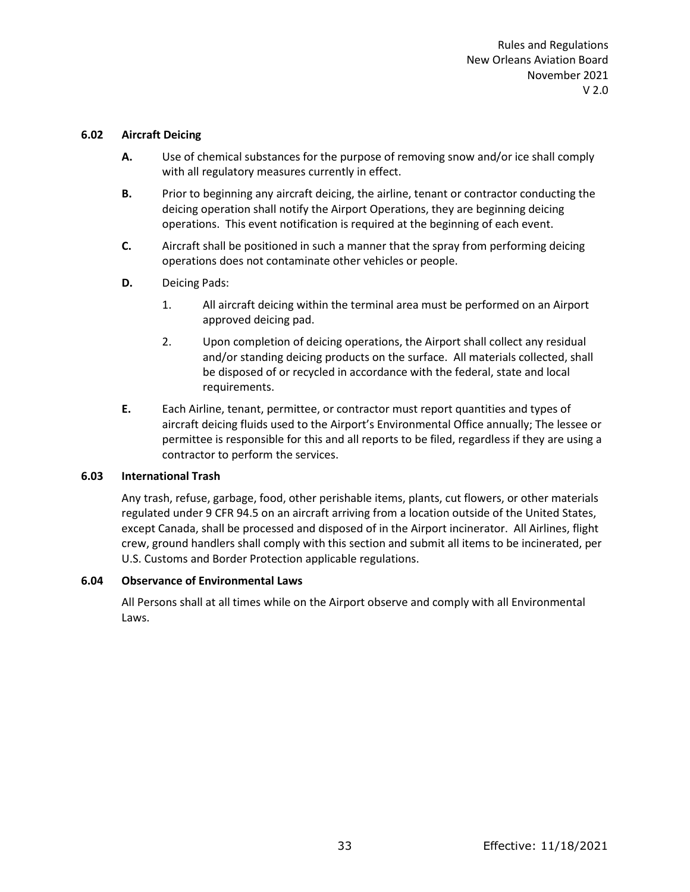#### **6.02 Aircraft Deicing**

- **A.** Use of chemical substances for the purpose of removing snow and/or ice shall comply with all regulatory measures currently in effect.
- **B.** Prior to beginning any aircraft deicing, the airline, tenant or contractor conducting the deicing operation shall notify the Airport Operations, they are beginning deicing operations. This event notification is required at the beginning of each event.
- **C.** Aircraft shall be positioned in such a manner that the spray from performing deicing operations does not contaminate other vehicles or people.
- **D.** Deicing Pads:
	- 1. All aircraft deicing within the terminal area must be performed on an Airport approved deicing pad.
	- 2. Upon completion of deicing operations, the Airport shall collect any residual and/or standing deicing products on the surface. All materials collected, shall be disposed of or recycled in accordance with the federal, state and local requirements.
- **E.** Each Airline, tenant, permittee, or contractor must report quantities and types of aircraft deicing fluids used to the Airport's Environmental Office annually; The lessee or permittee is responsible for this and all reports to be filed, regardless if they are using a contractor to perform the services.

# **6.03 International Trash**

Any trash, refuse, garbage, food, other perishable items, plants, cut flowers, or other materials regulated under 9 CFR 94.5 on an aircraft arriving from a location outside of the United States, except Canada, shall be processed and disposed of in the Airport incinerator. All Airlines, flight crew, ground handlers shall comply with this section and submit all items to be incinerated, per U.S. Customs and Border Protection applicable regulations.

#### **6.04 Observance of Environmental Laws**

All Persons shall at all times while on the Airport observe and comply with all Environmental Laws.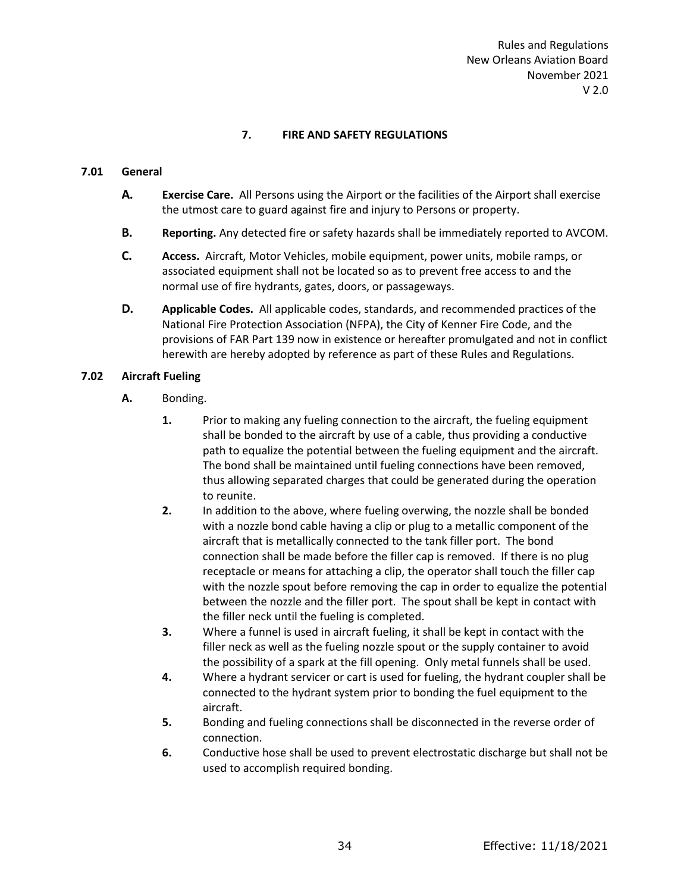# **7. FIRE AND SAFETY REGULATIONS**

## **7.01 General**

- **A. Exercise Care.** All Persons using the Airport or the facilities of the Airport shall exercise the utmost care to guard against fire and injury to Persons or property.
- **B. Reporting.** Any detected fire or safety hazards shall be immediately reported to AVCOM.
- **C. Access.** Aircraft, Motor Vehicles, mobile equipment, power units, mobile ramps, or associated equipment shall not be located so as to prevent free access to and the normal use of fire hydrants, gates, doors, or passageways.
- **D. Applicable Codes.** All applicable codes, standards, and recommended practices of the National Fire Protection Association (NFPA), the City of Kenner Fire Code, and the provisions of FAR Part 139 now in existence or hereafter promulgated and not in conflict herewith are hereby adopted by reference as part of these Rules and Regulations.

## **7.02 Aircraft Fueling**

- **A.** Bonding.
	- **1.** Prior to making any fueling connection to the aircraft, the fueling equipment shall be bonded to the aircraft by use of a cable, thus providing a conductive path to equalize the potential between the fueling equipment and the aircraft. The bond shall be maintained until fueling connections have been removed, thus allowing separated charges that could be generated during the operation to reunite.
	- **2.** In addition to the above, where fueling overwing, the nozzle shall be bonded with a nozzle bond cable having a clip or plug to a metallic component of the aircraft that is metallically connected to the tank filler port. The bond connection shall be made before the filler cap is removed. If there is no plug receptacle or means for attaching a clip, the operator shall touch the filler cap with the nozzle spout before removing the cap in order to equalize the potential between the nozzle and the filler port. The spout shall be kept in contact with the filler neck until the fueling is completed.
	- **3.** Where a funnel is used in aircraft fueling, it shall be kept in contact with the filler neck as well as the fueling nozzle spout or the supply container to avoid the possibility of a spark at the fill opening. Only metal funnels shall be used.
	- **4.** Where a hydrant servicer or cart is used for fueling, the hydrant coupler shall be connected to the hydrant system prior to bonding the fuel equipment to the aircraft.
	- **5.** Bonding and fueling connections shall be disconnected in the reverse order of connection.
	- **6.** Conductive hose shall be used to prevent electrostatic discharge but shall not be used to accomplish required bonding.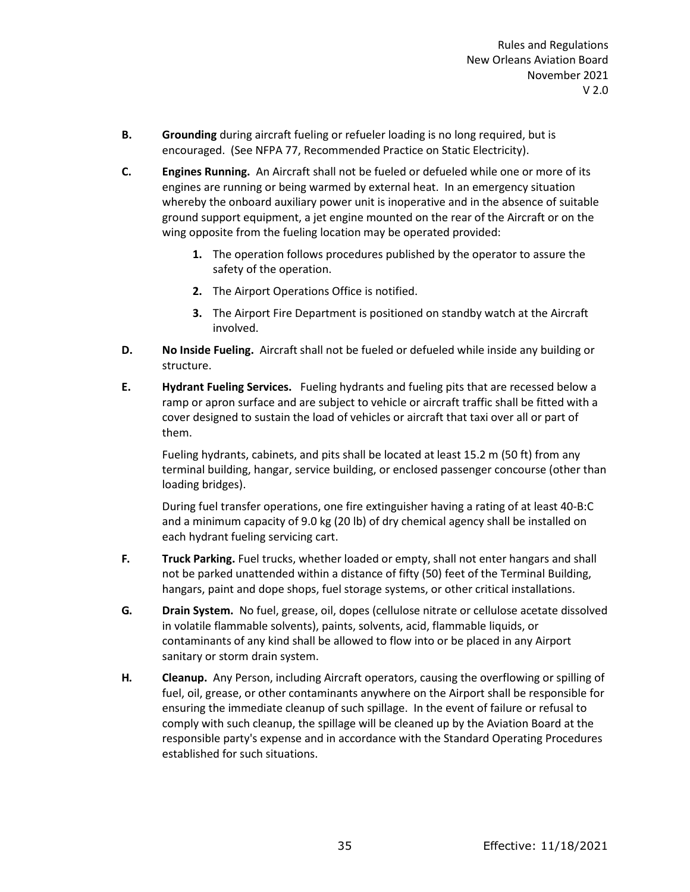- **B. Grounding** during aircraft fueling or refueler loading is no long required, but is encouraged. (See NFPA 77, Recommended Practice on Static Electricity).
- **C. Engines Running.** An Aircraft shall not be fueled or defueled while one or more of its engines are running or being warmed by external heat. In an emergency situation whereby the onboard auxiliary power unit is inoperative and in the absence of suitable ground support equipment, a jet engine mounted on the rear of the Aircraft or on the wing opposite from the fueling location may be operated provided:
	- **1.** The operation follows procedures published by the operator to assure the safety of the operation.
	- **2.** The Airport Operations Office is notified.
	- **3.** The Airport Fire Department is positioned on standby watch at the Aircraft involved.
- **D. No Inside Fueling.** Aircraft shall not be fueled or defueled while inside any building or structure.
- **E. Hydrant Fueling Services.** Fueling hydrants and fueling pits that are recessed below a ramp or apron surface and are subject to vehicle or aircraft traffic shall be fitted with a cover designed to sustain the load of vehicles or aircraft that taxi over all or part of them.

Fueling hydrants, cabinets, and pits shall be located at least 15.2 m (50 ft) from any terminal building, hangar, service building, or enclosed passenger concourse (other than loading bridges).

During fuel transfer operations, one fire extinguisher having a rating of at least 40-B:C and a minimum capacity of 9.0 kg (20 lb) of dry chemical agency shall be installed on each hydrant fueling servicing cart.

- **F. Truck Parking.** Fuel trucks, whether loaded or empty, shall not enter hangars and shall not be parked unattended within a distance of fifty (50) feet of the Terminal Building, hangars, paint and dope shops, fuel storage systems, or other critical installations.
- **G. Drain System.** No fuel, grease, oil, dopes (cellulose nitrate or cellulose acetate dissolved in volatile flammable solvents), paints, solvents, acid, flammable liquids, or contaminants of any kind shall be allowed to flow into or be placed in any Airport sanitary or storm drain system.
- **H. Cleanup.** Any Person, including Aircraft operators, causing the overflowing or spilling of fuel, oil, grease, or other contaminants anywhere on the Airport shall be responsible for ensuring the immediate cleanup of such spillage. In the event of failure or refusal to comply with such cleanup, the spillage will be cleaned up by the Aviation Board at the responsible party's expense and in accordance with the Standard Operating Procedures established for such situations.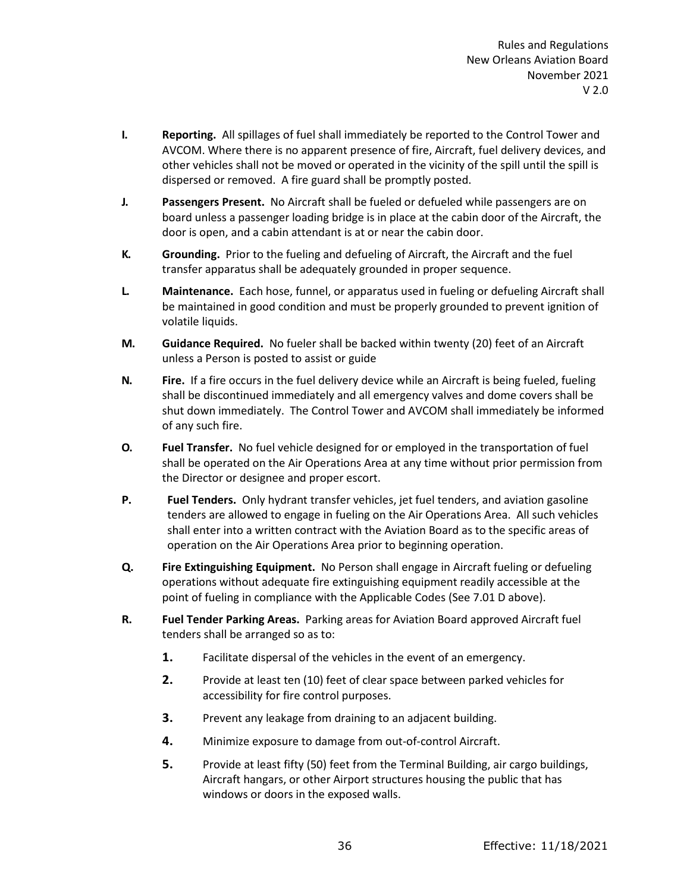- **I. Reporting.** All spillages of fuel shall immediately be reported to the Control Tower and AVCOM. Where there is no apparent presence of fire, Aircraft, fuel delivery devices, and other vehicles shall not be moved or operated in the vicinity of the spill until the spill is dispersed or removed. A fire guard shall be promptly posted.
- **J. Passengers Present.** No Aircraft shall be fueled or defueled while passengers are on board unless a passenger loading bridge is in place at the cabin door of the Aircraft, the door is open, and a cabin attendant is at or near the cabin door.
- **K. Grounding.** Prior to the fueling and defueling of Aircraft, the Aircraft and the fuel transfer apparatus shall be adequately grounded in proper sequence.
- **L. Maintenance.** Each hose, funnel, or apparatus used in fueling or defueling Aircraft shall be maintained in good condition and must be properly grounded to prevent ignition of volatile liquids.
- **M. Guidance Required.** No fueler shall be backed within twenty (20) feet of an Aircraft unless a Person is posted to assist or guide
- **N. Fire.** If a fire occurs in the fuel delivery device while an Aircraft is being fueled, fueling shall be discontinued immediately and all emergency valves and dome covers shall be shut down immediately. The Control Tower and AVCOM shall immediately be informed of any such fire.
- **O. Fuel Transfer.** No fuel vehicle designed for or employed in the transportation of fuel shall be operated on the Air Operations Area at any time without prior permission from the Director or designee and proper escort.
- **P. Fuel Tenders.** Only hydrant transfer vehicles, jet fuel tenders, and aviation gasoline tenders are allowed to engage in fueling on the Air Operations Area. All such vehicles shall enter into a written contract with the Aviation Board as to the specific areas of operation on the Air Operations Area prior to beginning operation.
- **Q. Fire Extinguishing Equipment.** No Person shall engage in Aircraft fueling or defueling operations without adequate fire extinguishing equipment readily accessible at the point of fueling in compliance with the Applicable Codes (See 7.01 D above).
- **R. Fuel Tender Parking Areas.** Parking areas for Aviation Board approved Aircraft fuel tenders shall be arranged so as to:
	- **1.** Facilitate dispersal of the vehicles in the event of an emergency.
	- **2.** Provide at least ten (10) feet of clear space between parked vehicles for accessibility for fire control purposes.
	- **3.** Prevent any leakage from draining to an adjacent building.
	- **4.** Minimize exposure to damage from out-of-control Aircraft.
	- **5.** Provide at least fifty (50) feet from the Terminal Building, air cargo buildings, Aircraft hangars, or other Airport structures housing the public that has windows or doors in the exposed walls.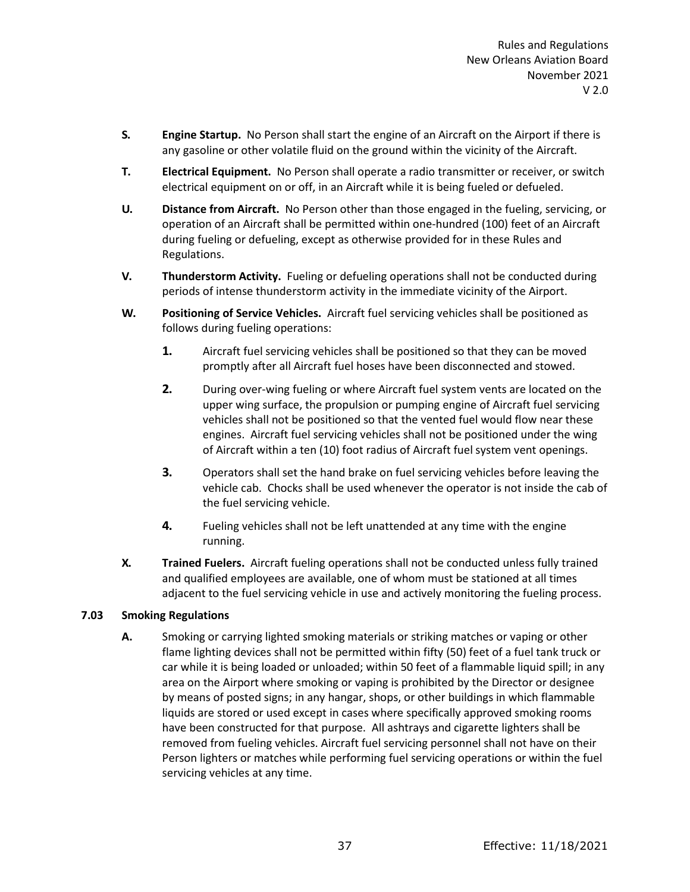- **S. Engine Startup.** No Person shall start the engine of an Aircraft on the Airport if there is any gasoline or other volatile fluid on the ground within the vicinity of the Aircraft.
- **T. Electrical Equipment.** No Person shall operate a radio transmitter or receiver, or switch electrical equipment on or off, in an Aircraft while it is being fueled or defueled.
- **U. Distance from Aircraft.** No Person other than those engaged in the fueling, servicing, or operation of an Aircraft shall be permitted within one-hundred (100) feet of an Aircraft during fueling or defueling, except as otherwise provided for in these Rules and Regulations.
- **V. Thunderstorm Activity.** Fueling or defueling operations shall not be conducted during periods of intense thunderstorm activity in the immediate vicinity of the Airport.
- **W. Positioning of Service Vehicles.** Aircraft fuel servicing vehicles shall be positioned as follows during fueling operations:
	- **1.** Aircraft fuel servicing vehicles shall be positioned so that they can be moved promptly after all Aircraft fuel hoses have been disconnected and stowed.
	- **2.** During over-wing fueling or where Aircraft fuel system vents are located on the upper wing surface, the propulsion or pumping engine of Aircraft fuel servicing vehicles shall not be positioned so that the vented fuel would flow near these engines. Aircraft fuel servicing vehicles shall not be positioned under the wing of Aircraft within a ten (10) foot radius of Aircraft fuel system vent openings.
	- **3.** Operators shall set the hand brake on fuel servicing vehicles before leaving the vehicle cab. Chocks shall be used whenever the operator is not inside the cab of the fuel servicing vehicle.
	- **4.** Fueling vehicles shall not be left unattended at any time with the engine running.
- **X. Trained Fuelers.** Aircraft fueling operations shall not be conducted unless fully trained and qualified employees are available, one of whom must be stationed at all times adjacent to the fuel servicing vehicle in use and actively monitoring the fueling process.

# **7.03 Smoking Regulations**

**A.** Smoking or carrying lighted smoking materials or striking matches or vaping or other flame lighting devices shall not be permitted within fifty (50) feet of a fuel tank truck or car while it is being loaded or unloaded; within 50 feet of a flammable liquid spill; in any area on the Airport where smoking or vaping is prohibited by the Director or designee by means of posted signs; in any hangar, shops, or other buildings in which flammable liquids are stored or used except in cases where specifically approved smoking rooms have been constructed for that purpose. All ashtrays and cigarette lighters shall be removed from fueling vehicles. Aircraft fuel servicing personnel shall not have on their Person lighters or matches while performing fuel servicing operations or within the fuel servicing vehicles at any time.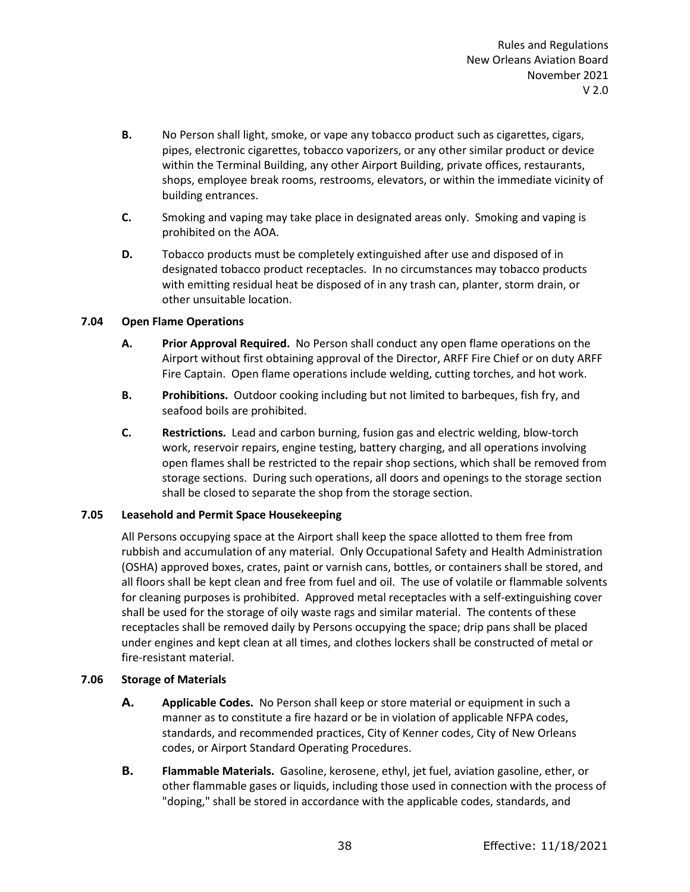- **B.** No Person shall light, smoke, or vape any tobacco product such as cigarettes, cigars, pipes, electronic cigarettes, tobacco vaporizers, or any other similar product or device within the Terminal Building, any other Airport Building, private offices, restaurants, shops, employee break rooms, restrooms, elevators, or within the immediate vicinity of building entrances.
- **C.** Smoking and vaping may take place in designated areas only. Smoking and vaping is prohibited on the AOA.
- **D.** Tobacco products must be completely extinguished after use and disposed of in designated tobacco product receptacles. In no circumstances may tobacco products with emitting residual heat be disposed of in any trash can, planter, storm drain, or other unsuitable location.

## **7.04 Open Flame Operations**

- **A. Prior Approval Required.** No Person shall conduct any open flame operations on the Airport without first obtaining approval of the Director, ARFF Fire Chief or on duty ARFF Fire Captain. Open flame operations include welding, cutting torches, and hot work.
- **B. Prohibitions.** Outdoor cooking including but not limited to barbeques, fish fry, and seafood boils are prohibited.
- **C. Restrictions.** Lead and carbon burning, fusion gas and electric welding, blow-torch work, reservoir repairs, engine testing, battery charging, and all operations involving open flames shall be restricted to the repair shop sections, which shall be removed from storage sections. During such operations, all doors and openings to the storage section shall be closed to separate the shop from the storage section.

## **7.05 Leasehold and Permit Space Housekeeping**

All Persons occupying space at the Airport shall keep the space allotted to them free from rubbish and accumulation of any material. Only Occupational Safety and Health Administration (OSHA) approved boxes, crates, paint or varnish cans, bottles, or containers shall be stored, and all floors shall be kept clean and free from fuel and oil. The use of volatile or flammable solvents for cleaning purposes is prohibited. Approved metal receptacles with a self-extinguishing cover shall be used for the storage of oily waste rags and similar material. The contents of these receptacles shall be removed daily by Persons occupying the space; drip pans shall be placed under engines and kept clean at all times, and clothes lockers shall be constructed of metal or fire-resistant material.

## **7.06 Storage of Materials**

- **A. Applicable Codes.** No Person shall keep or store material or equipment in such a manner as to constitute a fire hazard or be in violation of applicable NFPA codes, standards, and recommended practices, City of Kenner codes, City of New Orleans codes, or Airport Standard Operating Procedures.
- **B. Flammable Materials.** Gasoline, kerosene, ethyl, jet fuel, aviation gasoline, ether, or other flammable gases or liquids, including those used in connection with the process of "doping," shall be stored in accordance with the applicable codes, standards, and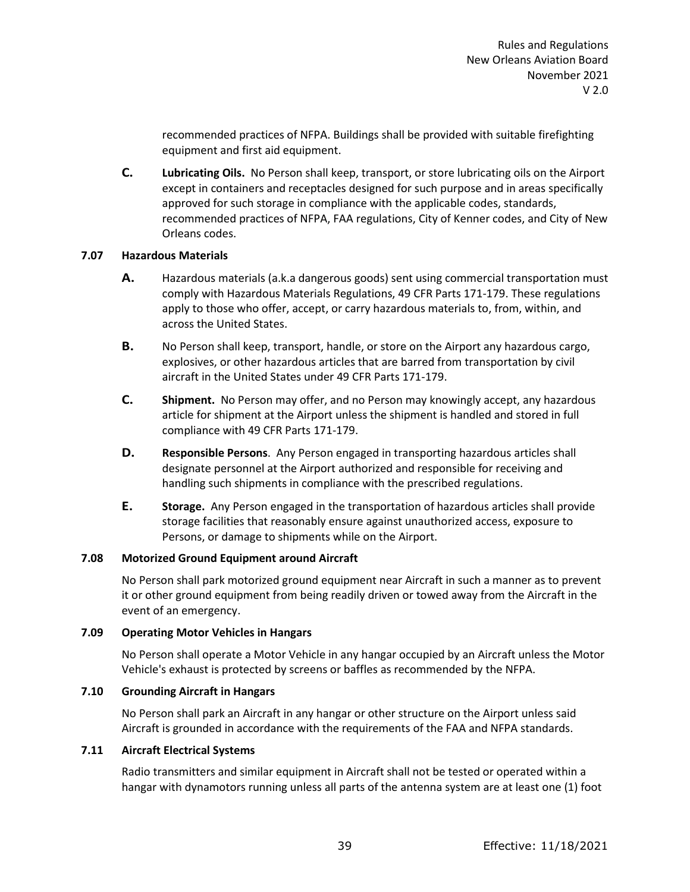recommended practices of NFPA. Buildings shall be provided with suitable firefighting equipment and first aid equipment.

**C. Lubricating Oils.** No Person shall keep, transport, or store lubricating oils on the Airport except in containers and receptacles designed for such purpose and in areas specifically approved for such storage in compliance with the applicable codes, standards, recommended practices of NFPA, FAA regulations, City of Kenner codes, and City of New Orleans codes.

## **7.07 Hazardous Materials**

- **A.** Hazardous materials (a.k.a dangerous goods) sent using commercial transportation must comply with [Hazardous Materials Regulations, 49 CFR Parts 171-179.](http://ecfr.gpoaccess.gov/cgi/t/text/text-idx?sid=32c9d6e43c050d0c1668f98ddffc2f54&c=ecfr&tpl=/ecfrbrowse/Title49/49cfrv2_02.tpl) These regulations apply to those who offer, accept, or carry hazardous materials to, from, within, and across the United States.
- **B.** No Person shall keep, transport, handle, or store on the Airport any hazardous cargo, explosives, or other hazardous articles that are barred from transportation by civil aircraft in the United States under 49 CFR Parts 171-179.
- **C. Shipment.** No Person may offer, and no Person may knowingly accept, any hazardous article for shipment at the Airport unless the shipment is handled and stored in full compliance with 49 CFR Parts 171-179.
- **D. Responsible Persons**. Any Person engaged in transporting hazardous articles shall designate personnel at the Airport authorized and responsible for receiving and handling such shipments in compliance with the prescribed regulations.
- **E. Storage.** Any Person engaged in the transportation of hazardous articles shall provide storage facilities that reasonably ensure against unauthorized access, exposure to Persons, or damage to shipments while on the Airport.

## **7.08 Motorized Ground Equipment around Aircraft**

No Person shall park motorized ground equipment near Aircraft in such a manner as to prevent it or other ground equipment from being readily driven or towed away from the Aircraft in the event of an emergency.

## **7.09 Operating Motor Vehicles in Hangars**

No Person shall operate a Motor Vehicle in any hangar occupied by an Aircraft unless the Motor Vehicle's exhaust is protected by screens or baffles as recommended by the NFPA.

## **7.10 Grounding Aircraft in Hangars**

No Person shall park an Aircraft in any hangar or other structure on the Airport unless said Aircraft is grounded in accordance with the requirements of the FAA and NFPA standards.

## **7.11 Aircraft Electrical Systems**

Radio transmitters and similar equipment in Aircraft shall not be tested or operated within a hangar with dynamotors running unless all parts of the antenna system are at least one (1) foot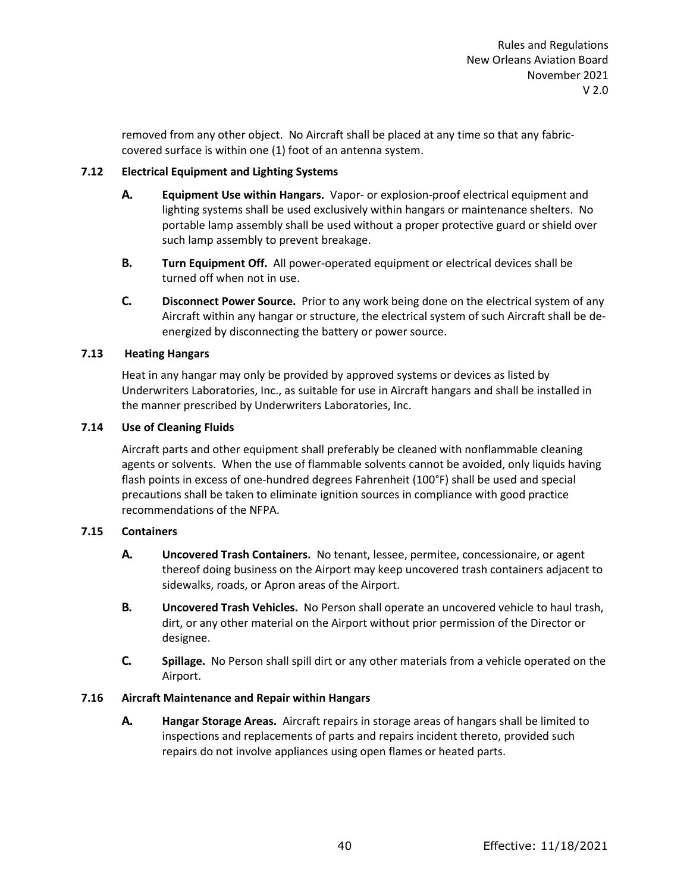removed from any other object. No Aircraft shall be placed at any time so that any fabriccovered surface is within one (1) foot of an antenna system.

# **7.12 Electrical Equipment and Lighting Systems**

- **A. Equipment Use within Hangars.** Vapor- or explosion-proof electrical equipment and lighting systems shall be used exclusively within hangars or maintenance shelters. No portable lamp assembly shall be used without a proper protective guard or shield over such lamp assembly to prevent breakage.
- **B. Turn Equipment Off.** All power-operated equipment or electrical devices shall be turned off when not in use.
- **C. Disconnect Power Source.** Prior to any work being done on the electrical system of any Aircraft within any hangar or structure, the electrical system of such Aircraft shall be deenergized by disconnecting the battery or power source.

# **7.13 Heating Hangars**

Heat in any hangar may only be provided by approved systems or devices as listed by Underwriters Laboratories, Inc., as suitable for use in Aircraft hangars and shall be installed in the manner prescribed by Underwriters Laboratories, Inc.

# **7.14 Use of Cleaning Fluids**

Aircraft parts and other equipment shall preferably be cleaned with nonflammable cleaning agents or solvents. When the use of flammable solvents cannot be avoided, only liquids having flash points in excess of one-hundred degrees Fahrenheit (100°F) shall be used and special precautions shall be taken to eliminate ignition sources in compliance with good practice recommendations of the NFPA.

## **7.15 Containers**

- **A. Uncovered Trash Containers.** No tenant, lessee, permitee, concessionaire, or agent thereof doing business on the Airport may keep uncovered trash containers adjacent to sidewalks, roads, or Apron areas of the Airport.
- **B. Uncovered Trash Vehicles.** No Person shall operate an uncovered vehicle to haul trash, dirt, or any other material on the Airport without prior permission of the Director or designee.
- **C. Spillage.** No Person shall spill dirt or any other materials from a vehicle operated on the Airport.

## **7.16 Aircraft Maintenance and Repair within Hangars**

**A. Hangar Storage Areas.** Aircraft repairs in storage areas of hangars shall be limited to inspections and replacements of parts and repairs incident thereto, provided such repairs do not involve appliances using open flames or heated parts.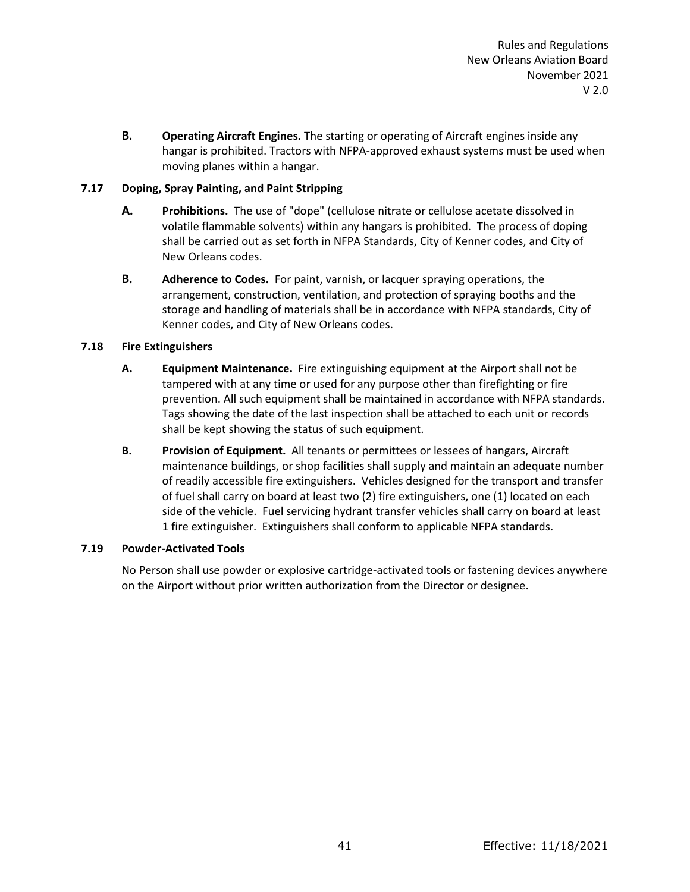**B. Operating Aircraft Engines.** The starting or operating of Aircraft engines inside any hangar is prohibited. Tractors with NFPA-approved exhaust systems must be used when moving planes within a hangar.

# **7.17 Doping, Spray Painting, and Paint Stripping**

- **A. Prohibitions.** The use of "dope" (cellulose nitrate or cellulose acetate dissolved in volatile flammable solvents) within any hangars is prohibited. The process of doping shall be carried out as set forth in NFPA Standards, City of Kenner codes, and City of New Orleans codes.
- **B. Adherence to Codes.** For paint, varnish, or lacquer spraying operations, the arrangement, construction, ventilation, and protection of spraying booths and the storage and handling of materials shall be in accordance with NFPA standards, City of Kenner codes, and City of New Orleans codes.

# **7.18 Fire Extinguishers**

- **A. Equipment Maintenance.** Fire extinguishing equipment at the Airport shall not be tampered with at any time or used for any purpose other than firefighting or fire prevention. All such equipment shall be maintained in accordance with NFPA standards. Tags showing the date of the last inspection shall be attached to each unit or records shall be kept showing the status of such equipment.
- **B. Provision of Equipment.** All tenants or permittees or lessees of hangars, Aircraft maintenance buildings, or shop facilities shall supply and maintain an adequate number of readily accessible fire extinguishers. Vehicles designed for the transport and transfer of fuel shall carry on board at least two (2) fire extinguishers, one (1) located on each side of the vehicle. Fuel servicing hydrant transfer vehicles shall carry on board at least 1 fire extinguisher. Extinguishers shall conform to applicable NFPA standards.

## **7.19 Powder-Activated Tools**

No Person shall use powder or explosive cartridge-activated tools or fastening devices anywhere on the Airport without prior written authorization from the Director or designee.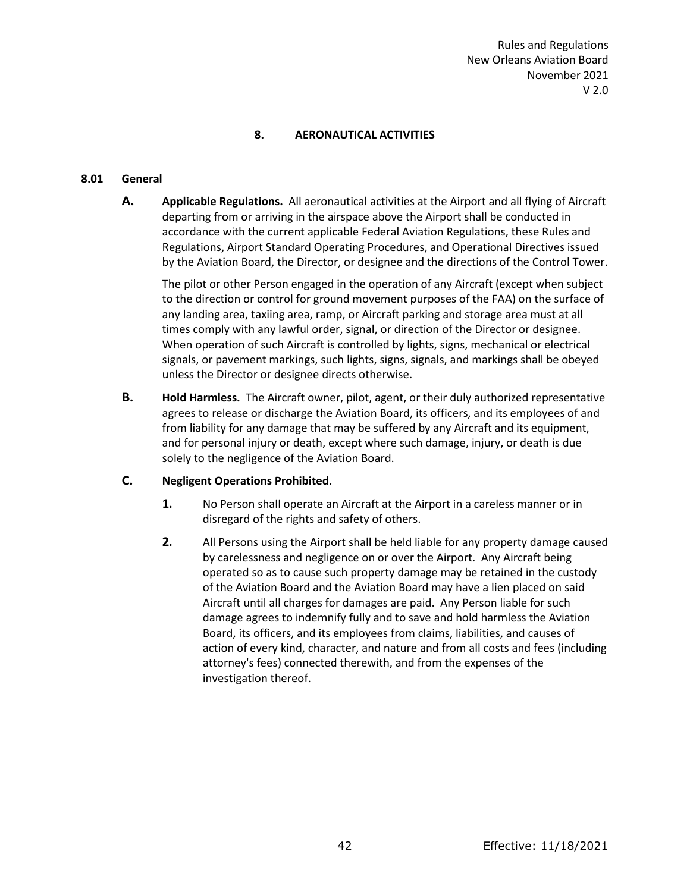# **8. AERONAUTICAL ACTIVITIES**

## **8.01 General**

**A. Applicable Regulations.** All aeronautical activities at the Airport and all flying of Aircraft departing from or arriving in the airspace above the Airport shall be conducted in accordance with the current applicable Federal Aviation Regulations, these Rules and Regulations, Airport Standard Operating Procedures, and Operational Directives issued by the Aviation Board, the Director, or designee and the directions of the Control Tower.

The pilot or other Person engaged in the operation of any Aircraft (except when subject to the direction or control for ground movement purposes of the FAA) on the surface of any landing area, taxiing area, ramp, or Aircraft parking and storage area must at all times comply with any lawful order, signal, or direction of the Director or designee. When operation of such Aircraft is controlled by lights, signs, mechanical or electrical signals, or pavement markings, such lights, signs, signals, and markings shall be obeyed unless the Director or designee directs otherwise.

**B. Hold Harmless.** The Aircraft owner, pilot, agent, or their duly authorized representative agrees to release or discharge the Aviation Board, its officers, and its employees of and from liability for any damage that may be suffered by any Aircraft and its equipment, and for personal injury or death, except where such damage, injury, or death is due solely to the negligence of the Aviation Board.

## **C. Negligent Operations Prohibited.**

- **1.** No Person shall operate an Aircraft at the Airport in a careless manner or in disregard of the rights and safety of others.
- **2.** All Persons using the Airport shall be held liable for any property damage caused by carelessness and negligence on or over the Airport. Any Aircraft being operated so as to cause such property damage may be retained in the custody of the Aviation Board and the Aviation Board may have a lien placed on said Aircraft until all charges for damages are paid. Any Person liable for such damage agrees to indemnify fully and to save and hold harmless the Aviation Board, its officers, and its employees from claims, liabilities, and causes of action of every kind, character, and nature and from all costs and fees (including attorney's fees) connected therewith, and from the expenses of the investigation thereof.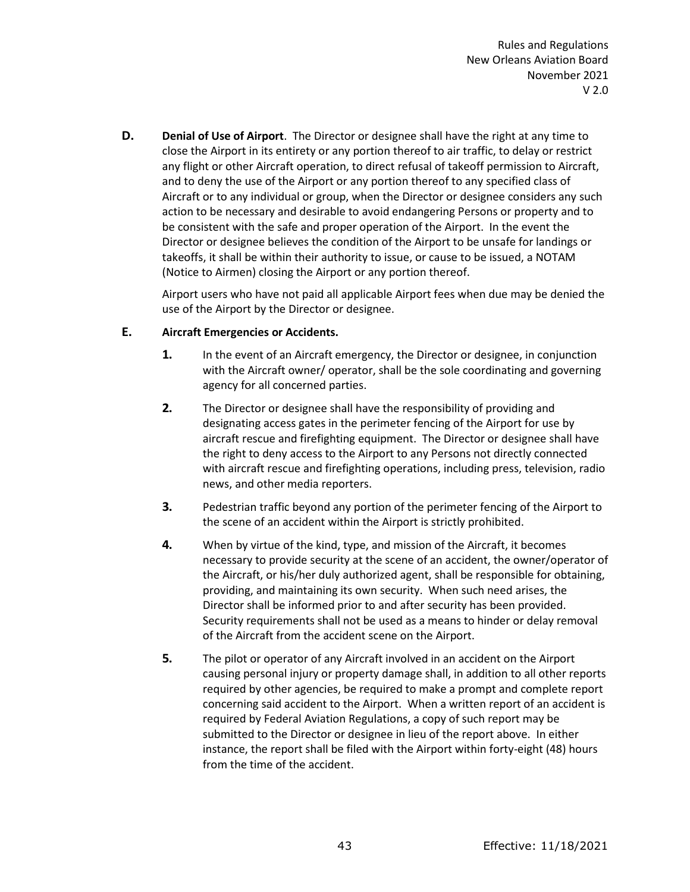**D. Denial of Use of Airport**. The Director or designee shall have the right at any time to close the Airport in its entirety or any portion thereof to air traffic, to delay or restrict any flight or other Aircraft operation, to direct refusal of takeoff permission to Aircraft, and to deny the use of the Airport or any portion thereof to any specified class of Aircraft or to any individual or group, when the Director or designee considers any such action to be necessary and desirable to avoid endangering Persons or property and to be consistent with the safe and proper operation of the Airport. In the event the Director or designee believes the condition of the Airport to be unsafe for landings or takeoffs, it shall be within their authority to issue, or cause to be issued, a NOTAM (Notice to Airmen) closing the Airport or any portion thereof.

Airport users who have not paid all applicable Airport fees when due may be denied the use of the Airport by the Director or designee.

# **E. Aircraft Emergencies or Accidents.**

- **1.** In the event of an Aircraft emergency, the Director or designee, in conjunction with the Aircraft owner/ operator, shall be the sole coordinating and governing agency for all concerned parties.
- **2.** The Director or designee shall have the responsibility of providing and designating access gates in the perimeter fencing of the Airport for use by aircraft rescue and firefighting equipment. The Director or designee shall have the right to deny access to the Airport to any Persons not directly connected with aircraft rescue and firefighting operations, including press, television, radio news, and other media reporters.
- **3.** Pedestrian traffic beyond any portion of the perimeter fencing of the Airport to the scene of an accident within the Airport is strictly prohibited.
- **4.** When by virtue of the kind, type, and mission of the Aircraft, it becomes necessary to provide security at the scene of an accident, the owner/operator of the Aircraft, or his/her duly authorized agent, shall be responsible for obtaining, providing, and maintaining its own security. When such need arises, the Director shall be informed prior to and after security has been provided. Security requirements shall not be used as a means to hinder or delay removal of the Aircraft from the accident scene on the Airport.
- **5.** The pilot or operator of any Aircraft involved in an accident on the Airport causing personal injury or property damage shall, in addition to all other reports required by other agencies, be required to make a prompt and complete report concerning said accident to the Airport. When a written report of an accident is required by Federal Aviation Regulations, a copy of such report may be submitted to the Director or designee in lieu of the report above. In either instance, the report shall be filed with the Airport within forty-eight (48) hours from the time of the accident.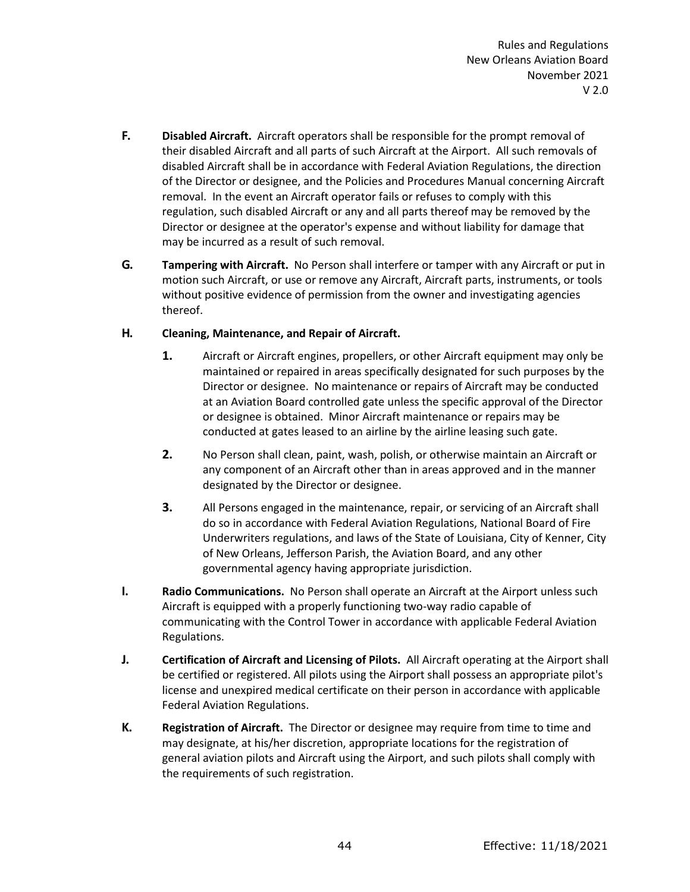- **F. Disabled Aircraft.** Aircraft operators shall be responsible for the prompt removal of their disabled Aircraft and all parts of such Aircraft at the Airport. All such removals of disabled Aircraft shall be in accordance with Federal Aviation Regulations, the direction of the Director or designee, and the Policies and Procedures Manual concerning Aircraft removal. In the event an Aircraft operator fails or refuses to comply with this regulation, such disabled Aircraft or any and all parts thereof may be removed by the Director or designee at the operator's expense and without liability for damage that may be incurred as a result of such removal.
- **G. Tampering with Aircraft.** No Person shall interfere or tamper with any Aircraft or put in motion such Aircraft, or use or remove any Aircraft, Aircraft parts, instruments, or tools without positive evidence of permission from the owner and investigating agencies thereof.

## **H. Cleaning, Maintenance, and Repair of Aircraft.**

- **1.** Aircraft or Aircraft engines, propellers, or other Aircraft equipment may only be maintained or repaired in areas specifically designated for such purposes by the Director or designee. No maintenance or repairs of Aircraft may be conducted at an Aviation Board controlled gate unless the specific approval of the Director or designee is obtained. Minor Aircraft maintenance or repairs may be conducted at gates leased to an airline by the airline leasing such gate.
- **2.** No Person shall clean, paint, wash, polish, or otherwise maintain an Aircraft or any component of an Aircraft other than in areas approved and in the manner designated by the Director or designee.
- **3.** All Persons engaged in the maintenance, repair, or servicing of an Aircraft shall do so in accordance with Federal Aviation Regulations, National Board of Fire Underwriters regulations, and laws of the State of Louisiana, City of Kenner, City of New Orleans, Jefferson Parish, the Aviation Board, and any other governmental agency having appropriate jurisdiction.
- **I. Radio Communications.** No Person shall operate an Aircraft at the Airport unless such Aircraft is equipped with a properly functioning two-way radio capable of communicating with the Control Tower in accordance with applicable Federal Aviation Regulations.
- **J. Certification of Aircraft and Licensing of Pilots.** All Aircraft operating at the Airport shall be certified or registered. All pilots using the Airport shall possess an appropriate pilot's license and unexpired medical certificate on their person in accordance with applicable Federal Aviation Regulations.
- **K. Registration of Aircraft.** The Director or designee may require from time to time and may designate, at his/her discretion, appropriate locations for the registration of general aviation pilots and Aircraft using the Airport, and such pilots shall comply with the requirements of such registration.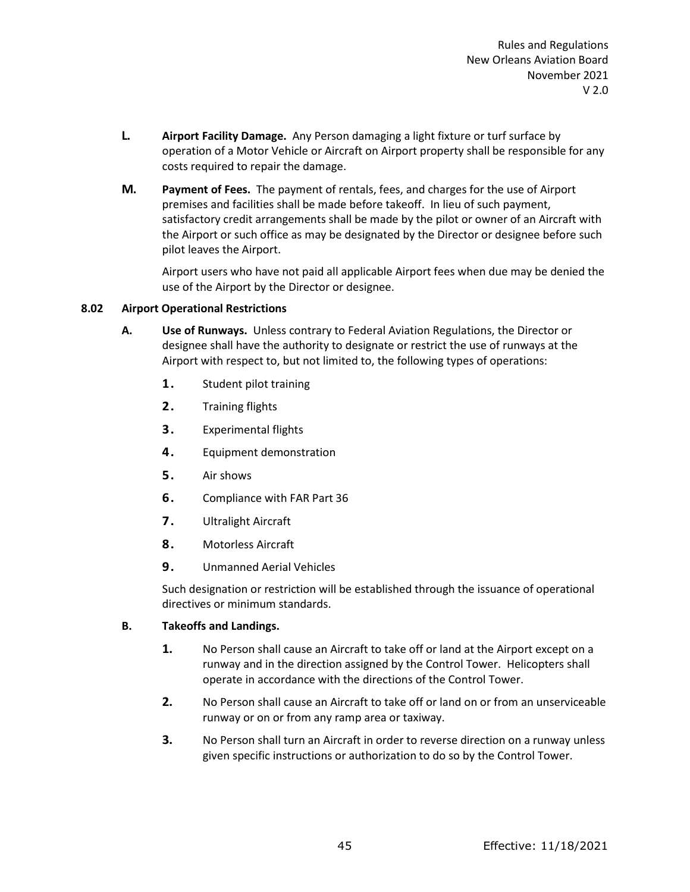- **L. Airport Facility Damage.** Any Person damaging a light fixture or turf surface by operation of a Motor Vehicle or Aircraft on Airport property shall be responsible for any costs required to repair the damage.
- **M. Payment of Fees.** The payment of rentals, fees, and charges for the use of Airport premises and facilities shall be made before takeoff. In lieu of such payment, satisfactory credit arrangements shall be made by the pilot or owner of an Aircraft with the Airport or such office as may be designated by the Director or designee before such pilot leaves the Airport.

Airport users who have not paid all applicable Airport fees when due may be denied the use of the Airport by the Director or designee.

## **8.02 Airport Operational Restrictions**

- **A. Use of Runways.** Unless contrary to Federal Aviation Regulations, the Director or designee shall have the authority to designate or restrict the use of runways at the Airport with respect to, but not limited to, the following types of operations:
	- **1.** Student pilot training
	- **2.** Training flights
	- **3.** Experimental flights
	- **4.** Equipment demonstration
	- **5.** Air shows
	- **6.** Compliance with FAR Part 36
	- **7.** Ultralight Aircraft
	- **8.** Motorless Aircraft
	- **9.** Unmanned Aerial Vehicles

Such designation or restriction will be established through the issuance of operational directives or minimum standards.

# **B. Takeoffs and Landings.**

- **1.** No Person shall cause an Aircraft to take off or land at the Airport except on a runway and in the direction assigned by the Control Tower. Helicopters shall operate in accordance with the directions of the Control Tower.
- **2.** No Person shall cause an Aircraft to take off or land on or from an unserviceable runway or on or from any ramp area or taxiway.
- **3.** No Person shall turn an Aircraft in order to reverse direction on a runway unless given specific instructions or authorization to do so by the Control Tower.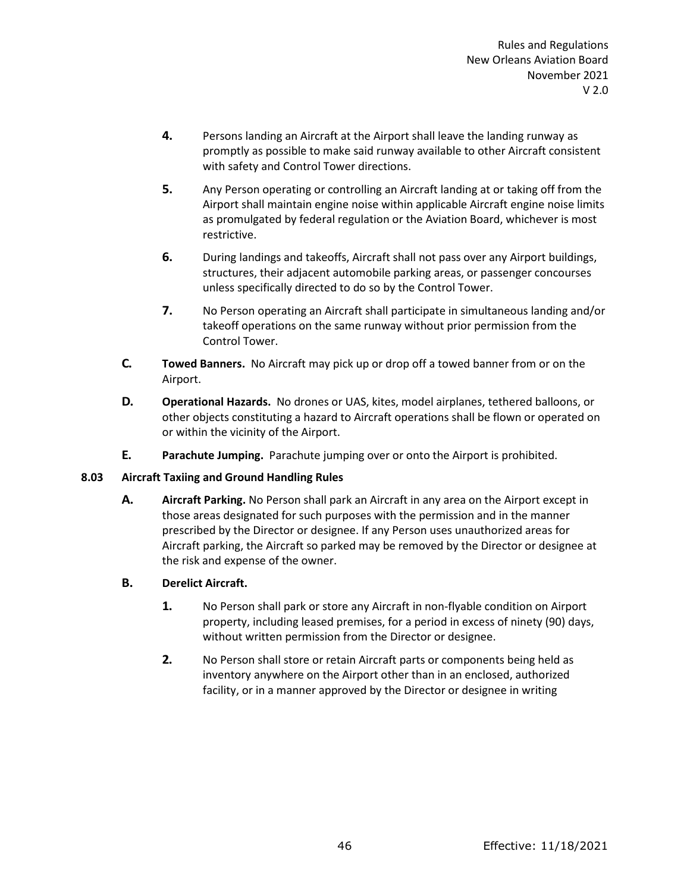- **4.** Persons landing an Aircraft at the Airport shall leave the landing runway as promptly as possible to make said runway available to other Aircraft consistent with safety and Control Tower directions.
- **5.** Any Person operating or controlling an Aircraft landing at or taking off from the Airport shall maintain engine noise within applicable Aircraft engine noise limits as promulgated by federal regulation or the Aviation Board, whichever is most restrictive.
- **6.** During landings and takeoffs, Aircraft shall not pass over any Airport buildings, structures, their adjacent automobile parking areas, or passenger concourses unless specifically directed to do so by the Control Tower.
- **7.** No Person operating an Aircraft shall participate in simultaneous landing and/or takeoff operations on the same runway without prior permission from the Control Tower.
- **C. Towed Banners.** No Aircraft may pick up or drop off a towed banner from or on the Airport.
- **D. Operational Hazards.** No drones or UAS, kites, model airplanes, tethered balloons, or other objects constituting a hazard to Aircraft operations shall be flown or operated on or within the vicinity of the Airport.
- **E. Parachute Jumping.** Parachute jumping over or onto the Airport is prohibited.

## **8.03 Aircraft Taxiing and Ground Handling Rules**

**A. Aircraft Parking.** No Person shall park an Aircraft in any area on the Airport except in those areas designated for such purposes with the permission and in the manner prescribed by the Director or designee. If any Person uses unauthorized areas for Aircraft parking, the Aircraft so parked may be removed by the Director or designee at the risk and expense of the owner.

# **B. Derelict Aircraft.**

- **1.** No Person shall park or store any Aircraft in non-flyable condition on Airport property, including leased premises, for a period in excess of ninety (90) days, without written permission from the Director or designee.
- **2.** No Person shall store or retain Aircraft parts or components being held as inventory anywhere on the Airport other than in an enclosed, authorized facility, or in a manner approved by the Director or designee in writing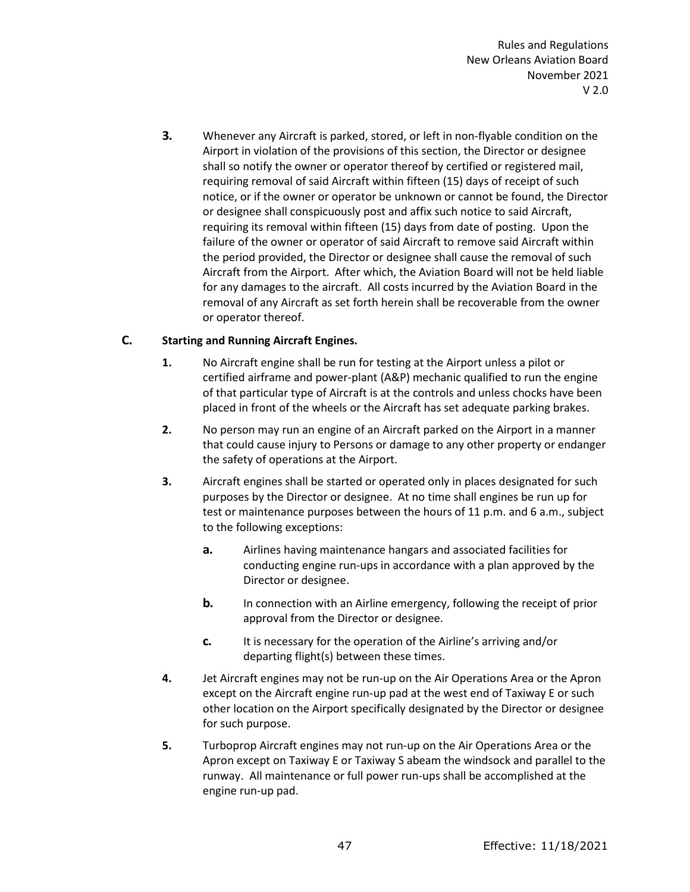**3.** Whenever any Aircraft is parked, stored, or left in non-flyable condition on the Airport in violation of the provisions of this section, the Director or designee shall so notify the owner or operator thereof by certified or registered mail, requiring removal of said Aircraft within fifteen (15) days of receipt of such notice, or if the owner or operator be unknown or cannot be found, the Director or designee shall conspicuously post and affix such notice to said Aircraft, requiring its removal within fifteen (15) days from date of posting. Upon the failure of the owner or operator of said Aircraft to remove said Aircraft within the period provided, the Director or designee shall cause the removal of such Aircraft from the Airport. After which, the Aviation Board will not be held liable for any damages to the aircraft. All costs incurred by the Aviation Board in the removal of any Aircraft as set forth herein shall be recoverable from the owner or operator thereof.

# **C. Starting and Running Aircraft Engines.**

- **1.** No Aircraft engine shall be run for testing at the Airport unless a pilot or certified airframe and power-plant (A&P) mechanic qualified to run the engine of that particular type of Aircraft is at the controls and unless chocks have been placed in front of the wheels or the Aircraft has set adequate parking brakes.
- **2.** No person may run an engine of an Aircraft parked on the Airport in a manner that could cause injury to Persons or damage to any other property or endanger the safety of operations at the Airport.
- **3.** Aircraft engines shall be started or operated only in places designated for such purposes by the Director or designee. At no time shall engines be run up for test or maintenance purposes between the hours of 11 p.m. and 6 a.m., subject to the following exceptions:
	- **a.** Airlines having maintenance hangars and associated facilities for conducting engine run-ups in accordance with a plan approved by the Director or designee.
	- **b.** In connection with an Airline emergency, following the receipt of prior approval from the Director or designee.
	- **c.** It is necessary for the operation of the Airline's arriving and/or departing flight(s) between these times.
- **4.** Jet Aircraft engines may not be run-up on the Air Operations Area or the Apron except on the Aircraft engine run-up pad at the west end of Taxiway E or such other location on the Airport specifically designated by the Director or designee for such purpose.
- **5.** Turboprop Aircraft engines may not run-up on the Air Operations Area or the Apron except on Taxiway E or Taxiway S abeam the windsock and parallel to the runway. All maintenance or full power run-ups shall be accomplished at the engine run-up pad.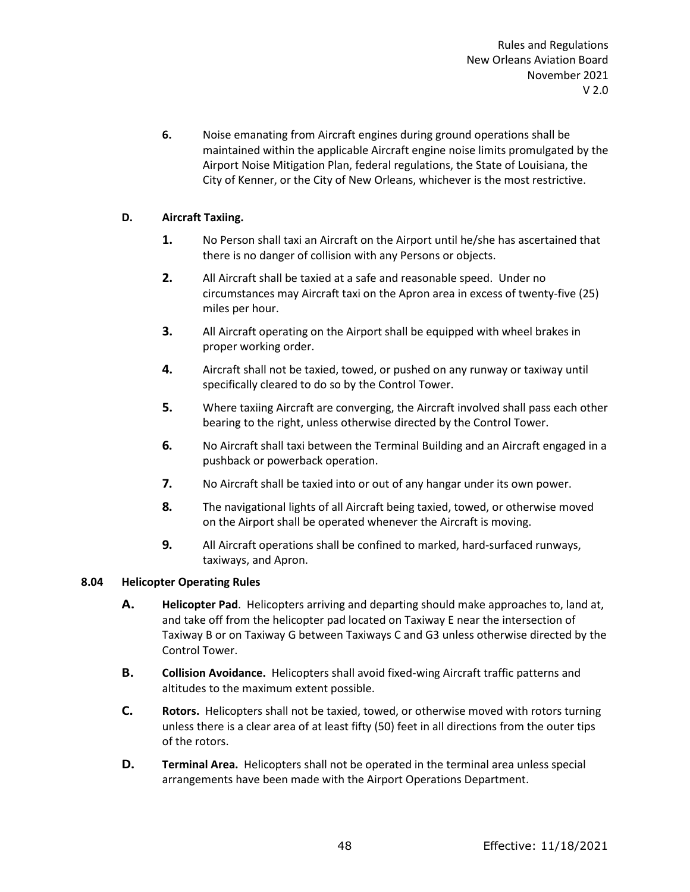**6.** Noise emanating from Aircraft engines during ground operations shall be maintained within the applicable Aircraft engine noise limits promulgated by the Airport Noise Mitigation Plan, federal regulations, the State of Louisiana, the City of Kenner, or the City of New Orleans, whichever is the most restrictive.

# **D. Aircraft Taxiing.**

- **1.** No Person shall taxi an Aircraft on the Airport until he/she has ascertained that there is no danger of collision with any Persons or objects.
- **2.** All Aircraft shall be taxied at a safe and reasonable speed. Under no circumstances may Aircraft taxi on the Apron area in excess of twenty-five (25) miles per hour.
- **3.** All Aircraft operating on the Airport shall be equipped with wheel brakes in proper working order.
- **4.** Aircraft shall not be taxied, towed, or pushed on any runway or taxiway until specifically cleared to do so by the Control Tower.
- **5.** Where taxiing Aircraft are converging, the Aircraft involved shall pass each other bearing to the right, unless otherwise directed by the Control Tower.
- **6.** No Aircraft shall taxi between the Terminal Building and an Aircraft engaged in a pushback or powerback operation.
- **7.** No Aircraft shall be taxied into or out of any hangar under its own power.
- **8.** The navigational lights of all Aircraft being taxied, towed, or otherwise moved on the Airport shall be operated whenever the Aircraft is moving.
- **9.** All Aircraft operations shall be confined to marked, hard-surfaced runways, taxiways, and Apron.

## **8.04 Helicopter Operating Rules**

- **A. Helicopter Pad**. Helicopters arriving and departing should make approaches to, land at, and take off from the helicopter pad located on Taxiway E near the intersection of Taxiway B or on Taxiway G between Taxiways C and G3 unless otherwise directed by the Control Tower.
- **B. Collision Avoidance.** Helicopters shall avoid fixed-wing Aircraft traffic patterns and altitudes to the maximum extent possible.
- **C. Rotors.** Helicopters shall not be taxied, towed, or otherwise moved with rotors turning unless there is a clear area of at least fifty (50) feet in all directions from the outer tips of the rotors.
- **D. Terminal Area.** Helicopters shall not be operated in the terminal area unless special arrangements have been made with the Airport Operations Department.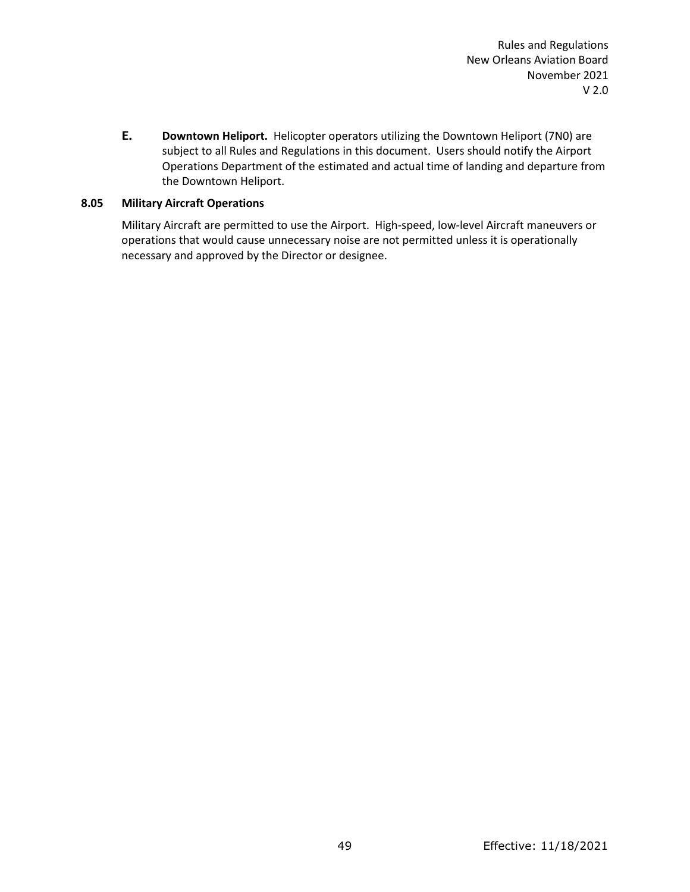**E. Downtown Heliport.** Helicopter operators utilizing the Downtown Heliport (7N0) are subject to all Rules and Regulations in this document. Users should notify the Airport Operations Department of the estimated and actual time of landing and departure from the Downtown Heliport.

## **8.05 Military Aircraft Operations**

Military Aircraft are permitted to use the Airport. High-speed, low-level Aircraft maneuvers or operations that would cause unnecessary noise are not permitted unless it is operationally necessary and approved by the Director or designee.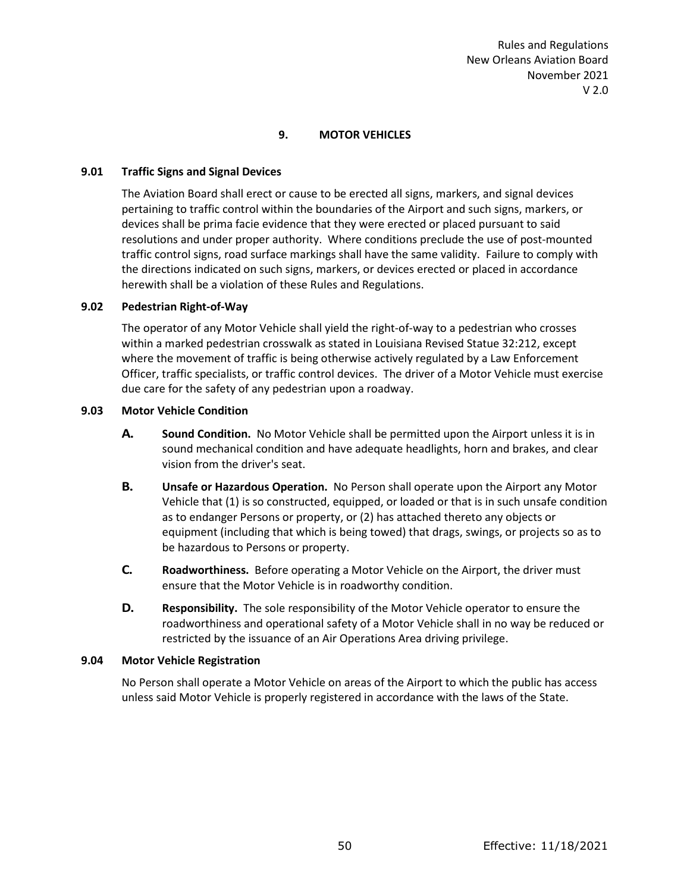## **9. MOTOR VEHICLES**

#### **9.01 Traffic Signs and Signal Devices**

The Aviation Board shall erect or cause to be erected all signs, markers, and signal devices pertaining to traffic control within the boundaries of the Airport and such signs, markers, or devices shall be prima facie evidence that they were erected or placed pursuant to said resolutions and under proper authority. Where conditions preclude the use of post-mounted traffic control signs, road surface markings shall have the same validity. Failure to comply with the directions indicated on such signs, markers, or devices erected or placed in accordance herewith shall be a violation of these Rules and Regulations.

### **9.02 Pedestrian Right-of-Way**

The operator of any Motor Vehicle shall yield the right-of-way to a pedestrian who crosses within a marked pedestrian crosswalk as stated in Louisiana Revised Statue 32:212, except where the movement of traffic is being otherwise actively regulated by a Law Enforcement Officer, traffic specialists, or traffic control devices. The driver of a Motor Vehicle must exercise due care for the safety of any pedestrian upon a roadway.

#### **9.03 Motor Vehicle Condition**

- **A. Sound Condition.** No Motor Vehicle shall be permitted upon the Airport unless it is in sound mechanical condition and have adequate headlights, horn and brakes, and clear vision from the driver's seat.
- **B. Unsafe or Hazardous Operation.** No Person shall operate upon the Airport any Motor Vehicle that (1) is so constructed, equipped, or loaded or that is in such unsafe condition as to endanger Persons or property, or (2) has attached thereto any objects or equipment (including that which is being towed) that drags, swings, or projects so as to be hazardous to Persons or property.
- **C. Roadworthiness.** Before operating a Motor Vehicle on the Airport, the driver must ensure that the Motor Vehicle is in roadworthy condition.
- **D. Responsibility.** The sole responsibility of the Motor Vehicle operator to ensure the roadworthiness and operational safety of a Motor Vehicle shall in no way be reduced or restricted by the issuance of an Air Operations Area driving privilege.

#### **9.04 Motor Vehicle Registration**

No Person shall operate a Motor Vehicle on areas of the Airport to which the public has access unless said Motor Vehicle is properly registered in accordance with the laws of the State.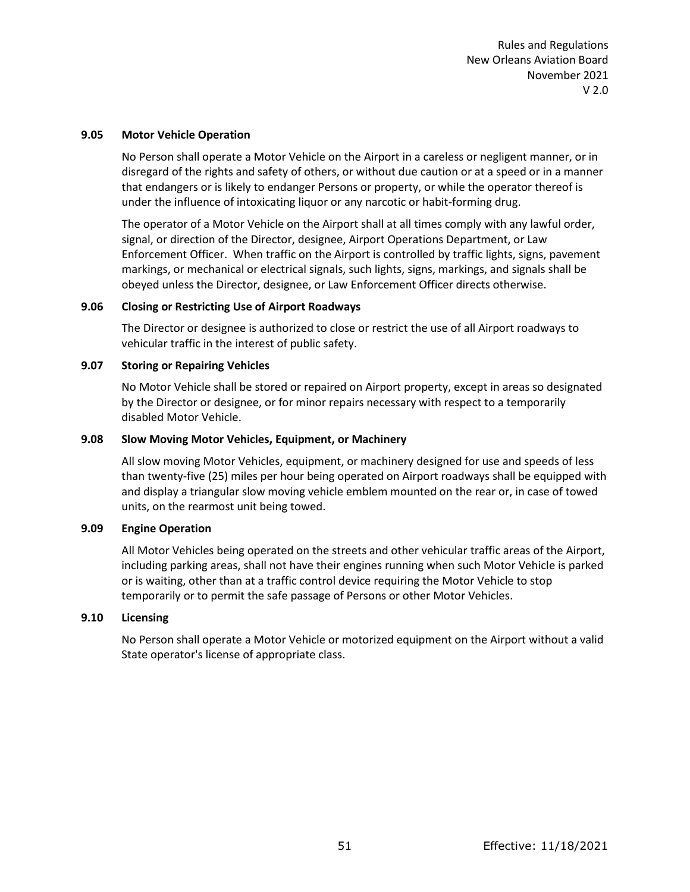#### **9.05 Motor Vehicle Operation**

No Person shall operate a Motor Vehicle on the Airport in a careless or negligent manner, or in disregard of the rights and safety of others, or without due caution or at a speed or in a manner that endangers or is likely to endanger Persons or property, or while the operator thereof is under the influence of intoxicating liquor or any narcotic or habit-forming drug.

The operator of a Motor Vehicle on the Airport shall at all times comply with any lawful order, signal, or direction of the Director, designee, Airport Operations Department, or Law Enforcement Officer. When traffic on the Airport is controlled by traffic lights, signs, pavement markings, or mechanical or electrical signals, such lights, signs, markings, and signals shall be obeyed unless the Director, designee, or Law Enforcement Officer directs otherwise.

#### **9.06 Closing or Restricting Use of Airport Roadways**

The Director or designee is authorized to close or restrict the use of all Airport roadways to vehicular traffic in the interest of public safety.

#### **9.07 Storing or Repairing Vehicles**

No Motor Vehicle shall be stored or repaired on Airport property, except in areas so designated by the Director or designee, or for minor repairs necessary with respect to a temporarily disabled Motor Vehicle.

## **9.08 Slow Moving Motor Vehicles, Equipment, or Machinery**

All slow moving Motor Vehicles, equipment, or machinery designed for use and speeds of less than twenty-five (25) miles per hour being operated on Airport roadways shall be equipped with and display a triangular slow moving vehicle emblem mounted on the rear or, in case of towed units, on the rearmost unit being towed.

#### **9.09 Engine Operation**

All Motor Vehicles being operated on the streets and other vehicular traffic areas of the Airport, including parking areas, shall not have their engines running when such Motor Vehicle is parked or is waiting, other than at a traffic control device requiring the Motor Vehicle to stop temporarily or to permit the safe passage of Persons or other Motor Vehicles.

### **9.10 Licensing**

No Person shall operate a Motor Vehicle or motorized equipment on the Airport without a valid State operator's license of appropriate class.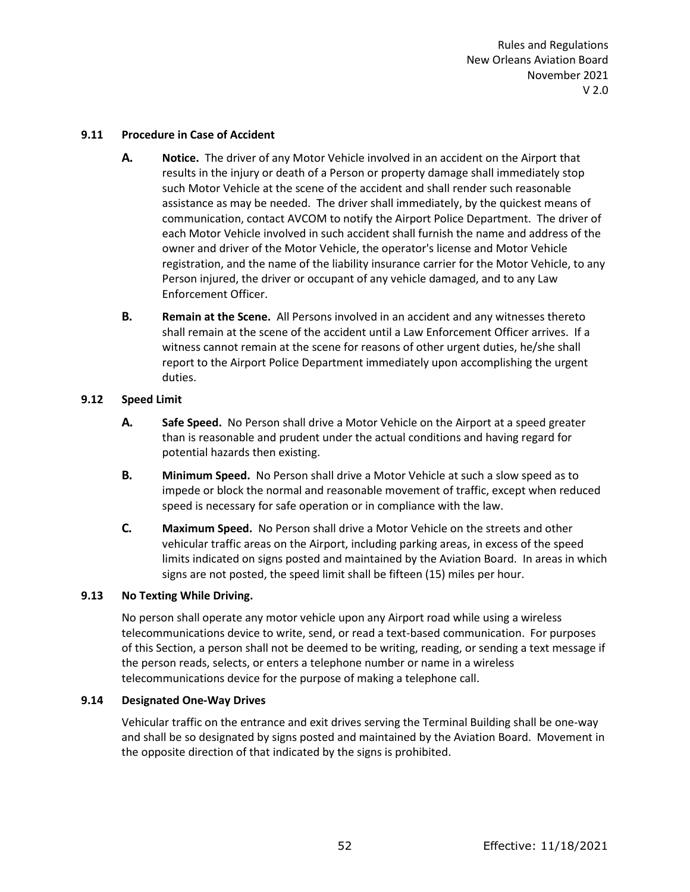### **9.11 Procedure in Case of Accident**

- **A. Notice.** The driver of any Motor Vehicle involved in an accident on the Airport that results in the injury or death of a Person or property damage shall immediately stop such Motor Vehicle at the scene of the accident and shall render such reasonable assistance as may be needed. The driver shall immediately, by the quickest means of communication, contact AVCOM to notify the Airport Police Department. The driver of each Motor Vehicle involved in such accident shall furnish the name and address of the owner and driver of the Motor Vehicle, the operator's license and Motor Vehicle registration, and the name of the liability insurance carrier for the Motor Vehicle, to any Person injured, the driver or occupant of any vehicle damaged, and to any Law Enforcement Officer.
- **B. Remain at the Scene.** All Persons involved in an accident and any witnesses thereto shall remain at the scene of the accident until a Law Enforcement Officer arrives. If a witness cannot remain at the scene for reasons of other urgent duties, he/she shall report to the Airport Police Department immediately upon accomplishing the urgent duties.

### **9.12 Speed Limit**

- **A. Safe Speed.** No Person shall drive a Motor Vehicle on the Airport at a speed greater than is reasonable and prudent under the actual conditions and having regard for potential hazards then existing.
- **B. Minimum Speed.** No Person shall drive a Motor Vehicle at such a slow speed as to impede or block the normal and reasonable movement of traffic, except when reduced speed is necessary for safe operation or in compliance with the law.
- **C. Maximum Speed.** No Person shall drive a Motor Vehicle on the streets and other vehicular traffic areas on the Airport, including parking areas, in excess of the speed limits indicated on signs posted and maintained by the Aviation Board. In areas in which signs are not posted, the speed limit shall be fifteen (15) miles per hour.

## **9.13 No Texting While Driving.**

No person shall operate any motor vehicle upon any Airport road while using a wireless telecommunications device to write, send, or read a text-based communication. For purposes of this Section, a person shall not be deemed to be writing, reading, or sending a text message if the person reads, selects, or enters a telephone number or name in a wireless telecommunications device for the purpose of making a telephone call.

#### **9.14 Designated One-Way Drives**

Vehicular traffic on the entrance and exit drives serving the Terminal Building shall be one-way and shall be so designated by signs posted and maintained by the Aviation Board. Movement in the opposite direction of that indicated by the signs is prohibited.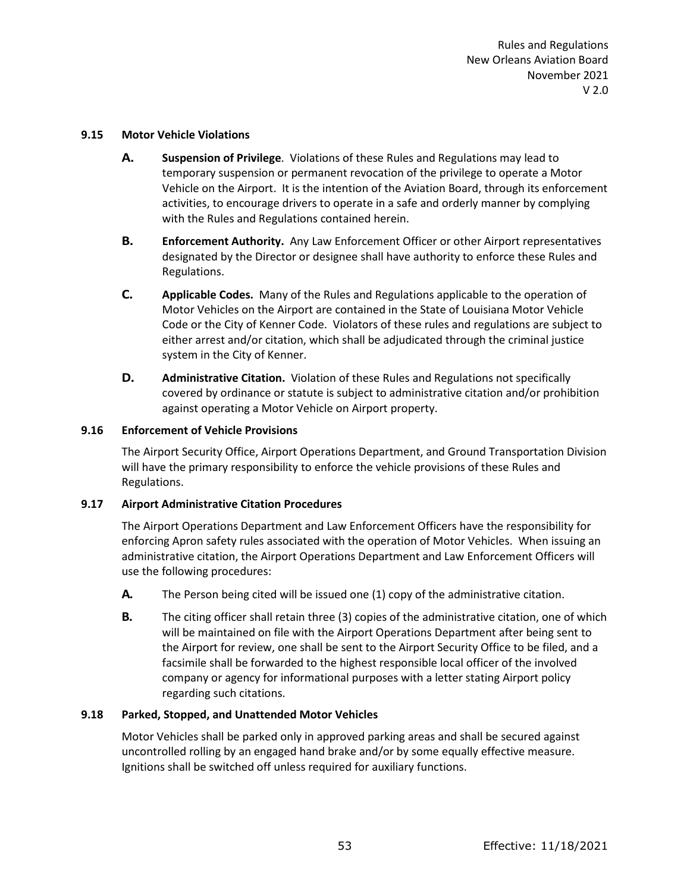#### **9.15 Motor Vehicle Violations**

- **A. Suspension of Privilege**. Violations of these Rules and Regulations may lead to temporary suspension or permanent revocation of the privilege to operate a Motor Vehicle on the Airport. It is the intention of the Aviation Board, through its enforcement activities, to encourage drivers to operate in a safe and orderly manner by complying with the Rules and Regulations contained herein.
- **B. Enforcement Authority.** Any Law Enforcement Officer or other Airport representatives designated by the Director or designee shall have authority to enforce these Rules and Regulations.
- **C. Applicable Codes.** Many of the Rules and Regulations applicable to the operation of Motor Vehicles on the Airport are contained in the State of Louisiana Motor Vehicle Code or the City of Kenner Code. Violators of these rules and regulations are subject to either arrest and/or citation, which shall be adjudicated through the criminal justice system in the City of Kenner.
- **D. Administrative Citation.** Violation of these Rules and Regulations not specifically covered by ordinance or statute is subject to administrative citation and/or prohibition against operating a Motor Vehicle on Airport property.

### **9.16 Enforcement of Vehicle Provisions**

The Airport Security Office, Airport Operations Department, and Ground Transportation Division will have the primary responsibility to enforce the vehicle provisions of these Rules and Regulations.

## **9.17 Airport Administrative Citation Procedures**

The Airport Operations Department and Law Enforcement Officers have the responsibility for enforcing Apron safety rules associated with the operation of Motor Vehicles. When issuing an administrative citation, the Airport Operations Department and Law Enforcement Officers will use the following procedures:

- **A.** The Person being cited will be issued one (1) copy of the administrative citation.
- **B.** The citing officer shall retain three (3) copies of the administrative citation, one of which will be maintained on file with the Airport Operations Department after being sent to the Airport for review, one shall be sent to the Airport Security Office to be filed, and a facsimile shall be forwarded to the highest responsible local officer of the involved company or agency for informational purposes with a letter stating Airport policy regarding such citations.

## **9.18 Parked, Stopped, and Unattended Motor Vehicles**

Motor Vehicles shall be parked only in approved parking areas and shall be secured against uncontrolled rolling by an engaged hand brake and/or by some equally effective measure. Ignitions shall be switched off unless required for auxiliary functions.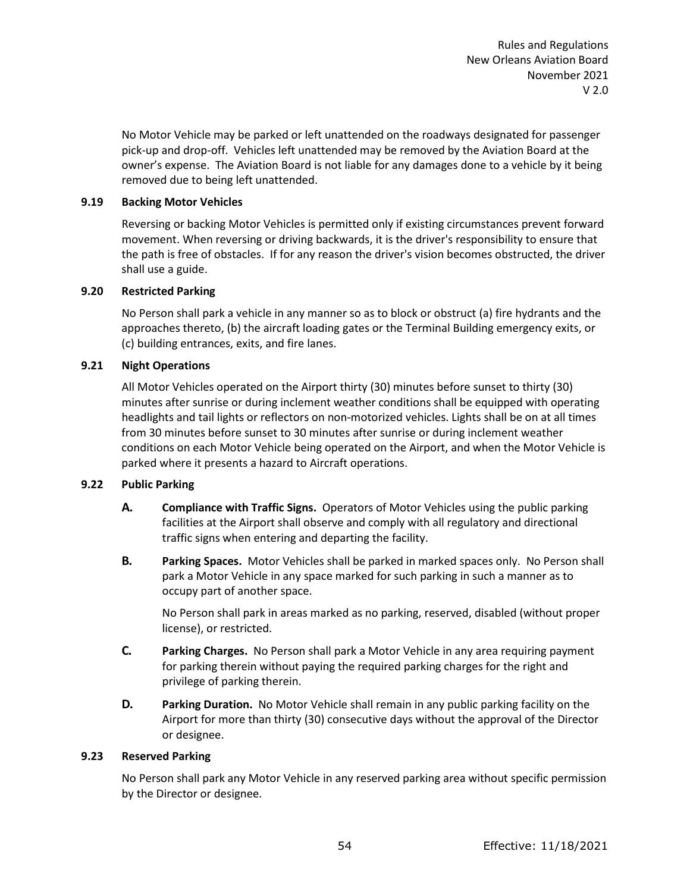No Motor Vehicle may be parked or left unattended on the roadways designated for passenger pick-up and drop-off. Vehicles left unattended may be removed by the Aviation Board at the owner's expense. The Aviation Board is not liable for any damages done to a vehicle by it being removed due to being left unattended.

## **9.19 Backing Motor Vehicles**

Reversing or backing Motor Vehicles is permitted only if existing circumstances prevent forward movement. When reversing or driving backwards, it is the driver's responsibility to ensure that the path is free of obstacles. If for any reason the driver's vision becomes obstructed, the driver shall use a guide.

# **9.20 Restricted Parking**

No Person shall park a vehicle in any manner so as to block or obstruct (a) fire hydrants and the approaches thereto, (b) the aircraft loading gates or the Terminal Building emergency exits, or (c) building entrances, exits, and fire lanes.

# **9.21 Night Operations**

All Motor Vehicles operated on the Airport thirty (30) minutes before sunset to thirty (30) minutes after sunrise or during inclement weather conditions shall be equipped with operating headlights and tail lights or reflectors on non-motorized vehicles. Lights shall be on at all times from 30 minutes before sunset to 30 minutes after sunrise or during inclement weather conditions on each Motor Vehicle being operated on the Airport, and when the Motor Vehicle is parked where it presents a hazard to Aircraft operations.

## **9.22 Public Parking**

- **A. Compliance with Traffic Signs.** Operators of Motor Vehicles using the public parking facilities at the Airport shall observe and comply with all regulatory and directional traffic signs when entering and departing the facility.
- **B. Parking Spaces.** Motor Vehicles shall be parked in marked spaces only. No Person shall park a Motor Vehicle in any space marked for such parking in such a manner as to occupy part of another space.

No Person shall park in areas marked as no parking, reserved, disabled (without proper license), or restricted.

- **C. Parking Charges.** No Person shall park a Motor Vehicle in any area requiring payment for parking therein without paying the required parking charges for the right and privilege of parking therein.
- **D. Parking Duration.** No Motor Vehicle shall remain in any public parking facility on the Airport for more than thirty (30) consecutive days without the approval of the Director or designee.

## **9.23 Reserved Parking**

No Person shall park any Motor Vehicle in any reserved parking area without specific permission by the Director or designee.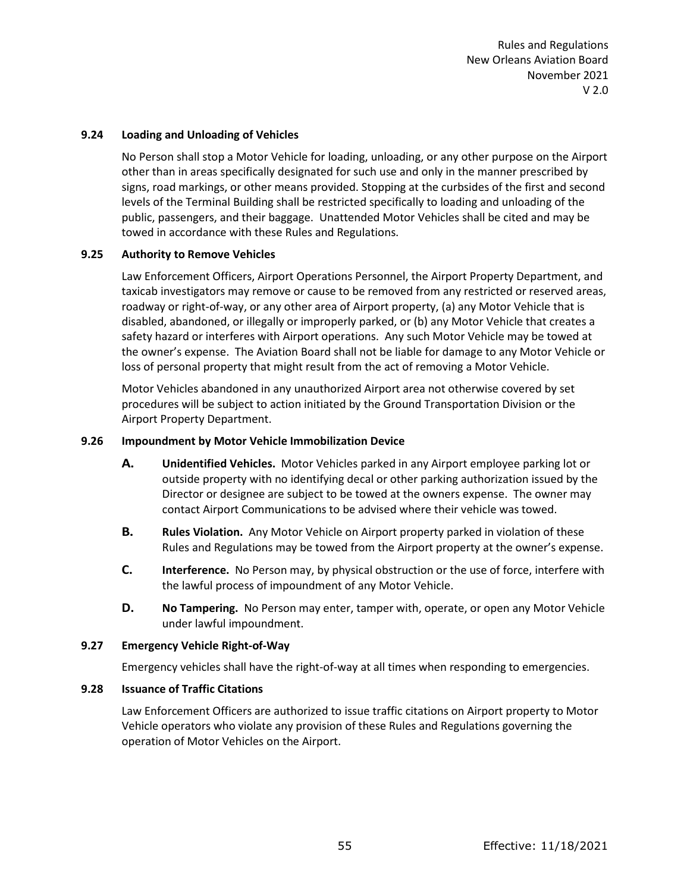### **9.24 Loading and Unloading of Vehicles**

No Person shall stop a Motor Vehicle for loading, unloading, or any other purpose on the Airport other than in areas specifically designated for such use and only in the manner prescribed by signs, road markings, or other means provided. Stopping at the curbsides of the first and second levels of the Terminal Building shall be restricted specifically to loading and unloading of the public, passengers, and their baggage. Unattended Motor Vehicles shall be cited and may be towed in accordance with these Rules and Regulations.

### **9.25 Authority to Remove Vehicles**

Law Enforcement Officers, Airport Operations Personnel, the Airport Property Department, and taxicab investigators may remove or cause to be removed from any restricted or reserved areas, roadway or right-of-way, or any other area of Airport property, (a) any Motor Vehicle that is disabled, abandoned, or illegally or improperly parked, or (b) any Motor Vehicle that creates a safety hazard or interferes with Airport operations. Any such Motor Vehicle may be towed at the owner's expense. The Aviation Board shall not be liable for damage to any Motor Vehicle or loss of personal property that might result from the act of removing a Motor Vehicle.

Motor Vehicles abandoned in any unauthorized Airport area not otherwise covered by set procedures will be subject to action initiated by the Ground Transportation Division or the Airport Property Department.

### **9.26 Impoundment by Motor Vehicle Immobilization Device**

- **A. Unidentified Vehicles.** Motor Vehicles parked in any Airport employee parking lot or outside property with no identifying decal or other parking authorization issued by the Director or designee are subject to be towed at the owners expense. The owner may contact Airport Communications to be advised where their vehicle was towed.
- **B. Rules Violation.** Any Motor Vehicle on Airport property parked in violation of these Rules and Regulations may be towed from the Airport property at the owner's expense.
- **C. Interference.** No Person may, by physical obstruction or the use of force, interfere with the lawful process of impoundment of any Motor Vehicle.
- **D. No Tampering.** No Person may enter, tamper with, operate, or open any Motor Vehicle under lawful impoundment.

#### **9.27 Emergency Vehicle Right-of-Way**

Emergency vehicles shall have the right-of-way at all times when responding to emergencies.

#### **9.28 Issuance of Traffic Citations**

Law Enforcement Officers are authorized to issue traffic citations on Airport property to Motor Vehicle operators who violate any provision of these Rules and Regulations governing the operation of Motor Vehicles on the Airport.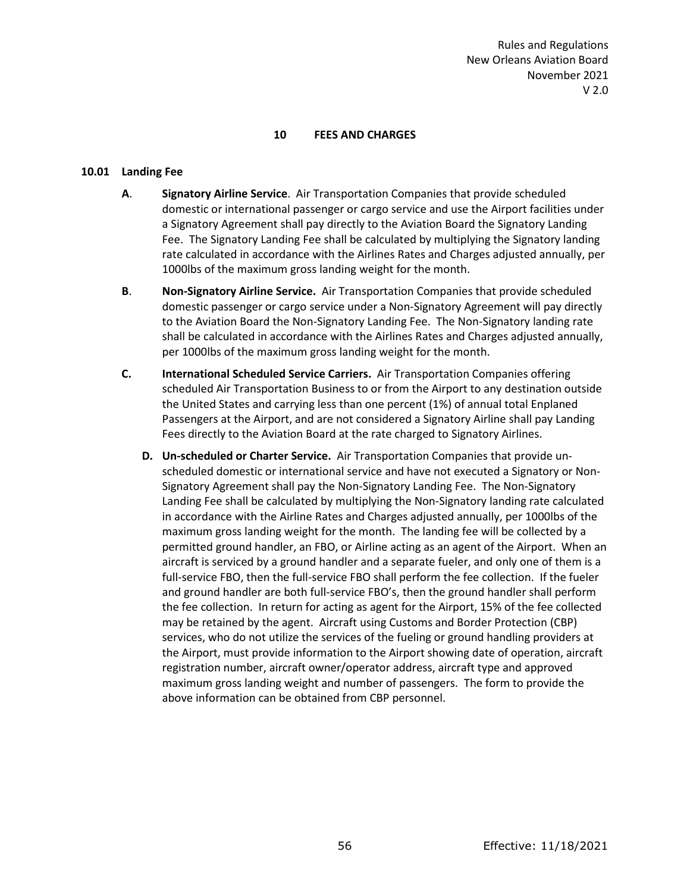### **10 FEES AND CHARGES**

#### **10.01 Landing Fee**

- **A**. **Signatory Airline Service**. Air Transportation Companies that provide scheduled domestic or international passenger or cargo service and use the Airport facilities under a Signatory Agreement shall pay directly to the Aviation Board the Signatory Landing Fee. The Signatory Landing Fee shall be calculated by multiplying the Signatory landing rate calculated in accordance with the Airlines Rates and Charges adjusted annually, per 1000lbs of the maximum gross landing weight for the month.
- **B**. **Non-Signatory Airline Service.** Air Transportation Companies that provide scheduled domestic passenger or cargo service under a Non-Signatory Agreement will pay directly to the Aviation Board the Non-Signatory Landing Fee. The Non-Signatory landing rate shall be calculated in accordance with the Airlines Rates and Charges adjusted annually, per 1000lbs of the maximum gross landing weight for the month.
- **C. International Scheduled Service Carriers.** Air Transportation Companies offering scheduled Air Transportation Business to or from the Airport to any destination outside the United States and carrying less than one percent (1%) of annual total Enplaned Passengers at the Airport, and are not considered a Signatory Airline shall pay Landing Fees directly to the Aviation Board at the rate charged to Signatory Airlines.
	- **D. Un-scheduled or Charter Service.** Air Transportation Companies that provide unscheduled domestic or international service and have not executed a Signatory or Non-Signatory Agreement shall pay the Non-Signatory Landing Fee. The Non-Signatory Landing Fee shall be calculated by multiplying the Non-Signatory landing rate calculated in accordance with the Airline Rates and Charges adjusted annually, per 1000lbs of the maximum gross landing weight for the month. The landing fee will be collected by a permitted ground handler, an FBO, or Airline acting as an agent of the Airport. When an aircraft is serviced by a ground handler and a separate fueler, and only one of them is a full-service FBO, then the full-service FBO shall perform the fee collection. If the fueler and ground handler are both full-service FBO's, then the ground handler shall perform the fee collection. In return for acting as agent for the Airport, 15% of the fee collected may be retained by the agent. Aircraft using Customs and Border Protection (CBP) services, who do not utilize the services of the fueling or ground handling providers at the Airport, must provide information to the Airport showing date of operation, aircraft registration number, aircraft owner/operator address, aircraft type and approved maximum gross landing weight and number of passengers. The form to provide the above information can be obtained from CBP personnel.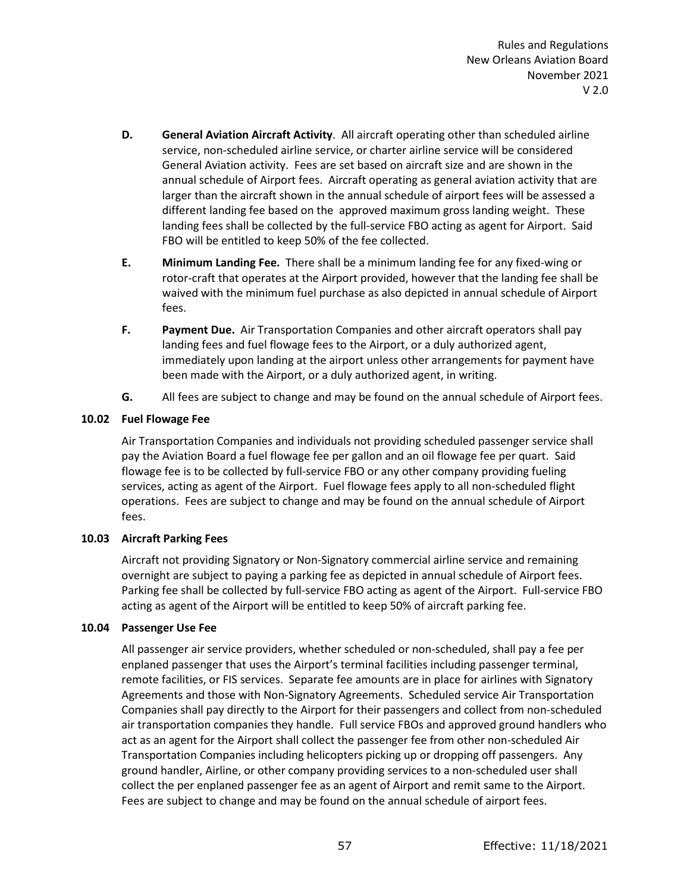- **D. General Aviation Aircraft Activity**. All aircraft operating other than scheduled airline service, non-scheduled airline service, or charter airline service will be considered General Aviation activity. Fees are set based on aircraft size and are shown in the annual schedule of Airport fees. Aircraft operating as general aviation activity that are larger than the aircraft shown in the annual schedule of airport fees will be assessed a different landing fee based on the approved maximum gross landing weight. These landing fees shall be collected by the full-service FBO acting as agent for Airport. Said FBO will be entitled to keep 50% of the fee collected.
- **E. Minimum Landing Fee.** There shall be a minimum landing fee for any fixed-wing or rotor-craft that operates at the Airport provided, however that the landing fee shall be waived with the minimum fuel purchase as also depicted in annual schedule of Airport fees.
- **F. Payment Due.** Air Transportation Companies and other aircraft operators shall pay landing fees and fuel flowage fees to the Airport, or a duly authorized agent, immediately upon landing at the airport unless other arrangements for payment have been made with the Airport, or a duly authorized agent, in writing.
- **G.** All fees are subject to change and may be found on the annual schedule of Airport fees.

# **10.02 Fuel Flowage Fee**

Air Transportation Companies and individuals not providing scheduled passenger service shall pay the Aviation Board a fuel flowage fee per gallon and an oil flowage fee per quart. Said flowage fee is to be collected by full-service FBO or any other company providing fueling services, acting as agent of the Airport. Fuel flowage fees apply to all non-scheduled flight operations. Fees are subject to change and may be found on the annual schedule of Airport fees.

## **10.03 Aircraft Parking Fees**

Aircraft not providing Signatory or Non-Signatory commercial airline service and remaining overnight are subject to paying a parking fee as depicted in annual schedule of Airport fees. Parking fee shall be collected by full-service FBO acting as agent of the Airport. Full-service FBO acting as agent of the Airport will be entitled to keep 50% of aircraft parking fee.

## **10.04 Passenger Use Fee**

All passenger air service providers, whether scheduled or non-scheduled, shall pay a fee per enplaned passenger that uses the Airport's terminal facilities including passenger terminal, remote facilities, or FIS services. Separate fee amounts are in place for airlines with Signatory Agreements and those with Non-Signatory Agreements. Scheduled service Air Transportation Companies shall pay directly to the Airport for their passengers and collect from non-scheduled air transportation companies they handle. Full service FBOs and approved ground handlers who act as an agent for the Airport shall collect the passenger fee from other non-scheduled Air Transportation Companies including helicopters picking up or dropping off passengers. Any ground handler, Airline, or other company providing services to a non-scheduled user shall collect the per enplaned passenger fee as an agent of Airport and remit same to the Airport. Fees are subject to change and may be found on the annual schedule of airport fees.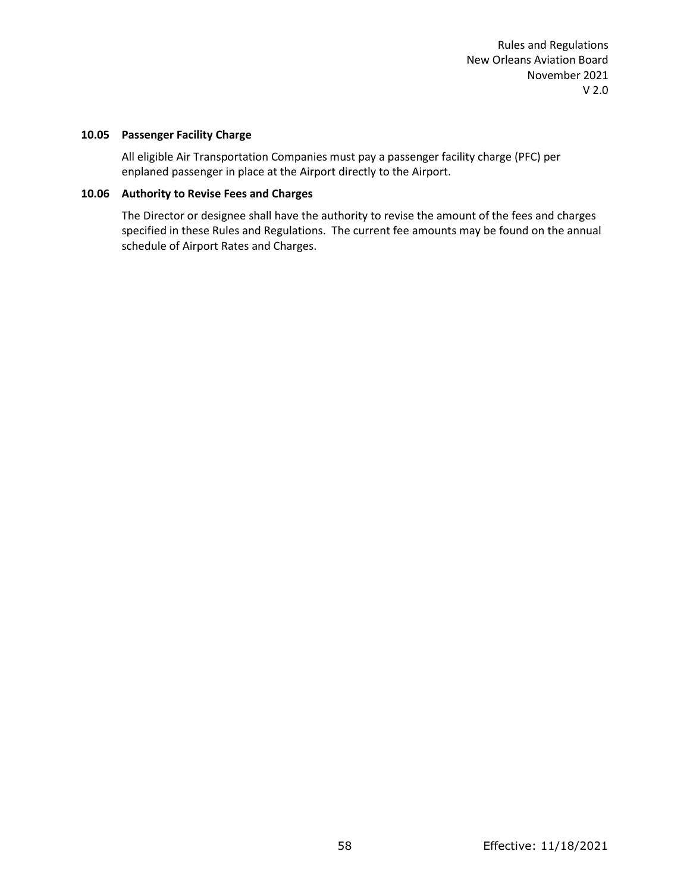#### **10.05 Passenger Facility Charge**

All eligible Air Transportation Companies must pay a passenger facility charge (PFC) per enplaned passenger in place at the Airport directly to the Airport.

### **10.06 Authority to Revise Fees and Charges**

The Director or designee shall have the authority to revise the amount of the fees and charges specified in these Rules and Regulations. The current fee amounts may be found on the annual schedule of Airport Rates and Charges.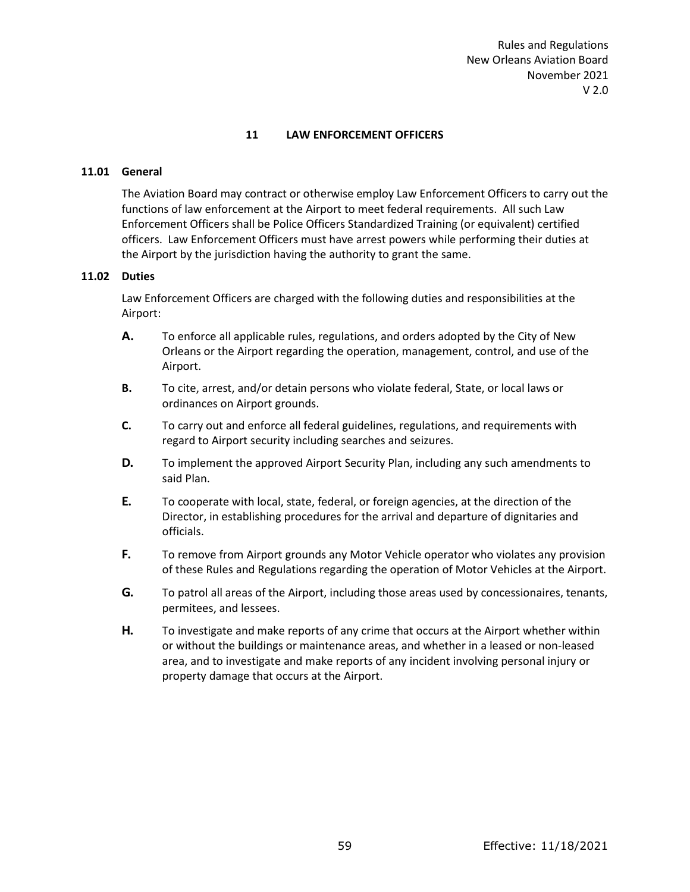## **11 LAW ENFORCEMENT OFFICERS**

### **11.01 General**

The Aviation Board may contract or otherwise employ Law Enforcement Officers to carry out the functions of law enforcement at the Airport to meet federal requirements. All such Law Enforcement Officers shall be Police Officers Standardized Training (or equivalent) certified officers. Law Enforcement Officers must have arrest powers while performing their duties at the Airport by the jurisdiction having the authority to grant the same.

### **11.02 Duties**

Law Enforcement Officers are charged with the following duties and responsibilities at the Airport:

- **A.** To enforce all applicable rules, regulations, and orders adopted by the City of New Orleans or the Airport regarding the operation, management, control, and use of the Airport.
- **B.** To cite, arrest, and/or detain persons who violate federal, State, or local laws or ordinances on Airport grounds.
- **C.** To carry out and enforce all federal guidelines, regulations, and requirements with regard to Airport security including searches and seizures.
- **D.** To implement the approved Airport Security Plan, including any such amendments to said Plan.
- **E.** To cooperate with local, state, federal, or foreign agencies, at the direction of the Director, in establishing procedures for the arrival and departure of dignitaries and officials.
- **F.** To remove from Airport grounds any Motor Vehicle operator who violates any provision of these Rules and Regulations regarding the operation of Motor Vehicles at the Airport.
- **G.** To patrol all areas of the Airport, including those areas used by concessionaires, tenants, permitees, and lessees.
- **H.** To investigate and make reports of any crime that occurs at the Airport whether within or without the buildings or maintenance areas, and whether in a leased or non-leased area, and to investigate and make reports of any incident involving personal injury or property damage that occurs at the Airport.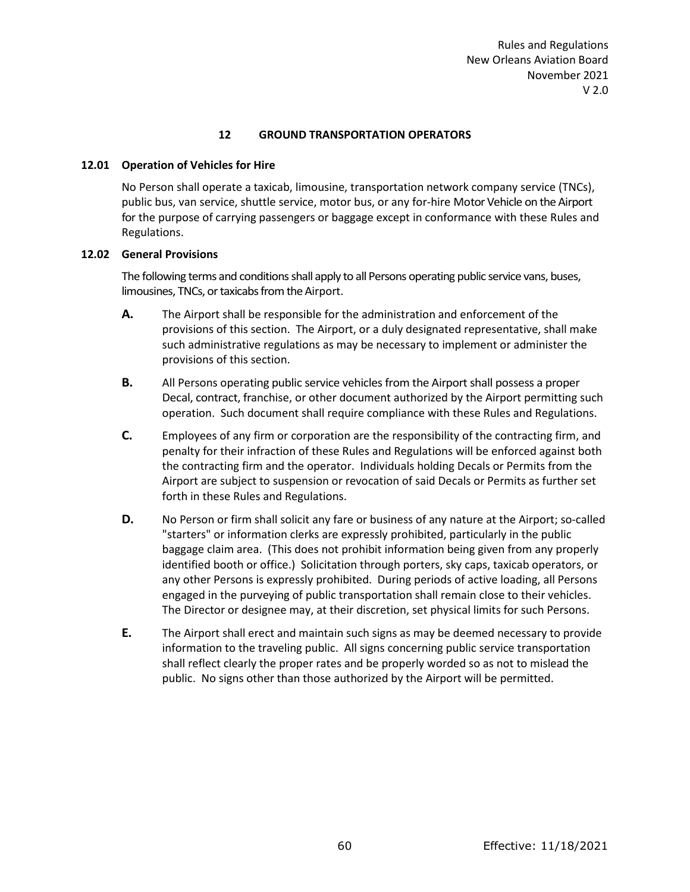### **12 GROUND TRANSPORTATION OPERATORS**

### **12.01 Operation of Vehicles for Hire**

No Person shall operate a taxicab, limousine, transportation network company service (TNCs), public bus, van service, shuttle service, motor bus, or any for-hire Motor Vehicle on the Airport for the purpose of carrying passengers or baggage except in conformance with these Rules and Regulations.

### **12.02 General Provisions**

The following terms and conditions shall apply to all Persons operating public service vans, buses, limousines, TNCs, or taxicabs from the Airport.

- **A.** The Airport shall be responsible for the administration and enforcement of the provisions of this section. The Airport, or a duly designated representative, shall make such administrative regulations as may be necessary to implement or administer the provisions of this section.
- **B.** All Persons operating public service vehicles from the Airport shall possess a proper Decal, contract, franchise, or other document authorized by the Airport permitting such operation. Such document shall require compliance with these Rules and Regulations.
- **C.** Employees of any firm or corporation are the responsibility of the contracting firm, and penalty for their infraction of these Rules and Regulations will be enforced against both the contracting firm and the operator. Individuals holding Decals or Permits from the Airport are subject to suspension or revocation of said Decals or Permits as further set forth in these Rules and Regulations.
- **D.** No Person or firm shall solicit any fare or business of any nature at the Airport; so-called "starters" or information clerks are expressly prohibited, particularly in the public baggage claim area. (This does not prohibit information being given from any properly identified booth or office.) Solicitation through porters, sky caps, taxicab operators, or any other Persons is expressly prohibited. During periods of active loading, all Persons engaged in the purveying of public transportation shall remain close to their vehicles. The Director or designee may, at their discretion, set physical limits for such Persons.
- **E.** The Airport shall erect and maintain such signs as may be deemed necessary to provide information to the traveling public. All signs concerning public service transportation shall reflect clearly the proper rates and be properly worded so as not to mislead the public. No signs other than those authorized by the Airport will be permitted.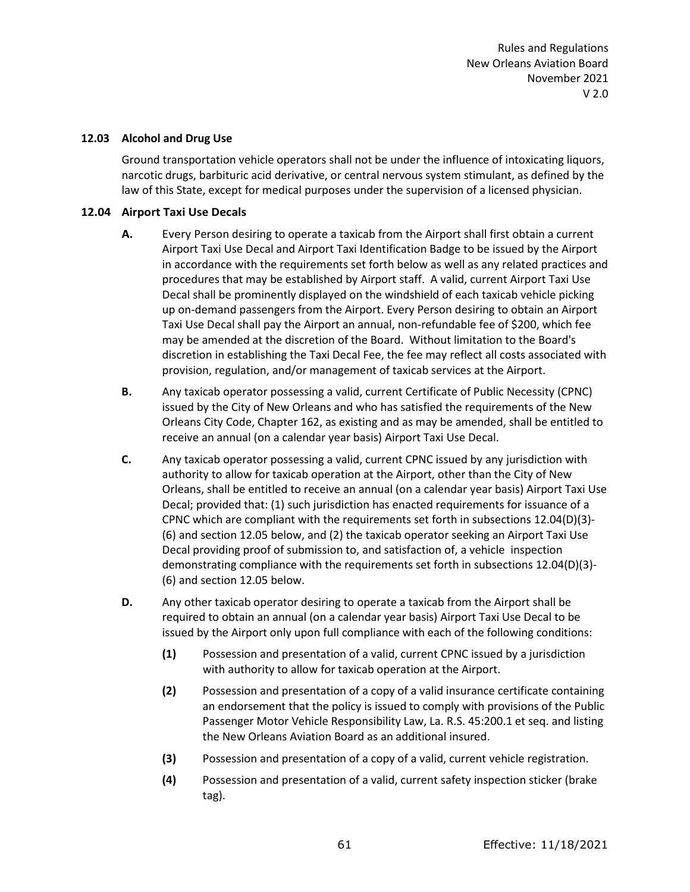#### **12.03 Alcohol and Drug Use**

Ground transportation vehicle operators shall not be under the influence of intoxicating liquors, narcotic drugs, barbituric acid derivative, or central nervous system stimulant, as defined by the law of this State, except for medical purposes under the supervision of a licensed physician.

### **12.04 Airport Taxi Use Decals**

- **A.** Every Person desiring to operate a taxicab from the Airport shall first obtain a current Airport Taxi Use Decal and Airport Taxi Identification Badge to be issued by the Airport in accordance with the requirements set forth below as well as any related practices and procedures that may be established by Airport staff. A valid, current Airport Taxi Use Decal shall be prominently displayed on the windshield of each taxicab vehicle picking up on-demand passengers from the Airport. Every Person desiring to obtain an Airport Taxi Use Decal shall pay the Airport an annual, non-refundable fee of \$200, which fee may be amended at the discretion of the Board. Without limitation to the Board's discretion in establishing the Taxi Decal Fee, the fee may reflect all costs associated with provision, regulation, and/or management of taxicab services at the Airport.
- **B.** Any taxicab operator possessing a valid, current Certificate of Public Necessity (CPNC) issued by the City of New Orleans and who has satisfied the requirements of the New Orleans City Code, Chapter 162, as existing and as may be amended, shall be entitled to receive an annual (on a calendar year basis) Airport Taxi Use Decal.
- **C.** Any taxicab operator possessing a valid, current CPNC issued by any jurisdiction with authority to allow for taxicab operation at the Airport, other than the City of New Orleans, shall be entitled to receive an annual (on a calendar year basis) Airport Taxi Use Decal; provided that: (1) such jurisdiction has enacted requirements for issuance of a CPNC which are compliant with the requirements set forth in subsections 12.04(D)(3)- (6) and section 12.05 below, and (2) the taxicab operator seeking an Airport Taxi Use Decal providing proof of submission to, and satisfaction of, a vehicle inspection demonstrating compliance with the requirements set forth in subsections 12.04(D)(3)- (6) and section 12.05 below.
- **D.** Any other taxicab operator desiring to operate a taxicab from the Airport shall be required to obtain an annual (on a calendar year basis) Airport Taxi Use Decal to be issued by the Airport only upon full compliance with each of the following conditions:
	- **(1)** Possession and presentation of a valid, current CPNC issued by a jurisdiction with authority to allow for taxicab operation at the Airport.
	- **(2)** Possession and presentation of a copy of a valid insurance certificate containing an endorsement that the policy is issued to comply with provisions of the Public Passenger Motor Vehicle Responsibility Law, La. R.S. 45:200.1 et seq. and listing the New Orleans Aviation Board as an additional insured.
	- **(3)** Possession and presentation of a copy of a valid, current vehicle registration.
	- **(4)** Possession and presentation of a valid, current safety inspection sticker (brake tag).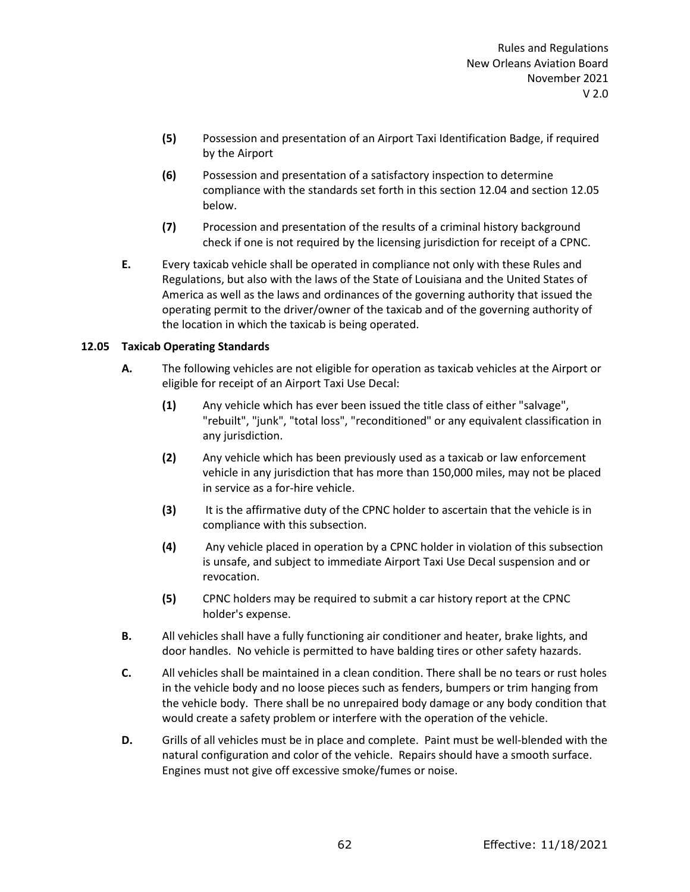- **(5)** Possession and presentation of an Airport Taxi Identification Badge, if required by the Airport
- **(6)** Possession and presentation of a satisfactory inspection to determine compliance with the standards set forth in this section 12.04 and section 12.05 below.
- **(7)** Procession and presentation of the results of a criminal history background check if one is not required by the licensing jurisdiction for receipt of a CPNC.
- **E.** Every taxicab vehicle shall be operated in compliance not only with these Rules and Regulations, but also with the laws of the State of Louisiana and the United States of America as well as the laws and ordinances of the governing authority that issued the operating permit to the driver/owner of the taxicab and of the governing authority of the location in which the taxicab is being operated.

# **12.05 Taxicab Operating Standards**

- **A.** The following vehicles are not eligible for operation as taxicab vehicles at the Airport or eligible for receipt of an Airport Taxi Use Decal:
	- **(1)** Any vehicle which has ever been issued the title class of either "salvage", "rebuilt", "junk", "total loss", "reconditioned" or any equivalent classification in any jurisdiction.
	- **(2)** Any vehicle which has been previously used as a taxicab or law enforcement vehicle in any jurisdiction that has more than 150,000 miles, may not be placed in service as a for-hire vehicle.
	- **(3)** It is the affirmative duty of the CPNC holder to ascertain that the vehicle is in compliance with this subsection.
	- **(4)** Any vehicle placed in operation by a CPNC holder in violation of this subsection is unsafe, and subject to immediate Airport Taxi Use Decal suspension and or revocation.
	- **(5)** CPNC holders may be required to submit a car history report at the CPNC holder's expense.
- **B.** All vehicles shall have a fully functioning air conditioner and heater, brake lights, and door handles. No vehicle is permitted to have balding tires or other safety hazards.
- **C.** All vehicles shall be maintained in a clean condition. There shall be no tears or rust holes in the vehicle body and no loose pieces such as fenders, bumpers or trim hanging from the vehicle body. There shall be no unrepaired body damage or any body condition that would create a safety problem or interfere with the operation of the vehicle.
- **D.** Grills of all vehicles must be in place and complete. Paint must be well-blended with the natural configuration and color of the vehicle. Repairs should have a smooth surface. Engines must not give off excessive smoke/fumes or noise.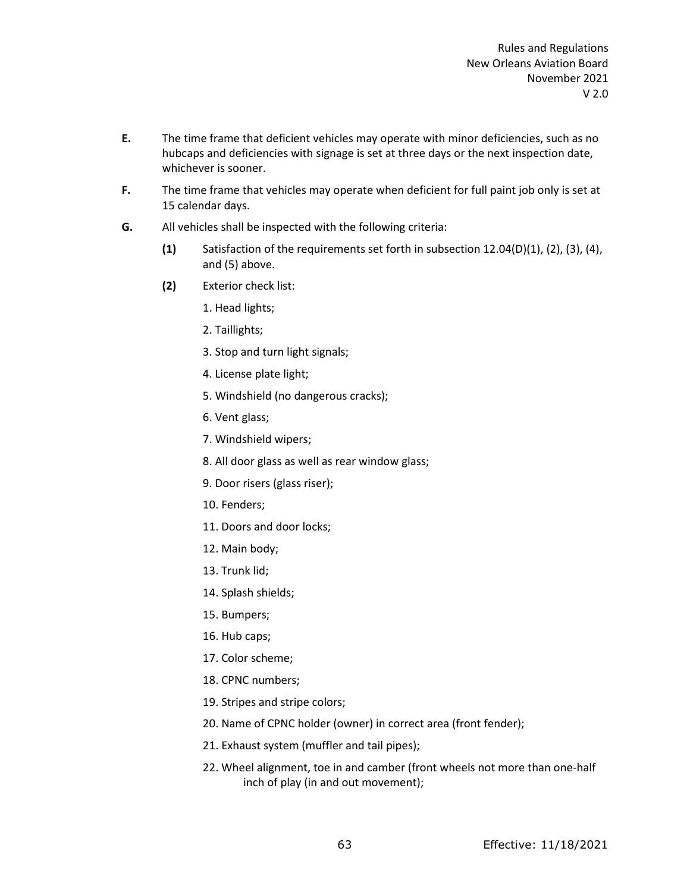- **E.** The time frame that deficient vehicles may operate with minor deficiencies, such as no hubcaps and deficiencies with signage is set at three days or the next inspection date, whichever is sooner.
- **F.** The time frame that vehicles may operate when deficient for full paint job only is set at 15 calendar days.
- **G.** All vehicles shall be inspected with the following criteria:
	- **(1)** Satisfaction of the requirements set forth in subsection 12.04(D)(1), (2), (3), (4), and (5) above.
	- **(2)** Exterior check list:
		- 1. Head lights;
		- 2. Taillights;
		- 3. Stop and turn light signals;
		- 4. License plate light;
		- 5. Windshield (no dangerous cracks);
		- 6. Vent glass;
		- 7. Windshield wipers;
		- 8. All door glass as well as rear window glass;
		- 9. Door risers (glass riser);
		- 10. Fenders;
		- 11. Doors and door locks;
		- 12. Main body;
		- 13. Trunk lid;
		- 14. Splash shields;
		- 15. Bumpers;
		- 16. Hub caps;
		- 17. Color scheme;
		- 18. CPNC numbers;
		- 19. Stripes and stripe colors;
		- 20. Name of CPNC holder (owner) in correct area (front fender);
		- 21. Exhaust system (muffler and tail pipes);
		- 22. Wheel alignment, toe in and camber (front wheels not more than one-half inch of play (in and out movement);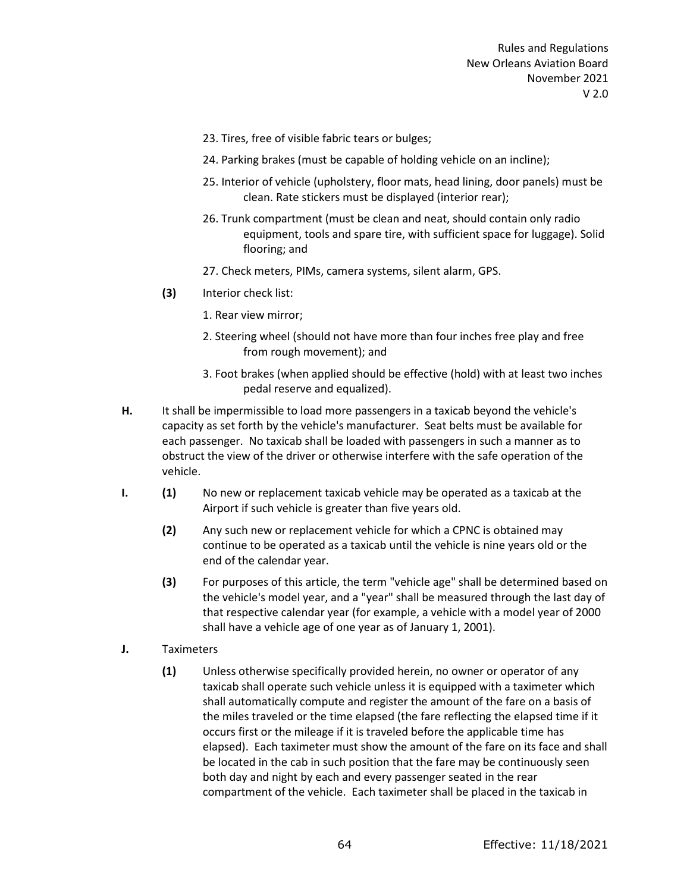- 23. Tires, free of visible fabric tears or bulges;
- 24. Parking brakes (must be capable of holding vehicle on an incline);
- 25. Interior of vehicle (upholstery, floor mats, head lining, door panels) must be clean. Rate stickers must be displayed (interior rear);
- 26. Trunk compartment (must be clean and neat, should contain only radio equipment, tools and spare tire, with sufficient space for luggage). Solid flooring; and
- 27. Check meters, PIMs, camera systems, silent alarm, GPS.
- **(3)** Interior check list:
	- 1. Rear view mirror;
	- 2. Steering wheel (should not have more than four inches free play and free from rough movement); and
	- 3. Foot brakes (when applied should be effective (hold) with at least two inches pedal reserve and equalized).
- **H.** It shall be impermissible to load more passengers in a taxicab beyond the vehicle's capacity as set forth by the vehicle's manufacturer. Seat belts must be available for each passenger. No taxicab shall be loaded with passengers in such a manner as to obstruct the view of the driver or otherwise interfere with the safe operation of the vehicle.
- **I. (1)** No new or replacement taxicab vehicle may be operated as a taxicab at the Airport if such vehicle is greater than five years old.
	- **(2)** Any such new or replacement vehicle for which a CPNC is obtained may continue to be operated as a taxicab until the vehicle is nine years old or the end of the calendar year.
	- **(3)** For purposes of this article, the term "vehicle age" shall be determined based on the vehicle's model year, and a "year" shall be measured through the last day of that respective calendar year (for example, a vehicle with a model year of 2000 shall have a vehicle age of one year as of January 1, 2001).
- **J.** Taximeters
	- **(1)** Unless otherwise specifically provided herein, no owner or operator of any taxicab shall operate such vehicle unless it is equipped with a taximeter which shall automatically compute and register the amount of the fare on a basis of the miles traveled or the time elapsed (the fare reflecting the elapsed time if it occurs first or the mileage if it is traveled before the applicable time has elapsed). Each taximeter must show the amount of the fare on its face and shall be located in the cab in such position that the fare may be continuously seen both day and night by each and every passenger seated in the rear compartment of the vehicle. Each taximeter shall be placed in the taxicab in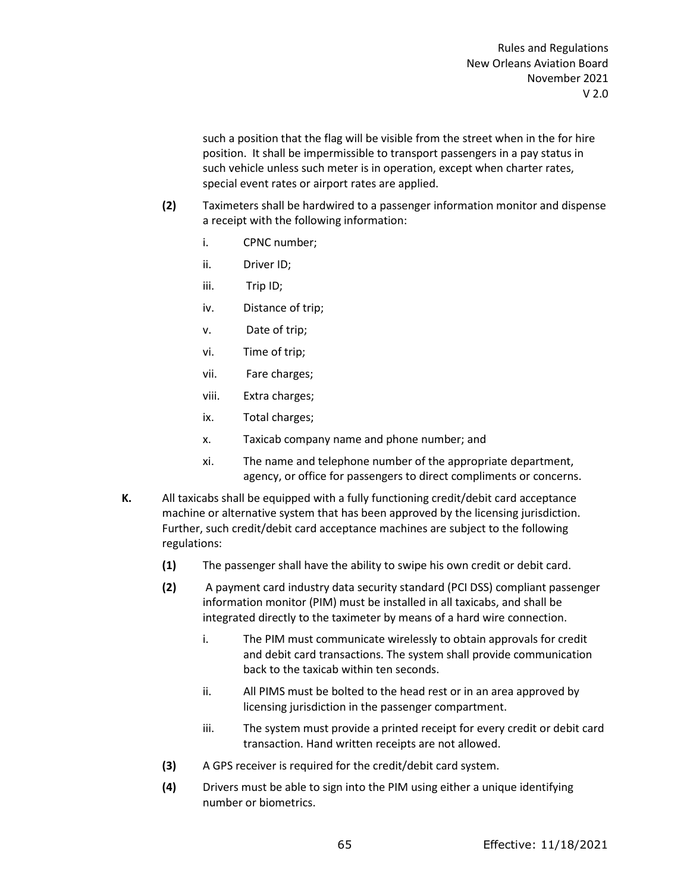such a position that the flag will be visible from the street when in the for hire position. It shall be impermissible to transport passengers in a pay status in such vehicle unless such meter is in operation, except when charter rates, special event rates or airport rates are applied.

- **(2)** Taximeters shall be hardwired to a passenger information monitor and dispense a receipt with the following information:
	- i. CPNC number;
	- ii. Driver ID;
	- iii. Trip ID;
	- iv. Distance of trip;
	- v. Date of trip;
	- vi. Time of trip;
	- vii. Fare charges;
	- viii. Extra charges;
	- ix. Total charges;
	- x. Taxicab company name and phone number; and
	- xi. The name and telephone number of the appropriate department, agency, or office for passengers to direct compliments or concerns.
- **K.** All taxicabs shall be equipped with a fully functioning credit/debit card acceptance machine or alternative system that has been approved by the licensing jurisdiction. Further, such credit/debit card acceptance machines are subject to the following regulations:
	- **(1)** The passenger shall have the ability to swipe his own credit or debit card.
	- **(2)** A payment card industry data security standard (PCI DSS) compliant passenger information monitor (PIM) must be installed in all taxicabs, and shall be integrated directly to the taximeter by means of a hard wire connection.
		- i. The PIM must communicate wirelessly to obtain approvals for credit and debit card transactions. The system shall provide communication back to the taxicab within ten seconds.
		- ii. All PIMS must be bolted to the head rest or in an area approved by licensing jurisdiction in the passenger compartment.
		- iii. The system must provide a printed receipt for every credit or debit card transaction. Hand written receipts are not allowed.
	- **(3)** A GPS receiver is required for the credit/debit card system.
	- **(4)** Drivers must be able to sign into the PIM using either a unique identifying number or biometrics.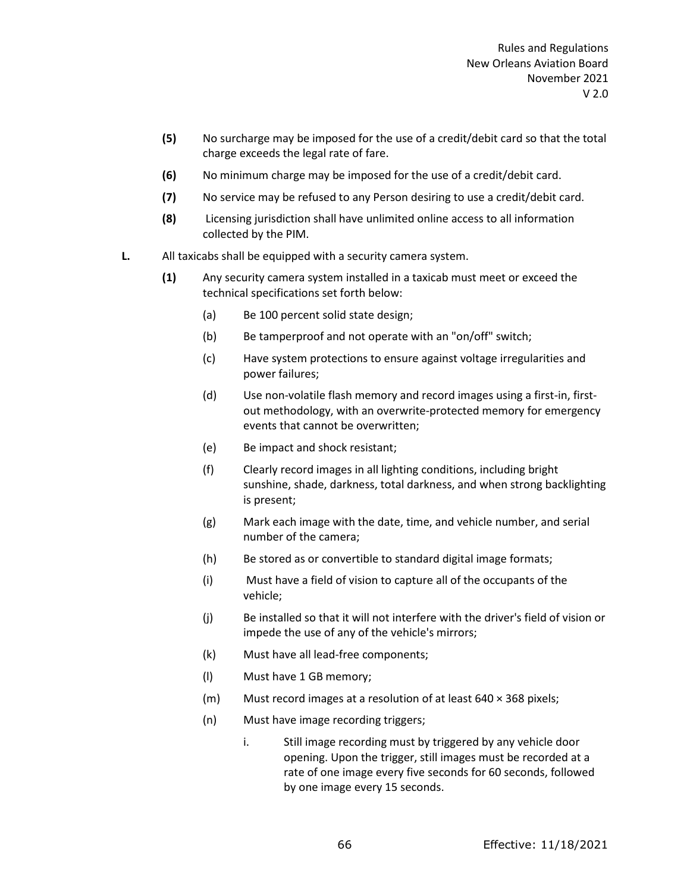- **(5)** No surcharge may be imposed for the use of a credit/debit card so that the total charge exceeds the legal rate of fare.
- **(6)** No minimum charge may be imposed for the use of a credit/debit card.
- **(7)** No service may be refused to any Person desiring to use a credit/debit card.
- **(8)** Licensing jurisdiction shall have unlimited online access to all information collected by the PIM.
- **L.** All taxicabs shall be equipped with a security camera system.
	- **(1)** Any security camera system installed in a taxicab must meet or exceed the technical specifications set forth below:
		- (a) Be 100 percent solid state design;
		- (b) Be tamperproof and not operate with an "on/off" switch;
		- (c) Have system protections to ensure against voltage irregularities and power failures;
		- (d) Use non-volatile flash memory and record images using a first-in, firstout methodology, with an overwrite-protected memory for emergency events that cannot be overwritten;
		- (e) Be impact and shock resistant;
		- (f) Clearly record images in all lighting conditions, including bright sunshine, shade, darkness, total darkness, and when strong backlighting is present;
		- (g) Mark each image with the date, time, and vehicle number, and serial number of the camera;
		- (h) Be stored as or convertible to standard digital image formats;
		- (i) Must have a field of vision to capture all of the occupants of the vehicle;
		- (j) Be installed so that it will not interfere with the driver's field of vision or impede the use of any of the vehicle's mirrors;
		- (k) Must have all lead-free components;
		- (l) Must have 1 GB memory;
		- (m) Must record images at a resolution of at least 640 × 368 pixels;
		- (n) Must have image recording triggers;
			- i. Still image recording must by triggered by any vehicle door opening. Upon the trigger, still images must be recorded at a rate of one image every five seconds for 60 seconds, followed by one image every 15 seconds.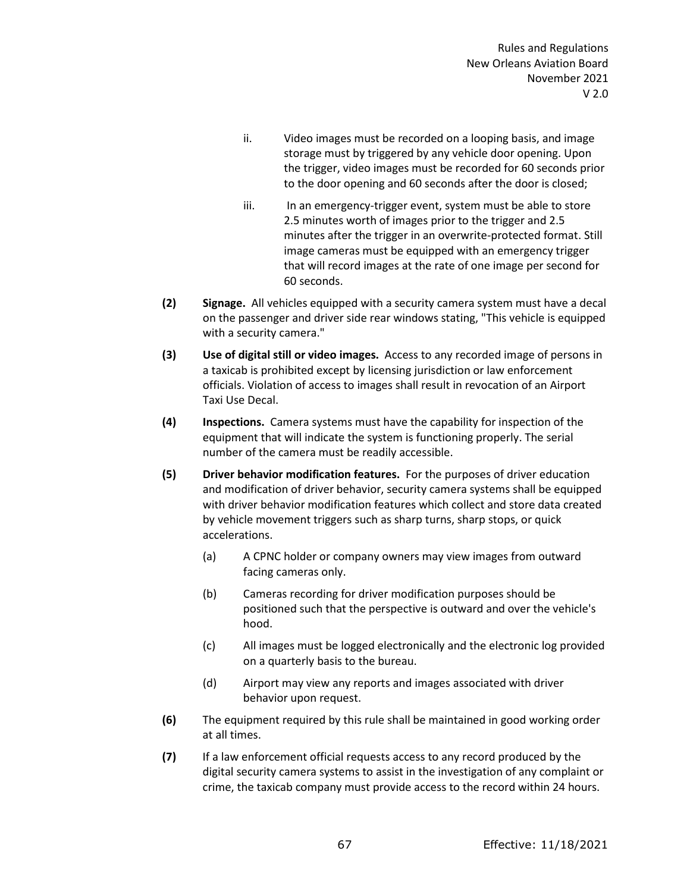- ii. Video images must be recorded on a looping basis, and image storage must by triggered by any vehicle door opening. Upon the trigger, video images must be recorded for 60 seconds prior to the door opening and 60 seconds after the door is closed;
- iii. In an emergency-trigger event, system must be able to store 2.5 minutes worth of images prior to the trigger and 2.5 minutes after the trigger in an overwrite-protected format. Still image cameras must be equipped with an emergency trigger that will record images at the rate of one image per second for 60 seconds.
- **(2) Signage.** All vehicles equipped with a security camera system must have a decal on the passenger and driver side rear windows stating, "This vehicle is equipped with a security camera."
- **(3) Use of digital still or video images.** Access to any recorded image of persons in a taxicab is prohibited except by licensing jurisdiction or law enforcement officials. Violation of access to images shall result in revocation of an Airport Taxi Use Decal.
- **(4) Inspections.** Camera systems must have the capability for inspection of the equipment that will indicate the system is functioning properly. The serial number of the camera must be readily accessible.
- **(5) Driver behavior modification features.** For the purposes of driver education and modification of driver behavior, security camera systems shall be equipped with driver behavior modification features which collect and store data created by vehicle movement triggers such as sharp turns, sharp stops, or quick accelerations.
	- (a) A CPNC holder or company owners may view images from outward facing cameras only.
	- (b) Cameras recording for driver modification purposes should be positioned such that the perspective is outward and over the vehicle's hood.
	- (c) All images must be logged electronically and the electronic log provided on a quarterly basis to the bureau.
	- (d) Airport may view any reports and images associated with driver behavior upon request.
- **(6)** The equipment required by this rule shall be maintained in good working order at all times.
- **(7)** If a law enforcement official requests access to any record produced by the digital security camera systems to assist in the investigation of any complaint or crime, the taxicab company must provide access to the record within 24 hours.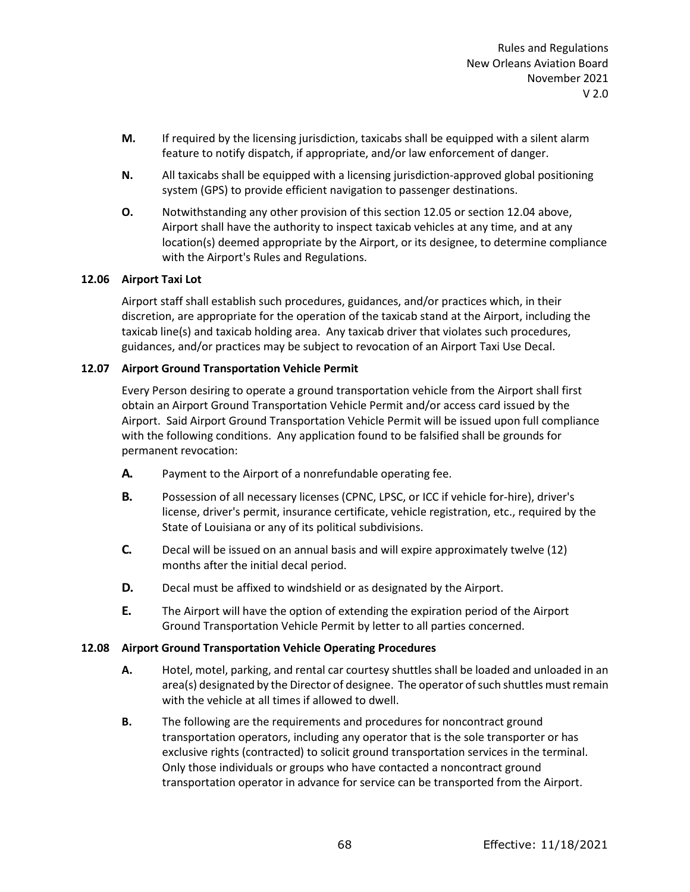- **M.** If required by the licensing jurisdiction, taxicabs shall be equipped with a silent alarm feature to notify dispatch, if appropriate, and/or law enforcement of danger.
- **N.** All taxicabs shall be equipped with a licensing jurisdiction-approved global positioning system (GPS) to provide efficient navigation to passenger destinations.
- **O.** Notwithstanding any other provision of this section 12.05 or section 12.04 above, Airport shall have the authority to inspect taxicab vehicles at any time, and at any location(s) deemed appropriate by the Airport, or its designee, to determine compliance with the Airport's Rules and Regulations.

# **12.06 Airport Taxi Lot**

Airport staff shall establish such procedures, guidances, and/or practices which, in their discretion, are appropriate for the operation of the taxicab stand at the Airport, including the taxicab line(s) and taxicab holding area. Any taxicab driver that violates such procedures, guidances, and/or practices may be subject to revocation of an Airport Taxi Use Decal.

# **12.07 Airport Ground Transportation Vehicle Permit**

Every Person desiring to operate a ground transportation vehicle from the Airport shall first obtain an Airport Ground Transportation Vehicle Permit and/or access card issued by the Airport. Said Airport Ground Transportation Vehicle Permit will be issued upon full compliance with the following conditions. Any application found to be falsified shall be grounds for permanent revocation:

- **A.** Payment to the Airport of a nonrefundable operating fee.
- **B.** Possession of all necessary licenses (CPNC, LPSC, or ICC if vehicle for-hire), driver's license, driver's permit, insurance certificate, vehicle registration, etc., required by the State of Louisiana or any of its political subdivisions.
- **C.** Decal will be issued on an annual basis and will expire approximately twelve (12) months after the initial decal period.
- **D.** Decal must be affixed to windshield or as designated by the Airport.
- **E.** The Airport will have the option of extending the expiration period of the Airport Ground Transportation Vehicle Permit by letter to all parties concerned.

# **12.08 Airport Ground Transportation Vehicle Operating Procedures**

- **A.** Hotel, motel, parking, and rental car courtesy shuttles shall be loaded and unloaded in an area(s) designated by the Director of designee. The operator of such shuttles must remain with the vehicle at all times if allowed to dwell.
- **B.** The following are the requirements and procedures for noncontract ground transportation operators, including any operator that is the sole transporter or has exclusive rights (contracted) to solicit ground transportation services in the terminal. Only those individuals or groups who have contacted a noncontract ground transportation operator in advance for service can be transported from the Airport.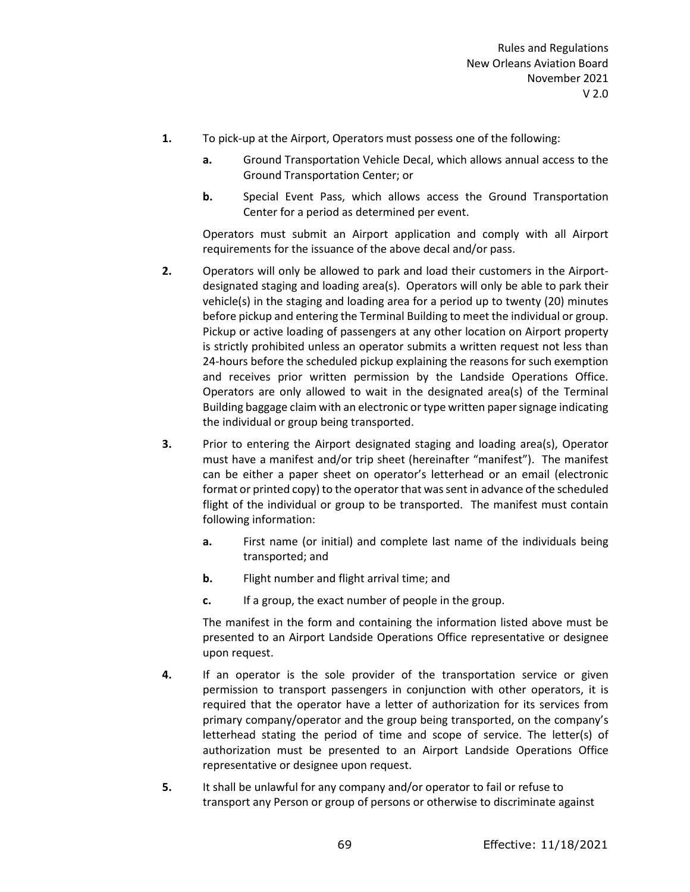- **1.** To pick-up at the Airport, Operators must possess one of the following:
	- **a.** Ground Transportation Vehicle Decal, which allows annual access to the Ground Transportation Center; or
	- **b.** Special Event Pass, which allows access the Ground Transportation Center for a period as determined per event.

Operators must submit an Airport application and comply with all Airport requirements for the issuance of the above decal and/or pass.

- **2.** Operators will only be allowed to park and load their customers in the Airportdesignated staging and loading area(s). Operators will only be able to park their vehicle(s) in the staging and loading area for a period up to twenty (20) minutes before pickup and entering the Terminal Building to meet the individual or group. Pickup or active loading of passengers at any other location on Airport property is strictly prohibited unless an operator submits a written request not less than 24-hours before the scheduled pickup explaining the reasons for such exemption and receives prior written permission by the Landside Operations Office. Operators are only allowed to wait in the designated area(s) of the Terminal Building baggage claim with an electronic or type written paper signage indicating the individual or group being transported.
- **3.** Prior to entering the Airport designated staging and loading area(s), Operator must have a manifest and/or trip sheet (hereinafter "manifest"). The manifest can be either a paper sheet on operator's letterhead or an email (electronic format or printed copy) to the operator that was sent in advance of the scheduled flight of the individual or group to be transported. The manifest must contain following information:
	- **a.** First name (or initial) and complete last name of the individuals being transported; and
	- **b.** Flight number and flight arrival time; and
	- **c.** If a group, the exact number of people in the group.

The manifest in the form and containing the information listed above must be presented to an Airport Landside Operations Office representative or designee upon request.

- **4.** If an operator is the sole provider of the transportation service or given permission to transport passengers in conjunction with other operators, it is required that the operator have a letter of authorization for its services from primary company/operator and the group being transported, on the company's letterhead stating the period of time and scope of service. The letter(s) of authorization must be presented to an Airport Landside Operations Office representative or designee upon request.
- **5.** It shall be unlawful for any company and/or operator to fail or refuse to transport any Person or group of persons or otherwise to discriminate against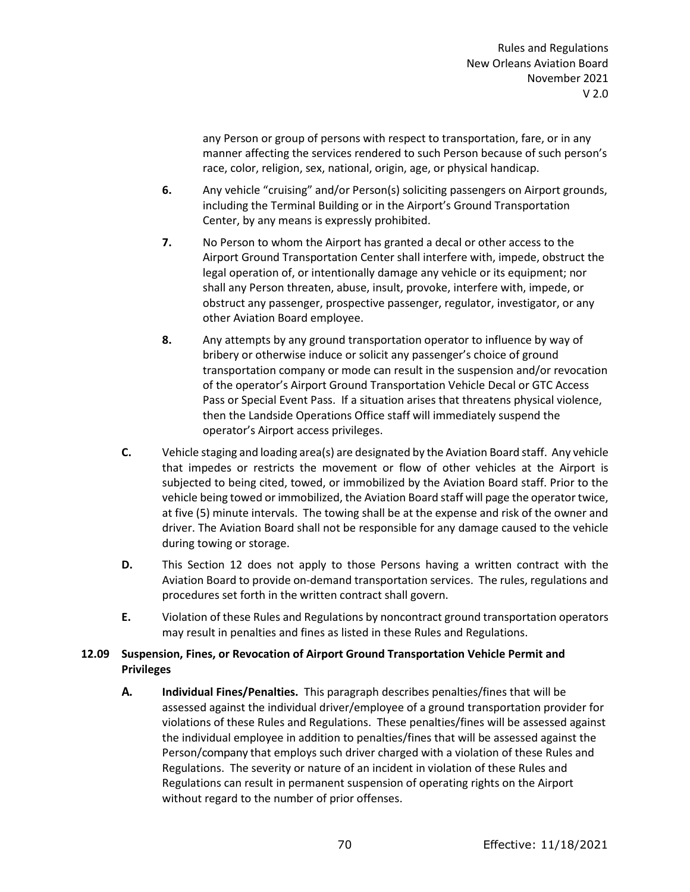any Person or group of persons with respect to transportation, fare, or in any manner affecting the services rendered to such Person because of such person's race, color, religion, sex, national, origin, age, or physical handicap.

- **6.** Any vehicle "cruising" and/or Person(s) soliciting passengers on Airport grounds, including the Terminal Building or in the Airport's Ground Transportation Center, by any means is expressly prohibited.
- **7.** No Person to whom the Airport has granted a decal or other access to the Airport Ground Transportation Center shall interfere with, impede, obstruct the legal operation of, or intentionally damage any vehicle or its equipment; nor shall any Person threaten, abuse, insult, provoke, interfere with, impede, or obstruct any passenger, prospective passenger, regulator, investigator, or any other Aviation Board employee.
- **8.** Any attempts by any ground transportation operator to influence by way of bribery or otherwise induce or solicit any passenger's choice of ground transportation company or mode can result in the suspension and/or revocation of the operator's Airport Ground Transportation Vehicle Decal or GTC Access Pass or Special Event Pass. If a situation arises that threatens physical violence, then the Landside Operations Office staff will immediately suspend the operator's Airport access privileges.
- **C.** Vehicle staging and loading area(s) are designated by the Aviation Board staff. Any vehicle that impedes or restricts the movement or flow of other vehicles at the Airport is subjected to being cited, towed, or immobilized by the Aviation Board staff. Prior to the vehicle being towed or immobilized, the Aviation Board staff will page the operator twice, at five (5) minute intervals. The towing shall be at the expense and risk of the owner and driver. The Aviation Board shall not be responsible for any damage caused to the vehicle during towing or storage.
- **D.** This Section 12 does not apply to those Persons having a written contract with the Aviation Board to provide on-demand transportation services. The rules, regulations and procedures set forth in the written contract shall govern.
- **E.** Violation of these Rules and Regulations by noncontract ground transportation operators may result in penalties and fines as listed in these Rules and Regulations.

# **12.09 Suspension, Fines, or Revocation of Airport Ground Transportation Vehicle Permit and Privileges**

**A. Individual Fines/Penalties.** This paragraph describes penalties/fines that will be assessed against the individual driver/employee of a ground transportation provider for violations of these Rules and Regulations. These penalties/fines will be assessed against the individual employee in addition to penalties/fines that will be assessed against the Person/company that employs such driver charged with a violation of these Rules and Regulations. The severity or nature of an incident in violation of these Rules and Regulations can result in permanent suspension of operating rights on the Airport without regard to the number of prior offenses.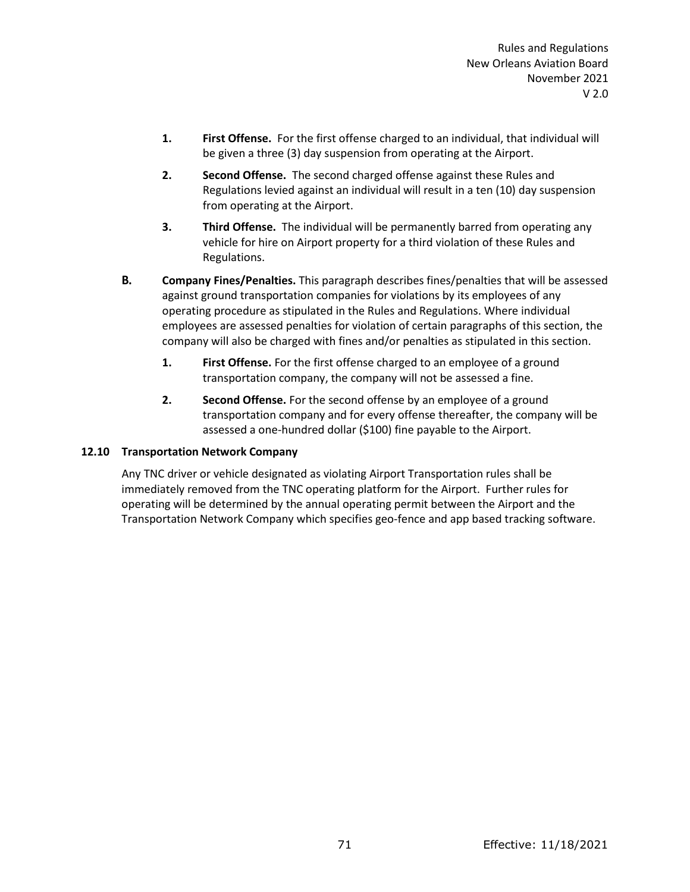- **1. First Offense.** For the first offense charged to an individual, that individual will be given a three (3) day suspension from operating at the Airport.
- **2. Second Offense.** The second charged offense against these Rules and Regulations levied against an individual will result in a ten (10) day suspension from operating at the Airport.
- **3. Third Offense.** The individual will be permanently barred from operating any vehicle for hire on Airport property for a third violation of these Rules and Regulations.
- **B. Company Fines/Penalties.** This paragraph describes fines/penalties that will be assessed against ground transportation companies for violations by its employees of any operating procedure as stipulated in the Rules and Regulations. Where individual employees are assessed penalties for violation of certain paragraphs of this section, the company will also be charged with fines and/or penalties as stipulated in this section.
	- **1. First Offense.** For the first offense charged to an employee of a ground transportation company, the company will not be assessed a fine.
	- **2. Second Offense.** For the second offense by an employee of a ground transportation company and for every offense thereafter, the company will be assessed a one-hundred dollar (\$100) fine payable to the Airport.

# **12.10 Transportation Network Company**

Any TNC driver or vehicle designated as violating Airport Transportation rules shall be immediately removed from the TNC operating platform for the Airport. Further rules for operating will be determined by the annual operating permit between the Airport and the Transportation Network Company which specifies geo-fence and app based tracking software.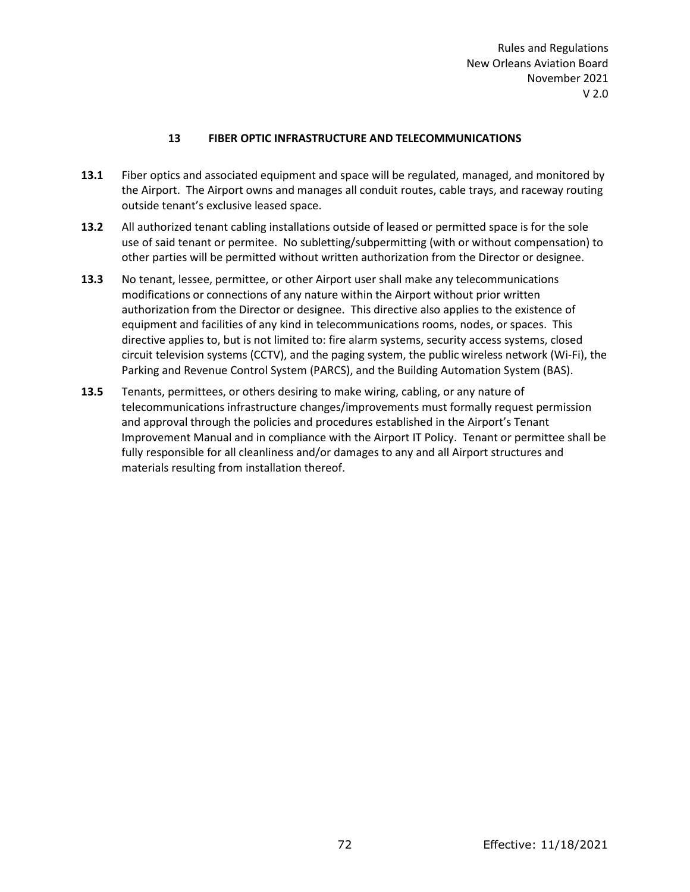Rules and Regulations New Orleans Aviation Board November 2021 V 2.0

# **13 FIBER OPTIC INFRASTRUCTURE AND TELECOMMUNICATIONS**

- **13.1** Fiber optics and associated equipment and space will be regulated, managed, and monitored by the Airport. The Airport owns and manages all conduit routes, cable trays, and raceway routing outside tenant's exclusive leased space.
- **13.2** All authorized tenant cabling installations outside of leased or permitted space is for the sole use of said tenant or permitee. No subletting/subpermitting (with or without compensation) to other parties will be permitted without written authorization from the Director or designee.
- **13.3** No tenant, lessee, permittee, or other Airport user shall make any telecommunications modifications or connections of any nature within the Airport without prior written authorization from the Director or designee. This directive also applies to the existence of equipment and facilities of any kind in telecommunications rooms, nodes, or spaces.This directive applies to, but is not limited to: fire alarm systems, security access systems, closed circuit television systems (CCTV), and the paging system, the public wireless network (Wi-Fi), the Parking and Revenue Control System (PARCS), and the Building Automation System (BAS).
- **13.5** Tenants, permittees, or others desiring to make wiring, cabling, or any nature of telecommunications infrastructure changes/improvements must formally request permission and approval through the policies and procedures established in the Airport's Tenant Improvement Manual and in compliance with the Airport IT Policy. Tenant or permittee shall be fully responsible for all cleanliness and/or damages to any and all Airport structures and materials resulting from installation thereof.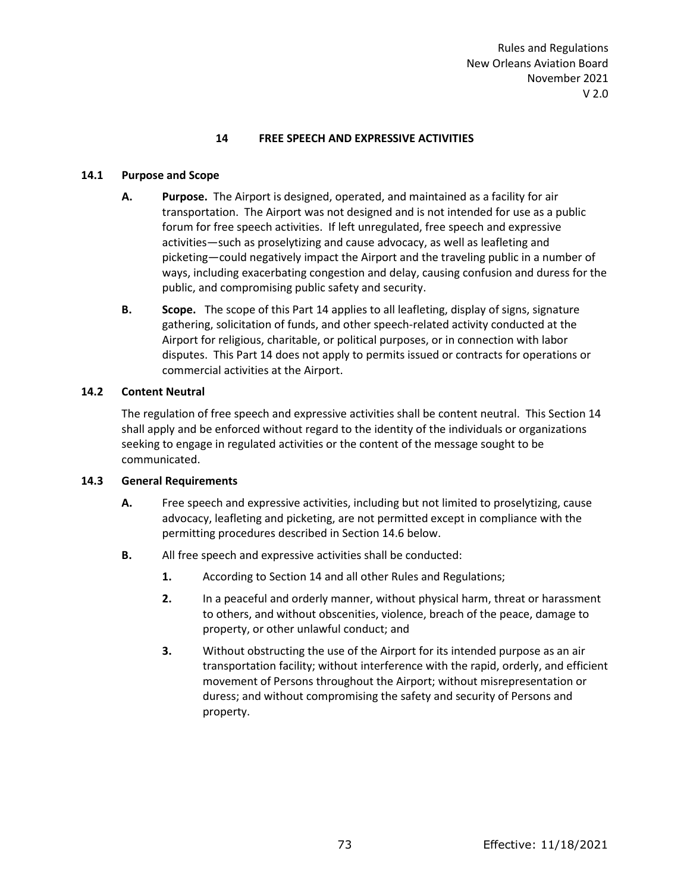### **14 FREE SPEECH AND EXPRESSIVE ACTIVITIES**

### **14.1 Purpose and Scope**

- **A. Purpose.** The Airport is designed, operated, and maintained as a facility for air transportation. The Airport was not designed and is not intended for use as a public forum for free speech activities. If left unregulated, free speech and expressive activities—such as proselytizing and cause advocacy, as well as leafleting and picketing—could negatively impact the Airport and the traveling public in a number of ways, including exacerbating congestion and delay, causing confusion and duress for the public, and compromising public safety and security.
- **B. Scope.** The scope of this Part 14 applies to all leafleting, display of signs, signature gathering, solicitation of funds, and other speech-related activity conducted at the Airport for religious, charitable, or political purposes, or in connection with labor disputes. This Part 14 does not apply to permits issued or contracts for operations or commercial activities at the Airport.

### **14.2 Content Neutral**

The regulation of free speech and expressive activities shall be content neutral. This Section 14 shall apply and be enforced without regard to the identity of the individuals or organizations seeking to engage in regulated activities or the content of the message sought to be communicated.

#### **14.3 General Requirements**

- **A.** Free speech and expressive activities, including but not limited to proselytizing, cause advocacy, leafleting and picketing, are not permitted except in compliance with the permitting procedures described in Section 14.6 below.
- **B.** All free speech and expressive activities shall be conducted:
	- **1.** According to Section 14 and all other Rules and Regulations;
	- **2.** In a peaceful and orderly manner, without physical harm, threat or harassment to others, and without obscenities, violence, breach of the peace, damage to property, or other unlawful conduct; and
	- **3.** Without obstructing the use of the Airport for its intended purpose as an air transportation facility; without interference with the rapid, orderly, and efficient movement of Persons throughout the Airport; without misrepresentation or duress; and without compromising the safety and security of Persons and property.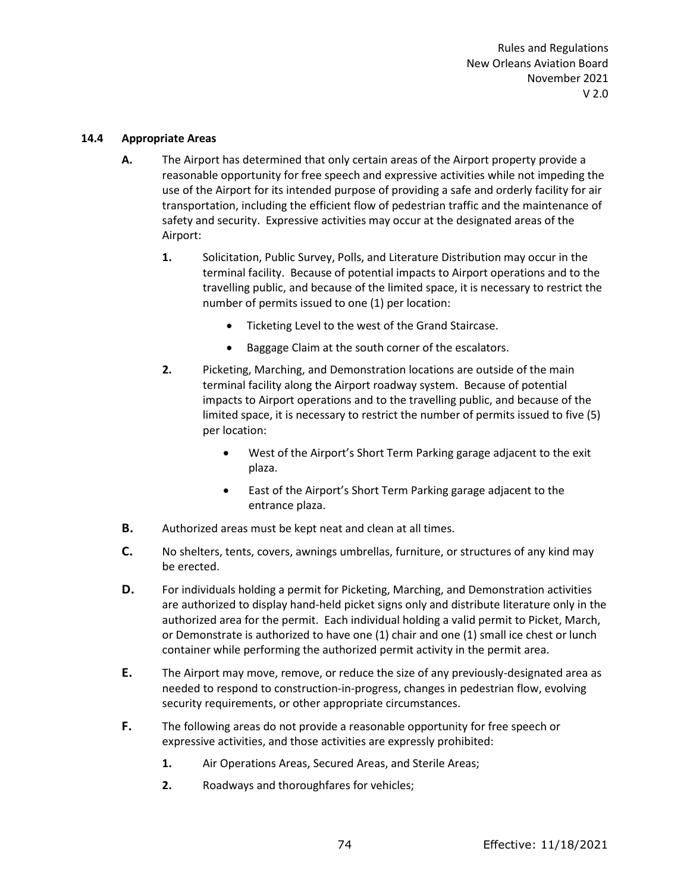### **14.4 Appropriate Areas**

- **A.** The Airport has determined that only certain areas of the Airport property provide a reasonable opportunity for free speech and expressive activities while not impeding the use of the Airport for its intended purpose of providing a safe and orderly facility for air transportation, including the efficient flow of pedestrian traffic and the maintenance of safety and security. Expressive activities may occur at the designated areas of the Airport:
	- **1.** Solicitation, Public Survey, Polls, and Literature Distribution may occur in the terminal facility. Because of potential impacts to Airport operations and to the travelling public, and because of the limited space, it is necessary to restrict the number of permits issued to one (1) per location:
		- Ticketing Level to the west of the Grand Staircase.
		- Baggage Claim at the south corner of the escalators.
	- **2.** Picketing, Marching, and Demonstration locations are outside of the main terminal facility along the Airport roadway system. Because of potential impacts to Airport operations and to the travelling public, and because of the limited space, it is necessary to restrict the number of permits issued to five (5) per location:
		- West of the Airport's Short Term Parking garage adjacent to the exit plaza.
		- East of the Airport's Short Term Parking garage adjacent to the entrance plaza.
- **B.** Authorized areas must be kept neat and clean at all times.
- **C.** No shelters, tents, covers, awnings umbrellas, furniture, or structures of any kind may be erected.
- **D.** For individuals holding a permit for Picketing, Marching, and Demonstration activities are authorized to display hand-held picket signs only and distribute literature only in the authorized area for the permit. Each individual holding a valid permit to Picket, March, or Demonstrate is authorized to have one (1) chair and one (1) small ice chest or lunch container while performing the authorized permit activity in the permit area.
- **E.** The Airport may move, remove, or reduce the size of any previously-designated area as needed to respond to construction-in-progress, changes in pedestrian flow, evolving security requirements, or other appropriate circumstances.
- **F.** The following areas do not provide a reasonable opportunity for free speech or expressive activities, and those activities are expressly prohibited:
	- **1.** Air Operations Areas, Secured Areas, and Sterile Areas;
	- **2.** Roadways and thoroughfares for vehicles;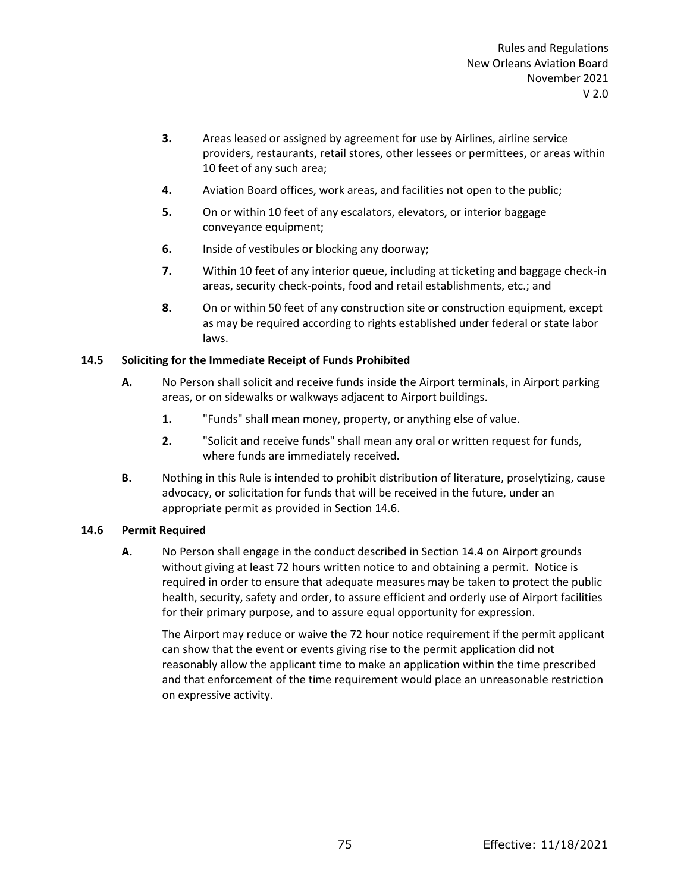- **3.** Areas leased or assigned by agreement for use by Airlines, airline service providers, restaurants, retail stores, other lessees or permittees, or areas within 10 feet of any such area;
- **4.** Aviation Board offices, work areas, and facilities not open to the public;
- **5.** On or within 10 feet of any escalators, elevators, or interior baggage conveyance equipment;
- **6.** Inside of vestibules or blocking any doorway;
- **7.** Within 10 feet of any interior queue, including at ticketing and baggage check-in areas, security check-points, food and retail establishments, etc.; and
- **8.** On or within 50 feet of any construction site or construction equipment, except as may be required according to rights established under federal or state labor laws.

# **14.5 Soliciting for the Immediate Receipt of Funds Prohibited**

- **A.** No Person shall solicit and receive funds inside the Airport terminals, in Airport parking areas, or on sidewalks or walkways adjacent to Airport buildings.
	- **1.** "Funds" shall mean money, property, or anything else of value.
	- **2.** "Solicit and receive funds" shall mean any oral or written request for funds, where funds are immediately received.
- **B.** Nothing in this Rule is intended to prohibit distribution of literature, proselytizing, cause advocacy, or solicitation for funds that will be received in the future, under an appropriate permit as provided in Section 14.6.

# **14.6 Permit Required**

**A.** No Person shall engage in the conduct described in Section 14.4 on Airport grounds without giving at least 72 hours written notice to and obtaining a permit. Notice is required in order to ensure that adequate measures may be taken to protect the public health, security, safety and order, to assure efficient and orderly use of Airport facilities for their primary purpose, and to assure equal opportunity for expression.

The Airport may reduce or waive the 72 hour notice requirement if the permit applicant can show that the event or events giving rise to the permit application did not reasonably allow the applicant time to make an application within the time prescribed and that enforcement of the time requirement would place an unreasonable restriction on expressive activity.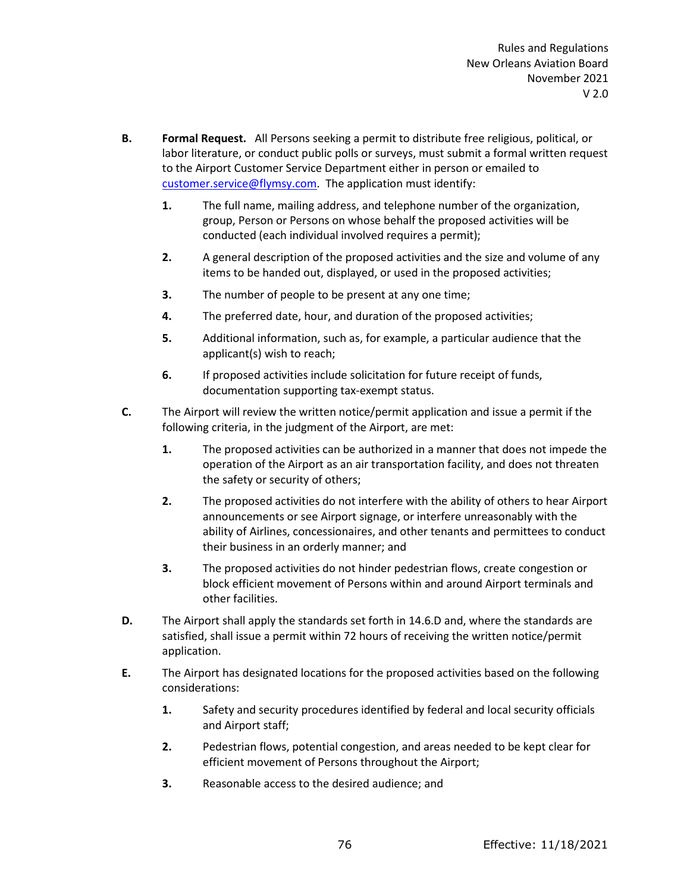- **B. Formal Request.** All Persons seeking a permit to distribute free religious, political, or labor literature, or conduct public polls or surveys, must submit a formal written request to the Airport Customer Service Department either in person or emailed to [customer.service@flymsy.com.](mailto:customer.service@flymsy.com) The application must identify:
	- **1.** The full name, mailing address, and telephone number of the organization, group, Person or Persons on whose behalf the proposed activities will be conducted (each individual involved requires a permit);
	- **2.** A general description of the proposed activities and the size and volume of any items to be handed out, displayed, or used in the proposed activities;
	- **3.** The number of people to be present at any one time;
	- **4.** The preferred date, hour, and duration of the proposed activities;
	- **5.** Additional information, such as, for example, a particular audience that the applicant(s) wish to reach;
	- **6.** If proposed activities include solicitation for future receipt of funds, documentation supporting tax-exempt status.
- **C.** The Airport will review the written notice/permit application and issue a permit if the following criteria, in the judgment of the Airport, are met:
	- **1.** The proposed activities can be authorized in a manner that does not impede the operation of the Airport as an air transportation facility, and does not threaten the safety or security of others;
	- **2.** The proposed activities do not interfere with the ability of others to hear Airport announcements or see Airport signage, or interfere unreasonably with the ability of Airlines, concessionaires, and other tenants and permittees to conduct their business in an orderly manner; and
	- **3.** The proposed activities do not hinder pedestrian flows, create congestion or block efficient movement of Persons within and around Airport terminals and other facilities.
- **D.** The Airport shall apply the standards set forth in 14.6.D and, where the standards are satisfied, shall issue a permit within 72 hours of receiving the written notice/permit application.
- **E.** The Airport has designated locations for the proposed activities based on the following considerations:
	- **1.** Safety and security procedures identified by federal and local security officials and Airport staff;
	- **2.** Pedestrian flows, potential congestion, and areas needed to be kept clear for efficient movement of Persons throughout the Airport;
	- **3.** Reasonable access to the desired audience; and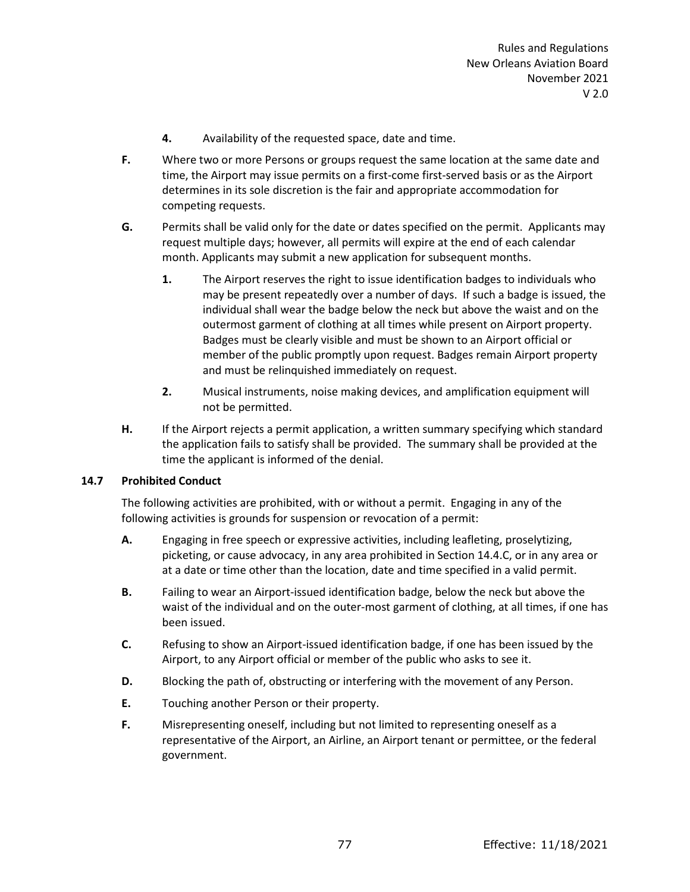- **4.** Availability of the requested space, date and time.
- **F.** Where two or more Persons or groups request the same location at the same date and time, the Airport may issue permits on a first-come first-served basis or as the Airport determines in its sole discretion is the fair and appropriate accommodation for competing requests.
- **G.** Permits shall be valid only for the date or dates specified on the permit. Applicants may request multiple days; however, all permits will expire at the end of each calendar month. Applicants may submit a new application for subsequent months.
	- **1.** The Airport reserves the right to issue identification badges to individuals who may be present repeatedly over a number of days. If such a badge is issued, the individual shall wear the badge below the neck but above the waist and on the outermost garment of clothing at all times while present on Airport property. Badges must be clearly visible and must be shown to an Airport official or member of the public promptly upon request. Badges remain Airport property and must be relinquished immediately on request.
	- **2.** Musical instruments, noise making devices, and amplification equipment will not be permitted.
- **H.** If the Airport rejects a permit application, a written summary specifying which standard the application fails to satisfy shall be provided. The summary shall be provided at the time the applicant is informed of the denial.

# **14.7 Prohibited Conduct**

The following activities are prohibited, with or without a permit. Engaging in any of the following activities is grounds for suspension or revocation of a permit:

- **A.** Engaging in free speech or expressive activities, including leafleting, proselytizing, picketing, or cause advocacy, in any area prohibited in Section 14.4.C, or in any area or at a date or time other than the location, date and time specified in a valid permit.
- **B.** Failing to wear an Airport-issued identification badge, below the neck but above the waist of the individual and on the outer-most garment of clothing, at all times, if one has been issued.
- **C.** Refusing to show an Airport-issued identification badge, if one has been issued by the Airport, to any Airport official or member of the public who asks to see it.
- **D.** Blocking the path of, obstructing or interfering with the movement of any Person.
- **E.** Touching another Person or their property.
- **F.** Misrepresenting oneself, including but not limited to representing oneself as a representative of the Airport, an Airline, an Airport tenant or permittee, or the federal government.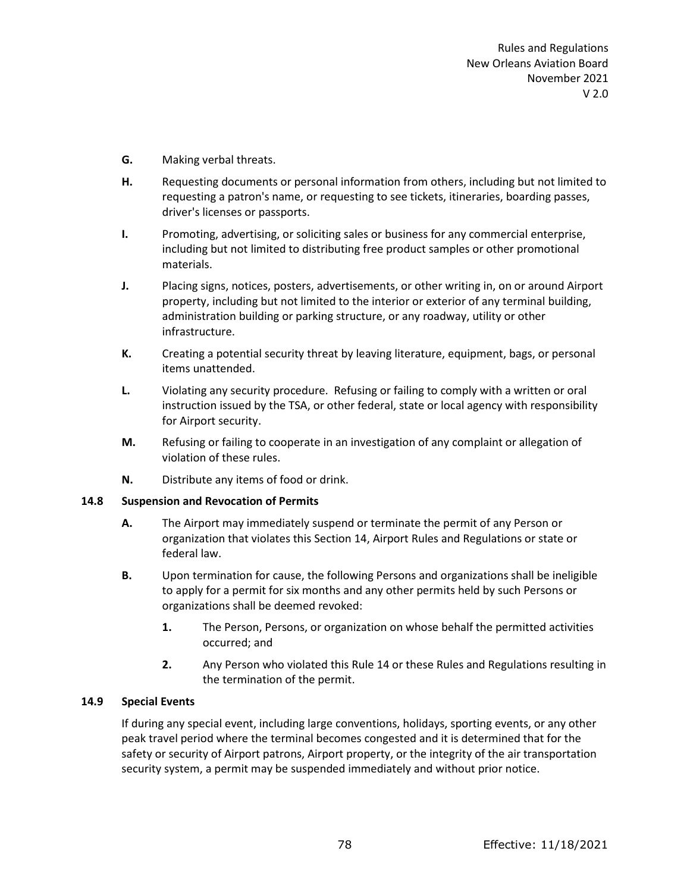- **G.** Making verbal threats.
- **H.** Requesting documents or personal information from others, including but not limited to requesting a patron's name, or requesting to see tickets, itineraries, boarding passes, driver's licenses or passports.
- **I.** Promoting, advertising, or soliciting sales or business for any commercial enterprise, including but not limited to distributing free product samples or other promotional materials.
- **J.** Placing signs, notices, posters, advertisements, or other writing in, on or around Airport property, including but not limited to the interior or exterior of any terminal building, administration building or parking structure, or any roadway, utility or other infrastructure.
- **K.** Creating a potential security threat by leaving literature, equipment, bags, or personal items unattended.
- **L.** Violating any security procedure. Refusing or failing to comply with a written or oral instruction issued by the TSA, or other federal, state or local agency with responsibility for Airport security.
- **M.** Refusing or failing to cooperate in an investigation of any complaint or allegation of violation of these rules.
- **N.** Distribute any items of food or drink.

# **14.8 Suspension and Revocation of Permits**

- **A.** The Airport may immediately suspend or terminate the permit of any Person or organization that violates this Section 14, Airport Rules and Regulations or state or federal law.
- **B.** Upon termination for cause, the following Persons and organizations shall be ineligible to apply for a permit for six months and any other permits held by such Persons or organizations shall be deemed revoked:
	- **1.** The Person, Persons, or organization on whose behalf the permitted activities occurred; and
	- **2.** Any Person who violated this Rule 14 or these Rules and Regulations resulting in the termination of the permit.

# **14.9 Special Events**

If during any special event, including large conventions, holidays, sporting events, or any other peak travel period where the terminal becomes congested and it is determined that for the safety or security of Airport patrons, Airport property, or the integrity of the air transportation security system, a permit may be suspended immediately and without prior notice.